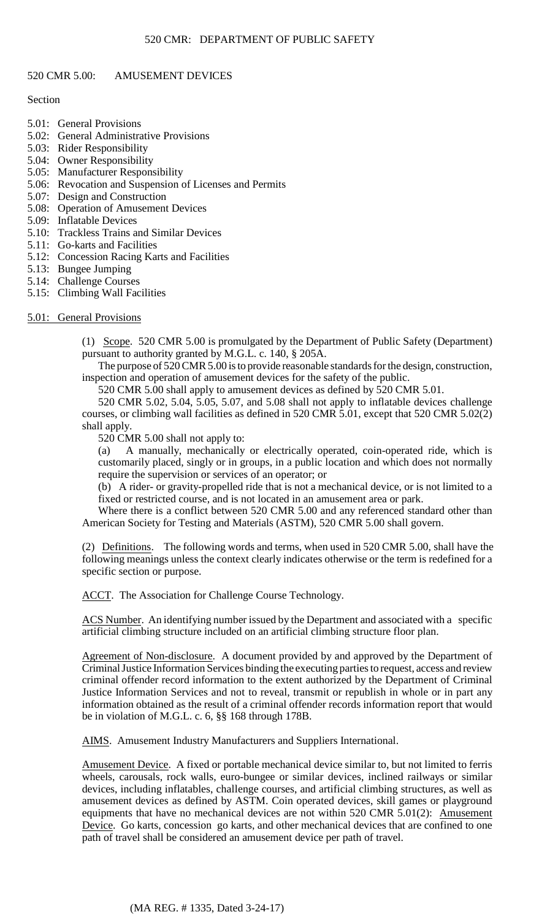# 520 CMR 5.00: AMUSEMENT DEVICES

# **Section**

- 5.01: General Provisions
- 5.02: General Administrative Provisions
- 5.03: Rider Responsibility
- 5.04: Owner Responsibility
- 5.05: Manufacturer Responsibility
- 5.06: Revocation and Suspension of Licenses and Permits
- 5.07: Design and Construction
- 5.08: Operation of Amusement Devices
- 5.09: Inflatable Devices
- 5.10: Trackless Trains and Similar Devices
- 5.11: Go-karts and Facilities
- 5.12: Concession Racing Karts and Facilities
- 5.13: Bungee Jumping
- 5.14: Challenge Courses
- 5.15: Climbing Wall Facilities

# 5.01: General Provisions

(1) Scope. 520 CMR 5.00 is promulgated by the Department of Public Safety (Department) pursuant to authority granted by M.G.L. c. 140, § 205A.

The purpose of 520 CMR 5.00 is to provide reasonable standards for the design, construction, inspection and operation of amusement devices for the safety of the public.

520 CMR 5.00 shall apply to amusement devices as defined by 520 CMR 5.01.

 520 CMR 5.02, 5.04, 5.05, 5.07, and 5.08 shall not apply to inflatable devices challenge courses, or climbing wall facilities as defined in 520 CMR 5.01, except that 520 CMR 5.02(2) shall apply.

520 CMR 5.00 shall not apply to:

 customarily placed, singly or in groups, in a public location and which does not normally (a) A manually, mechanically or electrically operated, coin-operated ride, which is require the supervision or services of an operator; or

(b) A rider- or gravity-propelled ride that is not a mechanical device, or is not limited to a fixed or restricted course, and is not located in an amusement area or park.

Where there is a conflict between 520 CMR 5.00 and any referenced standard other than American Society for Testing and Materials (ASTM), 520 CMR 5.00 shall govern.

(2) Definitions. The following words and terms, when used in 520 CMR 5.00, shall have the following meanings unless the context clearly indicates otherwise or the term is redefined for a specific section or purpose.

ACCT. The Association for Challenge Course Technology.

ACS Number. An identifying number issued by the Department and associated with a specific artificial climbing structure included on an artificial climbing structure floor plan.

 information obtained as the result of a criminal offender records information report that would Agreement of Non-disclosure. A document provided by and approved by the Department of Criminal Justice Information Services binding the executing parties to request, access and review criminal offender record information to the extent authorized by the Department of Criminal Justice Information Services and not to reveal, transmit or republish in whole or in part any be in violation of M.G.L. c. 6, §§ 168 through 178B.

AIMS. Amusement Industry Manufacturers and Suppliers International.

Amusement Device. A fixed or portable mechanical device similar to, but not limited to ferris wheels, carousals, rock walls, euro-bungee or similar devices, inclined railways or similar devices, including inflatables, challenge courses, and artificial climbing structures, as well as amusement devices as defined by ASTM. Coin operated devices, skill games or playground equipments that have no mechanical devices are not within 520 CMR 5.01(2): Amusement Device. Go karts, concession go karts, and other mechanical devices that are confined to one path of travel shall be considered an amusement device per path of travel.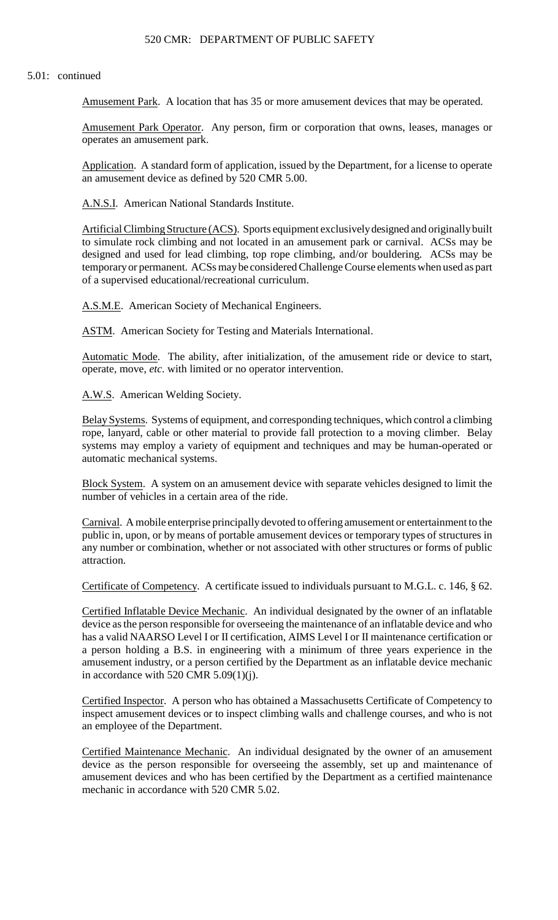# 520 CMR: DEPARTMENT OF PUBLIC SAFETY

### 5.01: continued

Amusement Park. A location that has 35 or more amusement devices that may be operated.

Amusement Park Operator. Any person, firm or corporation that owns, leases, manages or operates an amusement park.

Application. A standard form of application, issued by the Department, for a license to operate an amusement device as defined by 520 CMR 5.00.

A.N.S.I. American National Standards Institute.

 to simulate rock climbing and not located in an amusement park or carnival. ACSs may be Artificial Climbing Structure (ACS). Sports equipment exclusively designed and originally built designed and used for lead climbing, top rope climbing, and/or bouldering. ACSs may be temporary or permanent. ACSs may be considered Challenge Course elements when used as part of a supervised educational/recreational curriculum.

A.S.M.E. American Society of Mechanical Engineers.

ASTM. American Society for Testing and Materials International.

Automatic Mode. The ability, after initialization, of the amusement ride or device to start, operate, move, *etc*. with limited or no operator intervention.

A.W.S. American Welding Society.

 systems may employ a variety of equipment and techniques and may be human-operated or Belay Systems. Systems of equipment, and corresponding techniques, which control a climbing rope, lanyard, cable or other material to provide fall protection to a moving climber. Belay automatic mechanical systems.

Block System. A system on an amusement device with separate vehicles designed to limit the number of vehicles in a certain area of the ride.

 public in, upon, or by means of portable amusement devices or temporary types of structures in any number or combination, whether or not associated with other structures or forms of public Carnival. A mobile enterprise principally devoted to offering amusement or entertainment to the attraction.

Certificate of Competency. A certificate issued to individuals pursuant to M.G.L. c. 146, § 62.

 amusement industry, or a person certified by the Department as an inflatable device mechanic Certified Inflatable Device Mechanic. An individual designated by the owner of an inflatable device as the person responsible for overseeing the maintenance of an inflatable device and who has a valid NAARSO Level I or II certification, AIMS Level I or II maintenance certification or a person holding a B.S. in engineering with a minimum of three years experience in the in accordance with 520 CMR  $5.09(1)(i)$ .

 Certified Inspector. A person who has obtained a Massachusetts Certificate of Competency to inspect amusement devices or to inspect climbing walls and challenge courses, and who is not an employee of the Department.

Certified Maintenance Mechanic. An individual designated by the owner of an amusement device as the person responsible for overseeing the assembly, set up and maintenance of amusement devices and who has been certified by the Department as a certified maintenance mechanic in accordance with 520 CMR 5.02.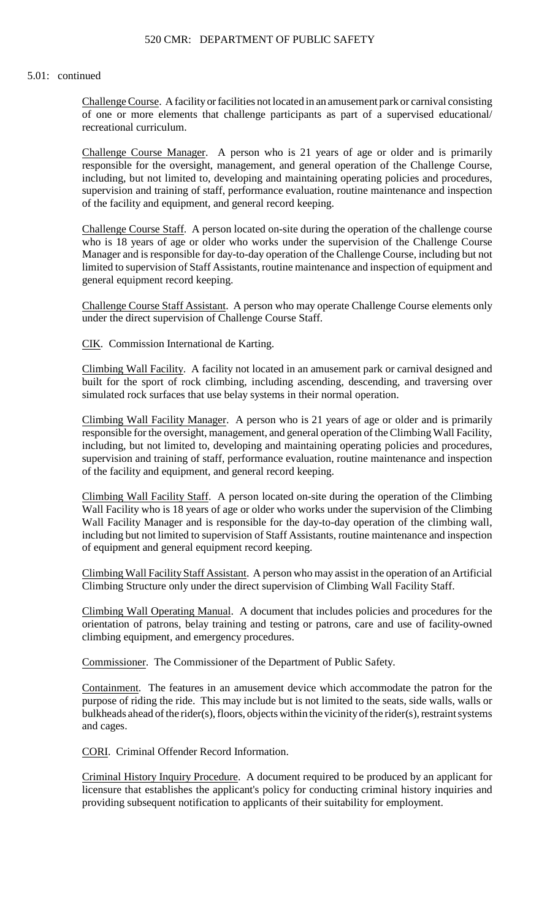Challenge Course. A facility or facilities not located in an amusement park or carnival consisting of one or more elements that challenge participants as part of a supervised educational/ recreational curriculum.

 Challenge Course Manager. A person who is 21 years of age or older and is primarily responsible for the oversight, management, and general operation of the Challenge Course, including, but not limited to, developing and maintaining operating policies and procedures, supervision and training of staff, performance evaluation, routine maintenance and inspection of the facility and equipment, and general record keeping.

Challenge Course Staff. A person located on-site during the operation of the challenge course who is 18 years of age or older who works under the supervision of the Challenge Course Manager and is responsible for day-to-day operation of the Challenge Course, including but not limited to supervision of Staff Assistants, routine maintenance and inspection of equipment and general equipment record keeping.

 Challenge Course Staff Assistant. A person who may operate Challenge Course elements only under the direct supervision of Challenge Course Staff.

CIK. Commission International de Karting.

Climbing Wall Facility. A facility not located in an amusement park or carnival designed and built for the sport of rock climbing, including ascending, descending, and traversing over simulated rock surfaces that use belay systems in their normal operation.

 responsible for the oversight, management, and general operation of the Climbing Wall Facility, Climbing Wall Facility Manager. A person who is 21 years of age or older and is primarily including, but not limited to, developing and maintaining operating policies and procedures, supervision and training of staff, performance evaluation, routine maintenance and inspection of the facility and equipment, and general record keeping.

 Climbing Wall Facility Staff. A person located on-site during the operation of the Climbing Wall Facility who is 18 years of age or older who works under the supervision of the Climbing Wall Facility Manager and is responsible for the day-to-day operation of the climbing wall, including but not limited to supervision of Staff Assistants, routine maintenance and inspection of equipment and general equipment record keeping.

Climbing Wall Facility Staff Assistant. A person who may assist in the operation of an Artificial Climbing Structure only under the direct supervision of Climbing Wall Facility Staff.

Climbing Wall Operating Manual. A document that includes policies and procedures for the orientation of patrons, belay training and testing or patrons, care and use of facility-owned climbing equipment, and emergency procedures.

Commissioner. The Commissioner of the Department of Public Safety.

 Containment. The features in an amusement device which accommodate the patron for the purpose of riding the ride. This may include but is not limited to the seats, side walls, walls or bulkheads ahead of the rider(s), floors, objects within the vicinity of the rider(s), restraint systems and cages.

CORI. Criminal Offender Record Information.

Criminal History Inquiry Procedure. A document required to be produced by an applicant for licensure that establishes the applicant's policy for conducting criminal history inquiries and providing subsequent notification to applicants of their suitability for employment.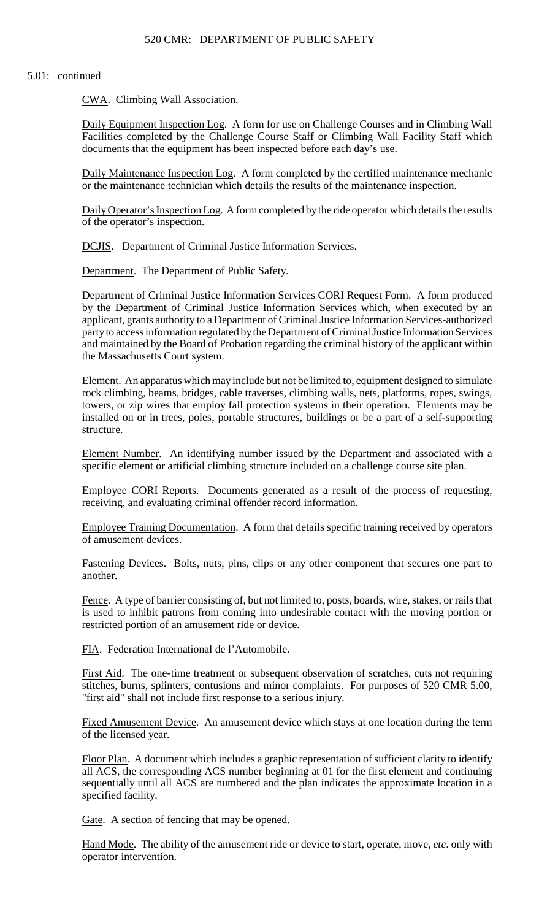CWA. Climbing Wall Association.

Daily Equipment Inspection Log. A form for use on Challenge Courses and in Climbing Wall Facilities completed by the Challenge Course Staff or Climbing Wall Facility Staff which documents that the equipment has been inspected before each day's use.

Daily Maintenance Inspection Log. A form completed by the certified maintenance mechanic or the maintenance technician which details the results of the maintenance inspection.

Daily Operator's Inspection Log. A form completed by the ride operator which details the results of the operator's inspection.

DCJIS. Department of Criminal Justice Information Services.

Department. The Department of Public Safety.

 and maintained by the Board of Probation regarding the criminal history of the applicant within Department of Criminal Justice Information Services CORI Request Form. A form produced by the Department of Criminal Justice Information Services which, when executed by an applicant, grants authority to a Department of Criminal Justice Information Services-authorized party to access information regulated by the Department of Criminal Justice Information Services the Massachusetts Court system.

 Element. An apparatus which may include but not be limited to, equipment designed to simulate rock climbing, beams, bridges, cable traverses, climbing walls, nets, platforms, ropes, swings, towers, or zip wires that employ fall protection systems in their operation. Elements may be installed on or in trees, poles, portable structures, buildings or be a part of a self-supporting structure.

Element Number. An identifying number issued by the Department and associated with a specific element or artificial climbing structure included on a challenge course site plan.

Employee CORI Reports. Documents generated as a result of the process of requesting, receiving, and evaluating criminal offender record information.

Employee Training Documentation. A form that details specific training received by operators of amusement devices.

Fastening Devices. Bolts, nuts, pins, clips or any other component that secures one part to another.

Fence. A type of barrier consisting of, but not limited to, posts, boards, wire, stakes, or rails that is used to inhibit patrons from coming into undesirable contact with the moving portion or restricted portion of an amusement ride or device.

FIA. Federation International de l'Automobile.

First Aid. The one-time treatment or subsequent observation of scratches, cuts not requiring stitches, burns, splinters, contusions and minor complaints. For purposes of 520 CMR 5.00, "first aid" shall not include first response to a serious injury.

Fixed Amusement Device. An amusement device which stays at one location during the term of the licensed year.

 sequentially until all ACS are numbered and the plan indicates the approximate location in a Floor Plan. A document which includes a graphic representation of sufficient clarity to identify all ACS, the corresponding ACS number beginning at 01 for the first element and continuing specified facility.

Gate. A section of fencing that may be opened.

Hand Mode. The ability of the amusement ride or device to start, operate, move, *etc*. only with operator intervention.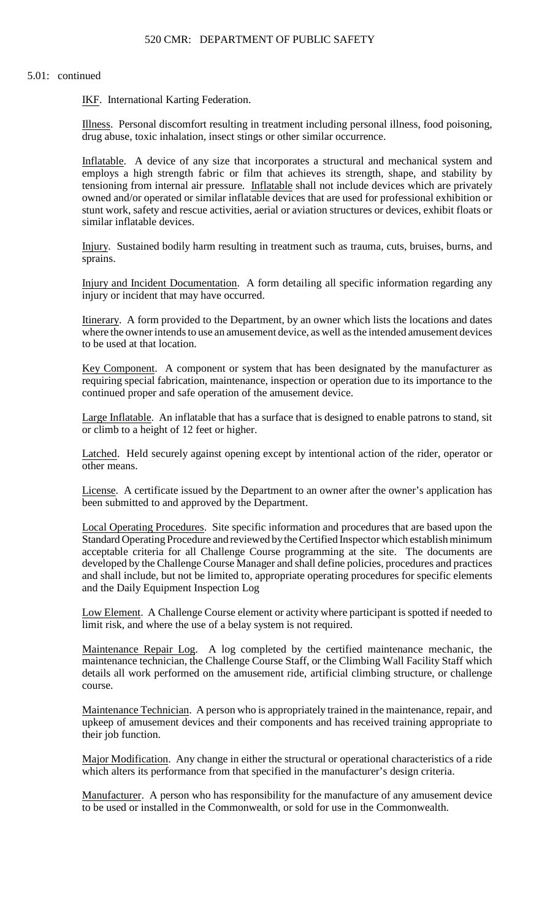IKF. International Karting Federation.

Illness. Personal discomfort resulting in treatment including personal illness, food poisoning, drug abuse, toxic inhalation, insect stings or other similar occurrence.

Inflatable. A device of any size that incorporates a structural and mechanical system and employs a high strength fabric or film that achieves its strength, shape, and stability by tensioning from internal air pressure. Inflatable shall not include devices which are privately owned and/or operated or similar inflatable devices that are used for professional exhibition or stunt work, safety and rescue activities, aerial or aviation structures or devices, exhibit floats or similar inflatable devices.

Injury. Sustained bodily harm resulting in treatment such as trauma, cuts, bruises, burns, and sprains.

Injury and Incident Documentation. A form detailing all specific information regarding any injury or incident that may have occurred.

Itinerary. A form provided to the Department, by an owner which lists the locations and dates where the owner intends to use an amusement device, as well as the intended amusement devices to be used at that location.

Key Component. A component or system that has been designated by the manufacturer as requiring special fabrication, maintenance, inspection or operation due to its importance to the continued proper and safe operation of the amusement device.

Large Inflatable. An inflatable that has a surface that is designed to enable patrons to stand, sit or climb to a height of 12 feet or higher.

 Latched. Held securely against opening except by intentional action of the rider, operator or other means.

License. A certificate issued by the Department to an owner after the owner's application has been submitted to and approved by the Department.

Local Operating Procedures. Site specific information and procedures that are based upon the Standard Operating Procedure and reviewed by the Certified Inspector which establish minimum acceptable criteria for all Challenge Course programming at the site. The documents are developed by the Challenge Course Manager and shall define policies, procedures and practices and shall include, but not be limited to, appropriate operating procedures for specific elements and the Daily Equipment Inspection Log

Low Element. A Challenge Course element or activity where participant is spotted if needed to limit risk, and where the use of a belay system is not required.

Maintenance Repair Log. A log completed by the certified maintenance mechanic, the maintenance technician, the Challenge Course Staff, or the Climbing Wall Facility Staff which details all work performed on the amusement ride, artificial climbing structure, or challenge course.

 upkeep of amusement devices and their components and has received training appropriate to Maintenance Technician. A person who is appropriately trained in the maintenance, repair, and their job function.

Major Modification. Any change in either the structural or operational characteristics of a ride which alters its performance from that specified in the manufacturer's design criteria.

Manufacturer. A person who has responsibility for the manufacture of any amusement device to be used or installed in the Commonwealth, or sold for use in the Commonwealth.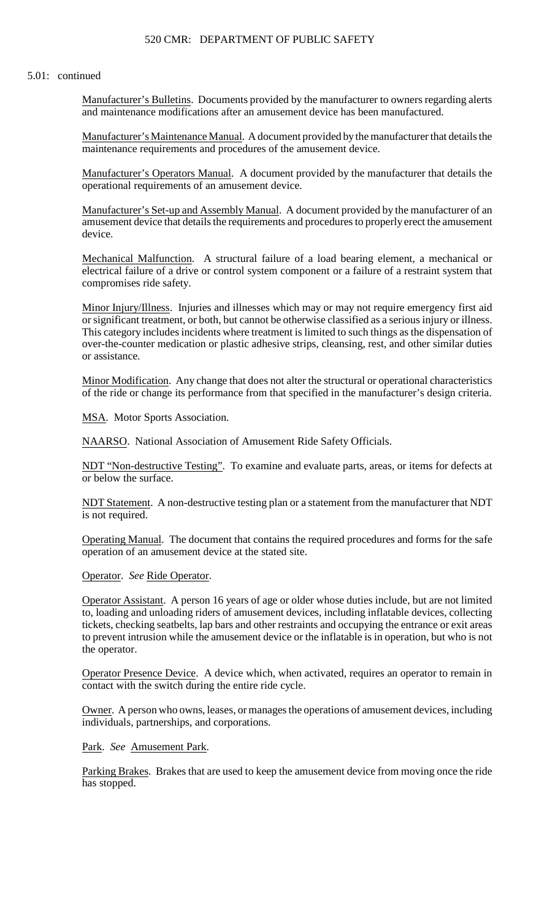## 520 CMR: DEPARTMENT OF PUBLIC SAFETY

#### 5.01: continued

Manufacturer's Bulletins. Documents provided by the manufacturer to owners regarding alerts and maintenance modifications after an amusement device has been manufactured.

Manufacturer's Maintenance Manual. A document provided by the manufacturer that details the maintenance requirements and procedures of the amusement device.

Manufacturer's Operators Manual. A document provided by the manufacturer that details the operational requirements of an amusement device.

Manufacturer's Set-up and Assembly Manual. A document provided by the manufacturer of an amusement device that details the requirements and procedures to properly erect the amusement device.

Mechanical Malfunction. A structural failure of a load bearing element, a mechanical or electrical failure of a drive or control system component or a failure of a restraint system that compromises ride safety.

 or significant treatment, or both, but cannot be otherwise classified as a serious injury or illness. Minor Injury/Illness. Injuries and illnesses which may or may not require emergency first aid This category includes incidents where treatment is limited to such things as the dispensation of over-the-counter medication or plastic adhesive strips, cleansing, rest, and other similar duties or assistance.

Minor Modification. Any change that does not alter the structural or operational characteristics of the ride or change its performance from that specified in the manufacturer's design criteria.

MSA. Motor Sports Association.

NAARSO. National Association of Amusement Ride Safety Officials.

NDT "Non-destructive Testing". To examine and evaluate parts, areas, or items for defects at or below the surface.

NDT Statement. A non-destructive testing plan or a statement from the manufacturer that NDT is not required.

Operating Manual. The document that contains the required procedures and forms for the safe operation of an amusement device at the stated site.

Operator. *See* Ride Operator.

Operator Assistant. A person 16 years of age or older whose duties include, but are not limited to, loading and unloading riders of amusement devices, including inflatable devices, collecting tickets, checking seatbelts, lap bars and other restraints and occupying the entrance or exit areas to prevent intrusion while the amusement device or the inflatable is in operation, but who is not the operator.

 Operator Presence Device. A device which, when activated, requires an operator to remain in contact with the switch during the entire ride cycle.

Owner. A person who owns, leases, or manages the operations of amusement devices, including individuals, partnerships, and corporations.

Park. *See* Amusement Park.

Parking Brakes. Brakes that are used to keep the amusement device from moving once the ride has stopped.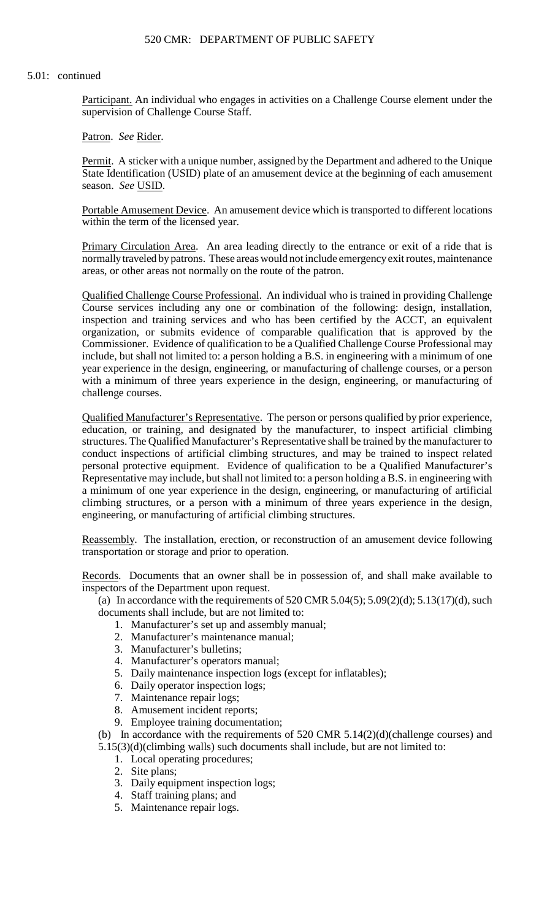Participant. An individual who engages in activities on a Challenge Course element under the supervision of Challenge Course Staff.

Patron. *See* Rider.

Permit. A sticker with a unique number, assigned by the Department and adhered to the Unique State Identification (USID) plate of an amusement device at the beginning of each amusement season. *See* USID.

 Portable Amusement Device. An amusement device which is transported to different locations within the term of the licensed year.

Primary Circulation Area. An area leading directly to the entrance or exit of a ride that is normally traveled by patrons. These areas would not include emergency exit routes, maintenance areas, or other areas not normally on the route of the patron.

Qualified Challenge Course Professional. An individual who is trained in providing Challenge Course services including any one or combination of the following: design, installation, inspection and training services and who has been certified by the ACCT, an equivalent organization, or submits evidence of comparable qualification that is approved by the Commissioner. Evidence of qualification to be a Qualified Challenge Course Professional may include, but shall not limited to: a person holding a B.S. in engineering with a minimum of one year experience in the design, engineering, or manufacturing of challenge courses, or a person with a minimum of three years experience in the design, engineering, or manufacturing of challenge courses.

Qualified Manufacturer's Representative. The person or persons qualified by prior experience, education, or training, and designated by the manufacturer, to inspect artificial climbing structures. The Qualified Manufacturer's Representative shall be trained by the manufacturer to conduct inspections of artificial climbing structures, and may be trained to inspect related personal protective equipment. Evidence of qualification to be a Qualified Manufacturer's Representative may include, but shall not limited to: a person holding a B.S. in engineering with a minimum of one year experience in the design, engineering, or manufacturing of artificial climbing structures, or a person with a minimum of three years experience in the design, engineering, or manufacturing of artificial climbing structures.

Reassembly. The installation, erection, or reconstruction of an amusement device following transportation or storage and prior to operation.

Records. Documents that an owner shall be in possession of, and shall make available to inspectors of the Department upon request.

(a) In accordance with the requirements of  $520$  CMR  $5.04(5)$ ;  $5.09(2)(d)$ ;  $5.13(17)(d)$ , such documents shall include, but are not limited to:

- 1. Manufacturer's set up and assembly manual;
- 2. Manufacturer's maintenance manual;
- 3. Manufacturer's bulletins;
- 4. Manufacturer's operators manual;
- 5. Daily maintenance inspection logs (except for inflatables);
- 6. Daily operator inspection logs;
- 7. Maintenance repair logs;
- 8. Amusement incident reports;
- 9. Employee training documentation;

(b) In accordance with the requirements of 520 CMR 5.14(2)(d)(challenge courses) and 5.15(3)(d)(climbing walls) such documents shall include, but are not limited to:

- 1. Local operating procedures;
- 2. Site plans;
- 3. Daily equipment inspection logs;
- 4. Staff training plans; and
- 5. Maintenance repair logs.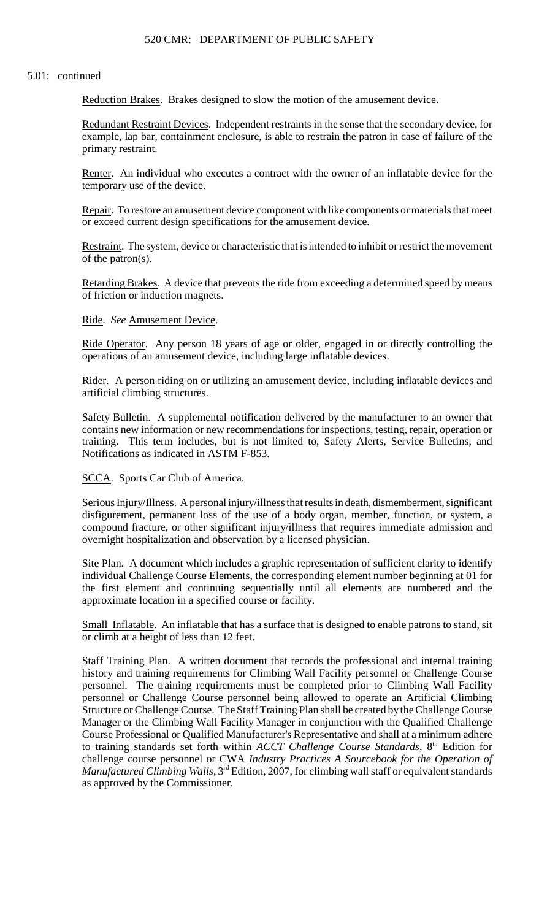# 520 CMR: DEPARTMENT OF PUBLIC SAFETY

#### 5.01: continued

Reduction Brakes. Brakes designed to slow the motion of the amusement device.

Redundant Restraint Devices. Independent restraints in the sense that the secondary device, for example, lap bar, containment enclosure, is able to restrain the patron in case of failure of the primary restraint.

Renter. An individual who executes a contract with the owner of an inflatable device for the temporary use of the device.

Repair. To restore an amusement device component with like components or materials that meet or exceed current design specifications for the amusement device.

Restraint. The system, device or characteristic that is intended to inhibit or restrict the movement of the patron(s).

Retarding Brakes. A device that prevents the ride from exceeding a determined speed by means of friction or induction magnets.

### Ride. *See* Amusement Device.

Ride Operator. Any person 18 years of age or older, engaged in or directly controlling the operations of an amusement device, including large inflatable devices.

Rider. A person riding on or utilizing an amusement device, including inflatable devices and artificial climbing structures.

Safety Bulletin. A supplemental notification delivered by the manufacturer to an owner that contains new information or new recommendations for inspections, testing, repair, operation or training. This term includes, but is not limited to, Safety Alerts, Service Bulletins, and Notifications as indicated in ASTM F-853.

SCCA. Sports Car Club of America.

Serious Injury/Illness. A personal injury/illness that results in death, dismemberment, significant disfigurement, permanent loss of the use of a body organ, member, function, or system, a compound fracture, or other significant injury/illness that requires immediate admission and overnight hospitalization and observation by a licensed physician.

Site Plan. A document which includes a graphic representation of sufficient clarity to identify individual Challenge Course Elements, the corresponding element number beginning at 01 for the first element and continuing sequentially until all elements are numbered and the approximate location in a specified course or facility.

Small Inflatable. An inflatable that has a surface that is designed to enable patrons to stand, sit or climb at a height of less than 12 feet.

 Structure or Challenge Course. The Staff Training Plan shall be created by the Challenge Course Manager or the Climbing Wall Facility Manager in conjunction with the Qualified Challenge Staff Training Plan. A written document that records the professional and internal training history and training requirements for Climbing Wall Facility personnel or Challenge Course personnel. The training requirements must be completed prior to Climbing Wall Facility personnel or Challenge Course personnel being allowed to operate an Artificial Climbing Course Professional or Qualified Manufacturer's Representative and shall at a minimum adhere to training standards set forth within *ACCT Challenge Course Standards*, 8<sup>th</sup> Edition for challenge course personnel or CWA *Industry Practices A Sourcebook for the Operation of Manufactured Climbing Walls*, 3<sup>rd</sup> Edition, 2007, for climbing wall staff or equivalent standards as approved by the Commissioner.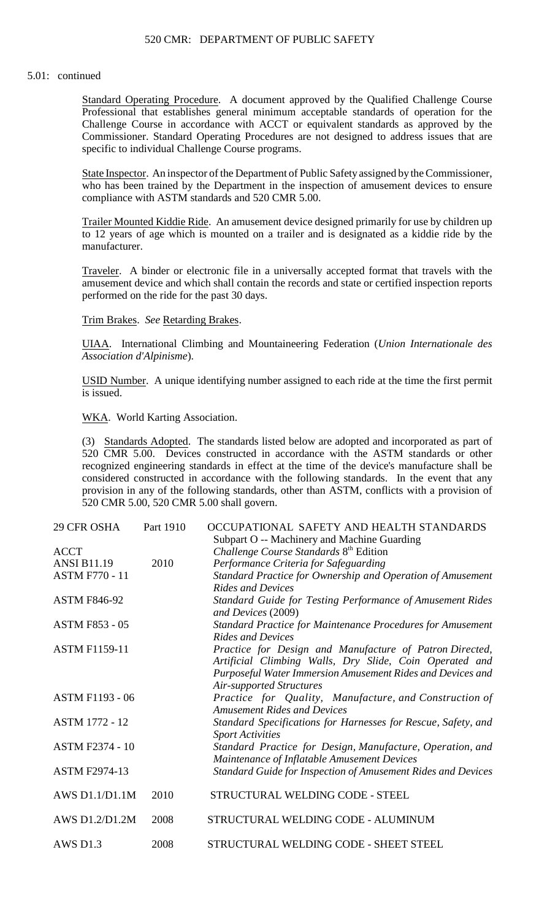Standard Operating Procedure. A document approved by the Qualified Challenge Course Professional that establishes general minimum acceptable standards of operation for the Challenge Course in accordance with ACCT or equivalent standards as approved by the Commissioner. Standard Operating Procedures are not designed to address issues that are specific to individual Challenge Course programs.

State Inspector. An inspector of the Department of Public Safety assigned by the Commissioner, who has been trained by the Department in the inspection of amusement devices to ensure compliance with ASTM standards and 520 CMR 5.00.

Trailer Mounted Kiddie Ride. An amusement device designed primarily for use by children up to 12 years of age which is mounted on a trailer and is designated as a kiddie ride by the manufacturer.

 amusement device and which shall contain the records and state or certified inspection reports Traveler. A binder or electronic file in a universally accepted format that travels with the performed on the ride for the past 30 days.

Trim Brakes. *See* Retarding Brakes.

UIAA. International Climbing and Mountaineering Federation (*Union Internationale des Association d'Alpinisme*).

 USID Number. A unique identifying number assigned to each ride at the time the first permit is issued.

WKA. World Karting Association.

 (3) Standards Adopted. The standards listed below are adopted and incorporated as part of recognized engineering standards in effect at the time of the device's manufacture shall be 520 CMR 5.00. Devices constructed in accordance with the ASTM standards or other considered constructed in accordance with the following standards. In the event that any provision in any of the following standards, other than ASTM, conflicts with a provision of 520 CMR 5.00, 520 CMR 5.00 shall govern.

| 29 CFR OSHA            | Part 1910 | OCCUPATIONAL SAFETY AND HEALTH STANDARDS                                                                           |
|------------------------|-----------|--------------------------------------------------------------------------------------------------------------------|
|                        |           | Subpart O -- Machinery and Machine Guarding                                                                        |
| <b>ACCT</b>            |           | Challenge Course Standards 8 <sup>th</sup> Edition                                                                 |
| <b>ANSI B11.19</b>     | 2010      | Performance Criteria for Safeguarding                                                                              |
| <b>ASTM F770 - 11</b>  |           | Standard Practice for Ownership and Operation of Amusement<br><b>Rides and Devices</b>                             |
| <b>ASTM F846-92</b>    |           | Standard Guide for Testing Performance of Amusement Rides<br>and Devices (2009)                                    |
| <b>ASTM F853 - 05</b>  |           | Standard Practice for Maintenance Procedures for Amusement<br><b>Rides and Devices</b>                             |
| <b>ASTM F1159-11</b>   |           | Practice for Design and Manufacture of Patron Directed,<br>Artificial Climbing Walls, Dry Slide, Coin Operated and |
|                        |           | Purposeful Water Immersion Amusement Rides and Devices and<br><b>Air-supported Structures</b>                      |
| <b>ASTM F1193 - 06</b> |           | Practice for Quality, Manufacture, and Construction of<br><b>Amusement Rides and Devices</b>                       |
| <b>ASTM 1772 - 12</b>  |           | Standard Specifications for Harnesses for Rescue, Safety, and<br><b>Sport Activities</b>                           |
| <b>ASTM F2374 - 10</b> |           | Standard Practice for Design, Manufacture, Operation, and<br>Maintenance of Inflatable Amusement Devices           |
| <b>ASTM F2974-13</b>   |           | Standard Guide for Inspection of Amusement Rides and Devices                                                       |
| AWS D1.1/D1.1M         | 2010      | STRUCTURAL WELDING CODE - STEEL                                                                                    |
| AWS D1.2/D1.2M         | 2008      | STRUCTURAL WELDING CODE - ALUMINUM                                                                                 |
| AWS D1.3               | 2008      | STRUCTURAL WELDING CODE - SHEET STEEL                                                                              |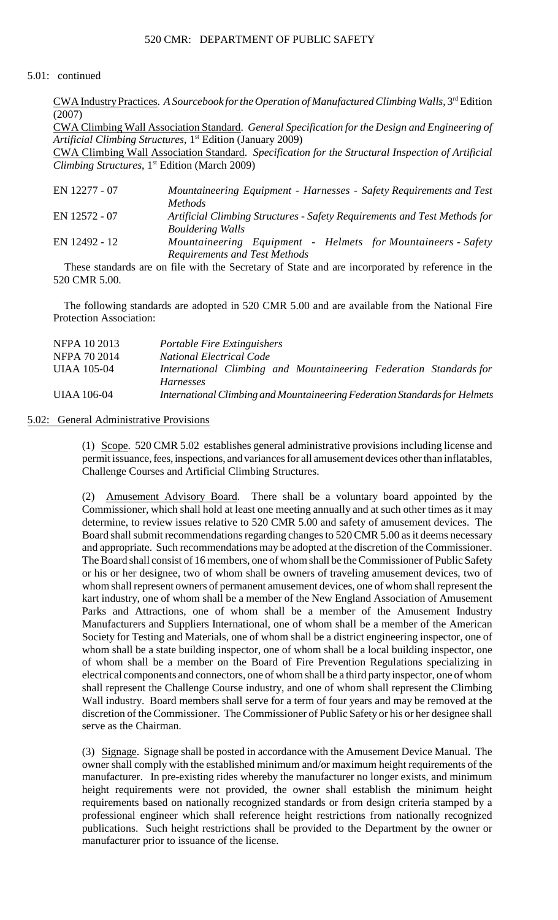CWA IndustryPractices. *A Sourcebook for the Operation of Manufactured Climbing Walls*, 3rd Edition (2007)

CWA Climbing Wall Association Standard. *General Specification for the Design and Engineering of* Artificial Climbing Structures, 1<sup>st</sup> Edition (January 2009)

CWA Climbing Wall Association Standard. *Specification for the Structural Inspection of Artificial* Climbing Structures, 1<sup>st</sup> Edition (March 2009)

| EN 12277 - 07 | Mountaineering Equipment - Harnesses - Safety Requirements and Test       |
|---------------|---------------------------------------------------------------------------|
|               | <i>Methods</i>                                                            |
| EN 12572 - 07 | Artificial Climbing Structures - Safety Requirements and Test Methods for |
|               | <b>Bouldering Walls</b>                                                   |
| EN 12492 - 12 | Mountaineering Equipment - Helmets for Mountaineers - Safety              |
|               | <b>Requirements and Test Methods</b>                                      |

 These standards are on file with the Secretary of State and are incorporated by reference in the 520 CMR 5.00.

 The following standards are adopted in 520 CMR 5.00 and are available from the National Fire Protection Association:

| NFPA 10 2013 | Portable Fire Extinguishers                                                |
|--------------|----------------------------------------------------------------------------|
| NFPA 70 2014 | <b>National Electrical Code</b>                                            |
| UIAA 105-04  | International Climbing and Mountaineering Federation Standards for         |
|              | <i>Harnesses</i>                                                           |
| UIAA 106-04  | International Climbing and Mountaineering Federation Standards for Helmets |

# 5.02: General Administrative Provisions

(1) Scope. 520 CMR 5.02 establishes general administrative provisions including license and permit issuance, fees, inspections, and variances for all amusement devices other than inflatables, Challenge Courses and Artificial Climbing Structures.

 shall represent the Challenge Course industry, and one of whom shall represent the Climbing discretion of the Commissioner. The Commissioner of Public Safety or his or her designee shall (2) Amusement Advisory Board. There shall be a voluntary board appointed by the Commissioner, which shall hold at least one meeting annually and at such other times as it may determine, to review issues relative to 520 CMR 5.00 and safety of amusement devices. The Board shall submit recommendations regarding changes to 520 CMR 5.00 as it deems necessary and appropriate. Such recommendations may be adopted at the discretion of the Commissioner. The Board shall consist of 16 members, one of whom shall be the Commissioner of Public Safety or his or her designee, two of whom shall be owners of traveling amusement devices, two of whom shall represent owners of permanent amusement devices, one of whom shall represent the kart industry, one of whom shall be a member of the New England Association of Amusement Parks and Attractions, one of whom shall be a member of the Amusement Industry Manufacturers and Suppliers International, one of whom shall be a member of the American Society for Testing and Materials, one of whom shall be a district engineering inspector, one of whom shall be a state building inspector, one of whom shall be a local building inspector, one of whom shall be a member on the Board of Fire Prevention Regulations specializing in electrical components and connectors, one of whom shall be a third party inspector, one of whom Wall industry. Board members shall serve for a term of four years and may be removed at the serve as the Chairman.

(3) Signage. Signage shall be posted in accordance with the Amusement Device Manual. The owner shall comply with the established minimum and/or maximum height requirements of the manufacturer. In pre-existing rides whereby the manufacturer no longer exists, and minimum height requirements were not provided, the owner shall establish the minimum height requirements based on nationally recognized standards or from design criteria stamped by a professional engineer which shall reference height restrictions from nationally recognized publications. Such height restrictions shall be provided to the Department by the owner or manufacturer prior to issuance of the license.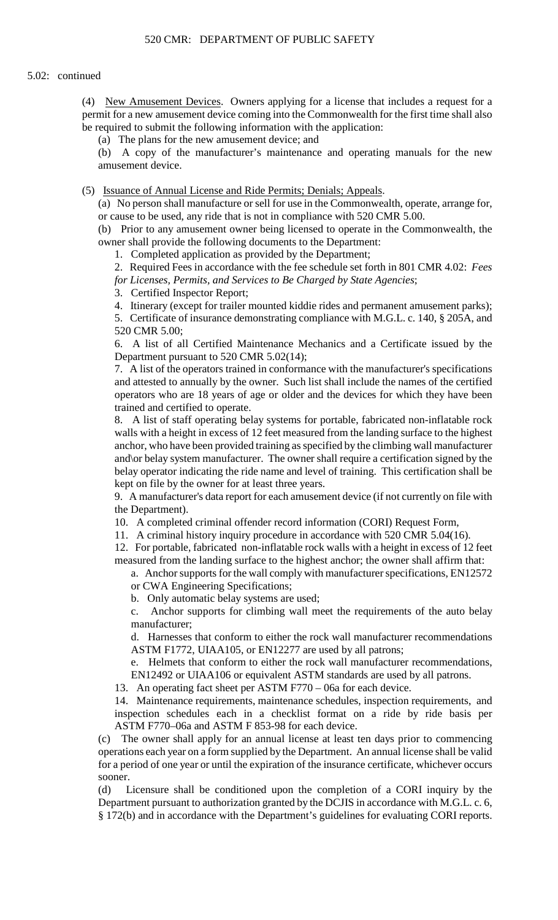permit for a new amusement device coming into the Commonwealth for the first time shall also (4) New Amusement Devices. Owners applying for a license that includes a request for a be required to submit the following information with the application:

(a) The plans for the new amusement device; and

(b) A copy of the manufacturer's maintenance and operating manuals for the new amusement device.

(5) Issuance of Annual License and Ride Permits; Denials; Appeals.

 (a) No person shall manufacture or sell for use in the Commonwealth, operate, arrange for, or cause to be used, any ride that is not in compliance with 520 CMR 5.00.

(b) Prior to any amusement owner being licensed to operate in the Commonwealth, the owner shall provide the following documents to the Department:

1. Completed application as provided by the Department;

 2. Required Fees in accordance with the fee schedule set forth in 801 CMR 4.02: *Fees for Licenses, Permits, and Services to Be Charged by State Agencies*;

3. Certified Inspector Report;

4. Itinerary (except for trailer mounted kiddie rides and permanent amusement parks);

 5. Certificate of insurance demonstrating compliance with M.G.L. c. 140, § 205A, and 520 CMR 5.00;

6. A list of all Certified Maintenance Mechanics and a Certificate issued by the Department pursuant to 520 CMR 5.02(14);

7. A list of the operators trained in conformance with the manufacturer's specifications and attested to annually by the owner. Such list shall include the names of the certified operators who are 18 years of age or older and the devices for which they have been trained and certified to operate.

 walls with a height in excess of 12 feet measured from the landing surface to the highest 8. A list of staff operating belay systems for portable, fabricated non-inflatable rock anchor, who have been provided training as specified by the climbing wall manufacturer and\or belay system manufacturer. The owner shall require a certification signed by the belay operator indicating the ride name and level of training. This certification shall be kept on file by the owner for at least three years.

 9. A manufacturer's data report for each amusement device (if not currently on file with the Department).

10. A completed criminal offender record information (CORI) Request Form,

11. A criminal history inquiry procedure in accordance with 520 CMR 5.04(16).

 12. For portable, fabricated non-inflatable rock walls with a height in excess of 12 feet measured from the landing surface to the highest anchor; the owner shall affirm that:

a. Anchor supports for the wall comply with manufacturer specifications, EN12572 or CWA Engineering Specifications;

b. Only automatic belay systems are used;

c. Anchor supports for climbing wall meet the requirements of the auto belay manufacturer;

d. Harnesses that conform to either the rock wall manufacturer recommendations ASTM F1772, UIAA105, or EN12277 are used by all patrons;

e. Helmets that conform to either the rock wall manufacturer recommendations, EN12492 or UIAA106 or equivalent ASTM standards are used by all patrons.

13. An operating fact sheet per ASTM F770 – 06a for each device.

 14. Maintenance requirements, maintenance schedules, inspection requirements, and inspection schedules each in a checklist format on a ride by ride basis per ASTM F770–06a and ASTM F 853-98 for each device.

 operations each year on a form supplied by the Department. An annual license shall be valid for a period of one year or until the expiration of the insurance certificate, whichever occurs (c) The owner shall apply for an annual license at least ten days prior to commencing sooner.

 § 172(b) and in accordance with the Department's guidelines for evaluating CORI reports. (d) Licensure shall be conditioned upon the completion of a CORI inquiry by the Department pursuant to authorization granted by the DCJIS in accordance with M.G.L. c. 6,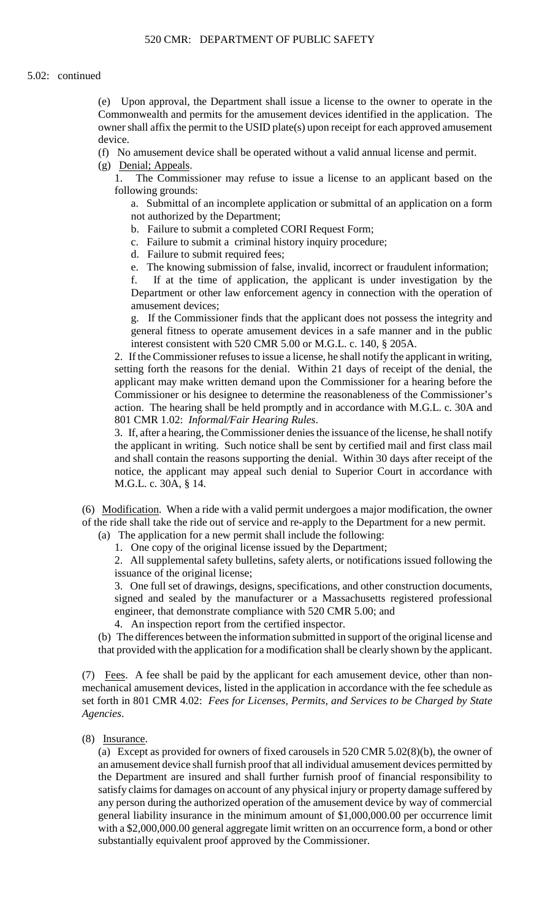(e) Upon approval, the Department shall issue a license to the owner to operate in the Commonwealth and permits for the amusement devices identified in the application. The owner shall affix the permit to the USID plate(s) upon receipt for each approved amusement device.

(f) No amusement device shall be operated without a valid annual license and permit.

(g) Denial; Appeals.

1. The Commissioner may refuse to issue a license to an applicant based on the following grounds:

a. Submittal of an incomplete application or submittal of an application on a form not authorized by the Department;

- b. Failure to submit a completed CORI Request Form;
- c. Failure to submit a criminal history inquiry procedure;
- d. Failure to submit required fees;
- e. The knowing submission of false, invalid, incorrect or fraudulent information;

f. If at the time of application, the applicant is under investigation by the Department or other law enforcement agency in connection with the operation of amusement devices;

g. If the Commissioner finds that the applicant does not possess the integrity and general fitness to operate amusement devices in a safe manner and in the public interest consistent with 520 CMR 5.00 or M.G.L. c. 140, § 205A.

 2. If the Commissioner refuses to issue a license, he shall notify the applicant in writing, setting forth the reasons for the denial. Within 21 days of receipt of the denial, the applicant may make written demand upon the Commissioner for a hearing before the Commissioner or his designee to determine the reasonableness of the Commissioner's action. The hearing shall be held promptly and in accordance with M.G.L. c. 30A and 801 CMR 1.02: *Informal/Fair Hearing Rules*.

3. If, after a hearing, the Commissioner denies the issuance of the license, he shall notify the applicant in writing. Such notice shall be sent by certified mail and first class mail and shall contain the reasons supporting the denial. Within 30 days after receipt of the notice, the applicant may appeal such denial to Superior Court in accordance with M.G.L. c. 30A, § 14.

(6) Modification. When a ride with a valid permit undergoes a major modification, the owner of the ride shall take the ride out of service and re-apply to the Department for a new permit.

(a) The application for a new permit shall include the following:

1. One copy of the original license issued by the Department;

2. All supplemental safety bulletins, safety alerts, or notifications issued following the issuance of the original license;

 3. One full set of drawings, designs, specifications, and other construction documents, signed and sealed by the manufacturer or a Massachusetts registered professional engineer, that demonstrate compliance with 520 CMR 5.00; and

4. An inspection report from the certified inspector.

(b) The differences between the information submitted in support of the original license and that provided with the application for a modification shall be clearly shown by the applicant.

 mechanical amusement devices, listed in the application in accordance with the fee schedule as  set forth in 801 CMR 4.02: *Fees for Licenses, Permits, and Services to be Charged by State*  (7) Fees. A fee shall be paid by the applicant for each amusement device, other than non-*Agencies*.

# (8) Insurance.

(a) Except as provided for owners of fixed carousels in 520 CMR 5.02(8)(b), the owner of an amusement device shall furnish proof that all individual amusement devices permitted by the Department are insured and shall further furnish proof of financial responsibility to satisfy claims for damages on account of any physical injury or property damage suffered by any person during the authorized operation of the amusement device by way of commercial general liability insurance in the minimum amount of \$1,000,000.00 per occurrence limit with a \$2,000,000.00 general aggregate limit written on an occurrence form, a bond or other substantially equivalent proof approved by the Commissioner.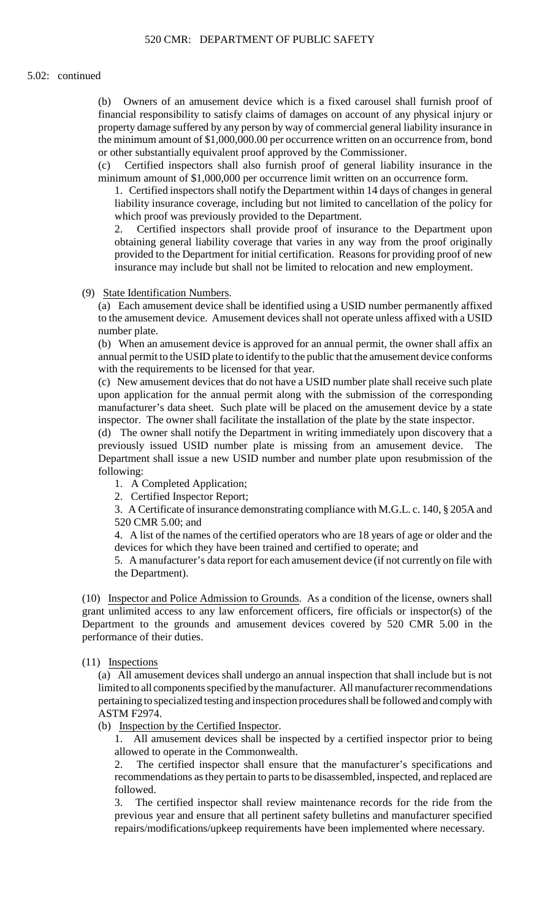(b) Owners of an amusement device which is a fixed carousel shall furnish proof of property damage suffered by any person by way of commercial general liability insurance in financial responsibility to satisfy claims of damages on account of any physical injury or the minimum amount of \$1,000,000.00 per occurrence written on an occurrence from, bond or other substantially equivalent proof approved by the Commissioner.

 $(c)$ Certified inspectors shall also furnish proof of general liability insurance in the minimum amount of \$1,000,000 per occurrence limit written on an occurrence form.

 liability insurance coverage, including but not limited to cancellation of the policy for 1. Certified inspectors shall notify the Department within 14 days of changes in general which proof was previously provided to the Department.

 obtaining general liability coverage that varies in any way from the proof originally 2. Certified inspectors shall provide proof of insurance to the Department upon provided to the Department for initial certification. Reasons for providing proof of new insurance may include but shall not be limited to relocation and new employment.

### (9) State Identification Numbers.

 to the amusement device. Amusement devices shall not operate unless affixed with a USID (a) Each amusement device shall be identified using a USID number permanently affixed number plate.

 annual permit to the USID plate to identify to the public that the amusement device conforms (b) When an amusement device is approved for an annual permit, the owner shall affix an with the requirements to be licensed for that year.

(c) New amusement devices that do not have a USID number plate shall receive such plate upon application for the annual permit along with the submission of the corresponding manufacturer's data sheet. Such plate will be placed on the amusement device by a state inspector. The owner shall facilitate the installation of the plate by the state inspector.

(d) The owner shall notify the Department in writing immediately upon discovery that a previously issued USID number plate is missing from an amusement device. The Department shall issue a new USID number and number plate upon resubmission of the following:

- 1. A Completed Application;
- 2. Certified Inspector Report;

3. A Certificate of insurance demonstrating compliance with M.G.L. c. 140, § 205A and 520 CMR 5.00; and

4. A list of the names of the certified operators who are 18 years of age or older and the devices for which they have been trained and certified to operate; and

 5. A manufacturer's data report for each amusement device (if not currently on file with the Department).

(10) Inspector and Police Admission to Grounds. As a condition of the license, owners shall Department to the grounds and amusement devices covered by 520 CMR 5.00 in the grant unlimited access to any law enforcement officers, fire officials or inspector(s) of the performance of their duties.

# (11) Inspections

(a) All amusement devices shall undergo an annual inspection that shall include but is not limited to all components specified by the manufacturer. All manufacturer recommendations pertaining to specialized testing and inspection procedures shall be followed and comply with ASTM F2974.

# (b) Inspection by the Certified Inspector.

1. All amusement devices shall be inspected by a certified inspector prior to being allowed to operate in the Commonwealth.

2. The certified inspector shall ensure that the manufacturer's specifications and recommendations as they pertain to parts to be disassembled, inspected, and replaced are followed.

The certified inspector shall review maintenance records for the ride from the previous year and ensure that all pertinent safety bulletins and manufacturer specified repairs/modifications/upkeep requirements have been implemented where necessary.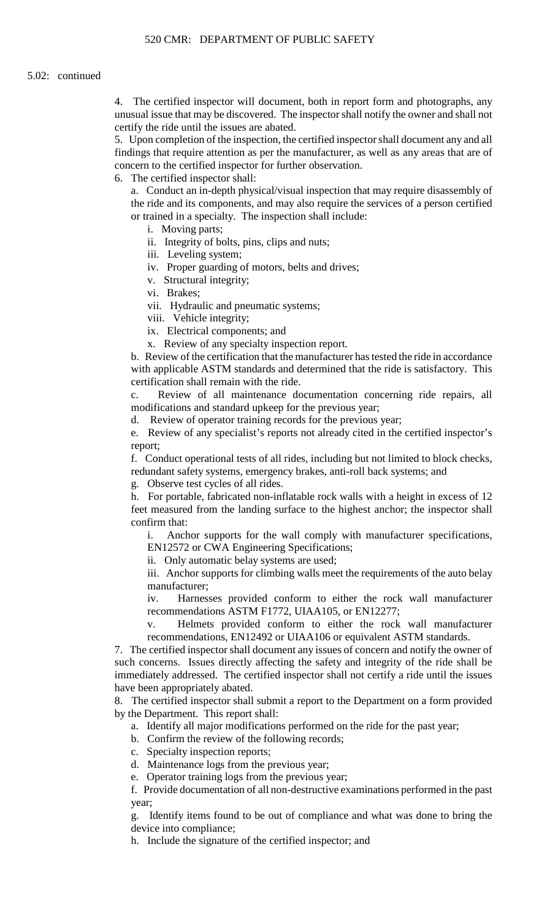4. The certified inspector will document, both in report form and photographs, any unusual issue that may be discovered. The inspector shall notify the owner and shall not certify the ride until the issues are abated.

 5. Upon completion of the inspection, the certified inspector shall document any and all findings that require attention as per the manufacturer, as well as any areas that are of concern to the certified inspector for further observation.

6. The certified inspector shall:

a. Conduct an in-depth physical/visual inspection that may require disassembly of the ride and its components, and may also require the services of a person certified or trained in a specialty. The inspection shall include:

- i. Moving parts;
- ii. Integrity of bolts, pins, clips and nuts;
- iii. Leveling system;
- iv. Proper guarding of motors, belts and drives;
- v. Structural integrity;
- vi. Brakes;
- vii. Hydraulic and pneumatic systems;
- viii. Vehicle integrity;
- ix. Electrical components; and
- x. Review of any specialty inspection report.

b. Review of the certification that the manufacturer has tested the ride in accordance with applicable ASTM standards and determined that the ride is satisfactory. This certification shall remain with the ride.

c. Review of all maintenance documentation concerning ride repairs, all modifications and standard upkeep for the previous year;

d. Review of operator training records for the previous year;

e. Review of any specialist's reports not already cited in the certified inspector's report;

 f. Conduct operational tests of all rides, including but not limited to block checks, redundant safety systems, emergency brakes, anti-roll back systems; and

g. Observe test cycles of all rides.

 h. For portable, fabricated non-inflatable rock walls with a height in excess of 12 feet measured from the landing surface to the highest anchor; the inspector shall confirm that:

i. Anchor supports for the wall comply with manufacturer specifications, EN12572 or CWA Engineering Specifications;

ii. Only automatic belay systems are used;

iii. Anchor supports for climbing walls meet the requirements of the auto belay manufacturer;

iv. Harnesses provided conform to either the rock wall manufacturer recommendations ASTM F1772, UIAA105, or EN12277;

Helmets provided conform to either the rock wall manufacturer recommendations, EN12492 or UIAA106 or equivalent ASTM standards.

 such concerns. Issues directly affecting the safety and integrity of the ride shall be 7. The certified inspector shall document any issues of concern and notify the owner of immediately addressed. The certified inspector shall not certify a ride until the issues have been appropriately abated.

8. The certified inspector shall submit a report to the Department on a form provided by the Department. This report shall:

a. Identify all major modifications performed on the ride for the past year;

b. Confirm the review of the following records;

c. Specialty inspection reports;

- d. Maintenance logs from the previous year;
- e. Operator training logs from the previous year;

f. Provide documentation of all non-destructive examinations performed in the past year;

g. Identify items found to be out of compliance and what was done to bring the device into compliance;

h. Include the signature of the certified inspector; and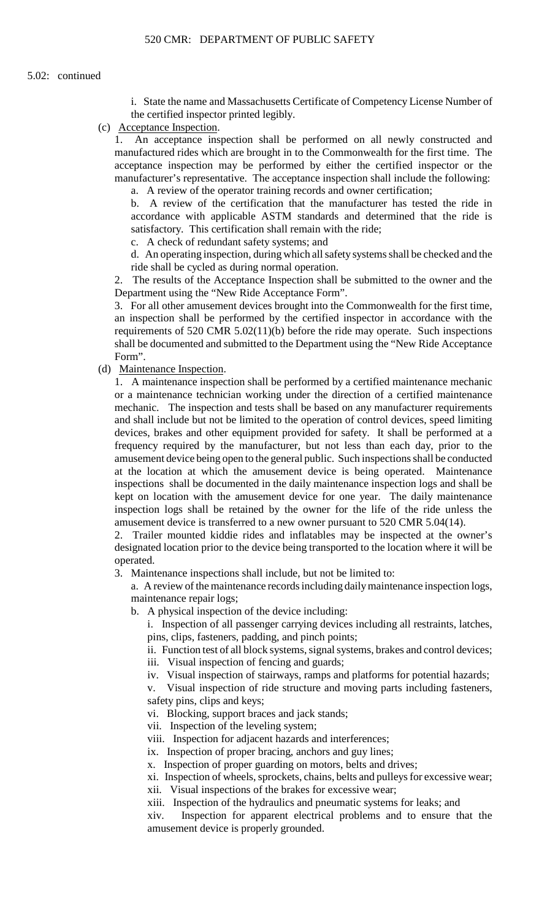i. State the name and Massachusetts Certificate of Competency License Number of the certified inspector printed legibly.

(c) Acceptance Inspection.

1. An acceptance inspection shall be performed on all newly constructed and manufactured rides which are brought in to the Commonwealth for the first time. The acceptance inspection may be performed by either the certified inspector or the manufacturer's representative. The acceptance inspection shall include the following: a. A review of the operator training records and owner certification;

b. A review of the certification that the manufacturer has tested the ride in accordance with applicable ASTM standards and determined that the ride is satisfactory. This certification shall remain with the ride;

c. A check of redundant safety systems; and

d. An operating inspection, during which all safety systems shall be checked and the ride shall be cycled as during normal operation.

2. The results of the Acceptance Inspection shall be submitted to the owner and the Department using the "New Ride Acceptance Form".

 3. For all other amusement devices brought into the Commonwealth for the first time, an inspection shall be performed by the certified inspector in accordance with the requirements of 520 CMR 5.02(11)(b) before the ride may operate. Such inspections shall be documented and submitted to the Department using the "New Ride Acceptance Form".

(d) Maintenance Inspection.

 inspection logs shall be retained by the owner for the life of the ride unless the 1. A maintenance inspection shall be performed by a certified maintenance mechanic or a maintenance technician working under the direction of a certified maintenance mechanic. The inspection and tests shall be based on any manufacturer requirements and shall include but not be limited to the operation of control devices, speed limiting devices, brakes and other equipment provided for safety. It shall be performed at a frequency required by the manufacturer, but not less than each day, prior to the amusement device being open to the general public. Such inspections shall be conducted at the location at which the amusement device is being operated. Maintenance inspections shall be documented in the daily maintenance inspection logs and shall be kept on location with the amusement device for one year. The daily maintenance amusement device is transferred to a new owner pursuant to 520 CMR 5.04(14).

 2. Trailer mounted kiddie rides and inflatables may be inspected at the owner's designated location prior to the device being transported to the location where it will be operated.

3. Maintenance inspections shall include, but not be limited to:

a. A review of the maintenance records including daily maintenance inspection logs, maintenance repair logs;

b. A physical inspection of the device including:

i. Inspection of all passenger carrying devices including all restraints, latches, pins, clips, fasteners, padding, and pinch points;

ii. Function test of all block systems, signal systems, brakes and control devices;

iii. Visual inspection of fencing and guards;

iv. Visual inspection of stairways, ramps and platforms for potential hazards;

v. Visual inspection of ride structure and moving parts including fasteners, safety pins, clips and keys;

vi. Blocking, support braces and jack stands;

vii. Inspection of the leveling system;

viii. Inspection for adjacent hazards and interferences;

ix. Inspection of proper bracing, anchors and guy lines;

x. Inspection of proper guarding on motors, belts and drives;

xi. Inspection of wheels, sprockets, chains, belts and pulleys for excessive wear;

xii. Visual inspections of the brakes for excessive wear;

xiii. Inspection of the hydraulics and pneumatic systems for leaks; and

 $\dot{x}$ iv Inspection for apparent electrical problems and to ensure that the amusement device is properly grounded.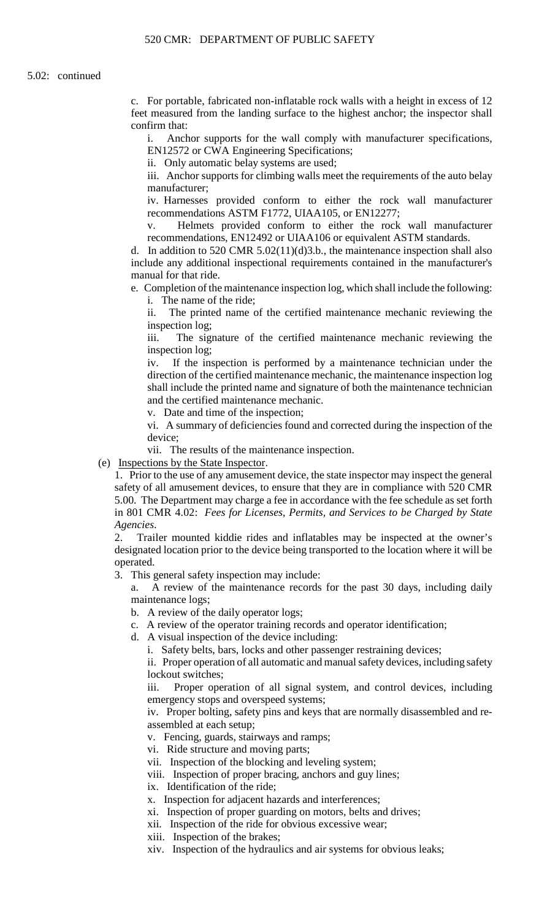feet measured from the landing surface to the highest anchor; the inspector shall c. For portable, fabricated non-inflatable rock walls with a height in excess of 12 confirm that:

i. Anchor supports for the wall comply with manufacturer specifications, EN12572 or CWA Engineering Specifications;

ii. Only automatic belay systems are used;

iii. Anchor supports for climbing walls meet the requirements of the auto belay manufacturer;

iv. Harnesses provided conform to either the rock wall manufacturer recommendations ASTM F1772, UIAA105, or EN12277;

 v. Helmets provided conform to either the rock wall manufacturer recommendations, EN12492 or UIAA106 or equivalent ASTM standards.

d. In addition to 520 CMR 5.02(11)(d)3.b., the maintenance inspection shall also include any additional inspectional requirements contained in the manufacturer's manual for that ride.

e. Completion of the maintenance inspection log, which shall include the following: i. The name of the ride;

ii. The printed name of the certified maintenance mechanic reviewing the inspection log;

iii. The signature of the certified maintenance mechanic reviewing the inspection log;

iv. If the inspection is performed by a maintenance technician under the direction of the certified maintenance mechanic, the maintenance inspection log shall include the printed name and signature of both the maintenance technician and the certified maintenance mechanic.

v. Date and time of the inspection;

 vi. A summary of deficiencies found and corrected during the inspection of the device;

vii. The results of the maintenance inspection.

(e) Inspections by the State Inspector.

 safety of all amusement devices, to ensure that they are in compliance with 520 CMR 5.00. The Department may charge a fee in accordance with the fee schedule as set forth 1. Prior to the use of any amusement device, the state inspector may inspect the general in 801 CMR 4.02: *Fees for Licenses, Permits, and Services to be Charged by State Agencies*.

2. Trailer mounted kiddie rides and inflatables may be inspected at the owner's designated location prior to the device being transported to the location where it will be operated.

3. This general safety inspection may include:

a. A review of the maintenance records for the past 30 days, including daily maintenance logs;

b. A review of the daily operator logs;

- c. A review of the operator training records and operator identification;
- d. A visual inspection of the device including:

i. Safety belts, bars, locks and other passenger restraining devices;

 ii. Proper operation of all automatic and manual safety devices, including safety lockout switches;

iii. Proper operation of all signal system, and control devices, including emergency stops and overspeed systems;

iv. Proper bolting, safety pins and keys that are normally disassembled and reassembled at each setup;

v. Fencing, guards, stairways and ramps;

vi. Ride structure and moving parts;

vii. Inspection of the blocking and leveling system;

viii. Inspection of proper bracing, anchors and guy lines;

ix. Identification of the ride;

x. Inspection for adjacent hazards and interferences;

xi. Inspection of proper guarding on motors, belts and drives;

xii. Inspection of the ride for obvious excessive wear;

xiii. Inspection of the brakes;

xiv. Inspection of the hydraulics and air systems for obvious leaks;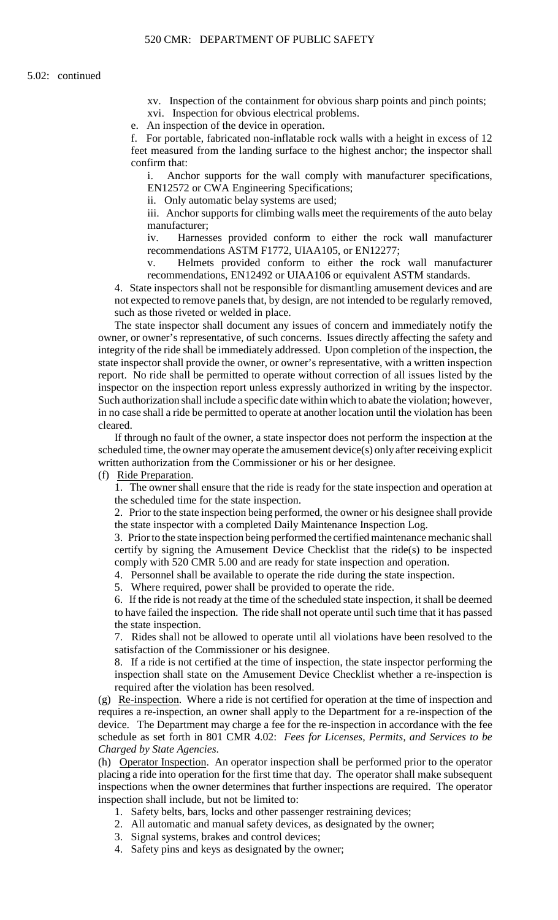xv. Inspection of the containment for obvious sharp points and pinch points; xvi. Inspection for obvious electrical problems.

e. An inspection of the device in operation.

f. For portable, fabricated non-inflatable rock walls with a height in excess of 12 feet measured from the landing surface to the highest anchor; the inspector shall confirm that:

i. Anchor supports for the wall comply with manufacturer specifications, EN12572 or CWA Engineering Specifications;

ii. Only automatic belay systems are used;

iii. Anchor supports for climbing walls meet the requirements of the auto belay manufacturer;

iv. Harnesses provided conform to either the rock wall manufacturer recommendations ASTM F1772, UIAA105, or EN12277;

v. Helmets provided conform to either the rock wall manufacturer recommendations, EN12492 or UIAA106 or equivalent ASTM standards.

 not expected to remove panels that, by design, are not intended to be regularly removed, 4. State inspectors shall not be responsible for dismantling amusement devices and are such as those riveted or welded in place.

 inspector on the inspection report unless expressly authorized in writing by the inspector. The state inspector shall document any issues of concern and immediately notify the owner, or owner's representative, of such concerns. Issues directly affecting the safety and integrity of the ride shall be immediately addressed. Upon completion of the inspection, the state inspector shall provide the owner, or owner's representative, with a written inspection report. No ride shall be permitted to operate without correction of all issues listed by the Such authorization shall include a specific date within which to abate the violation; however, in no case shall a ride be permitted to operate at another location until the violation has been cleared.

 scheduled time, the owner may operate the amusement device(s) only after receiving explicit If through no fault of the owner, a state inspector does not perform the inspection at the written authorization from the Commissioner or his or her designee.

(f) Ride Preparation.

1. The owner shall ensure that the ride is ready for the state inspection and operation at the scheduled time for the state inspection.

2. Prior to the state inspection being performed, the owner or his designee shall provide the state inspector with a completed Daily Maintenance Inspection Log.

3. Prior to the state inspection being performed the certified maintenance mechanic shall certify by signing the Amusement Device Checklist that the ride(s) to be inspected comply with 520 CMR 5.00 and are ready for state inspection and operation.

4. Personnel shall be available to operate the ride during the state inspection.

5. Where required, power shall be provided to operate the ride.

6. If the ride is not ready at the time of the scheduled state inspection, it shall be deemed to have failed the inspection. The ride shall not operate until such time that it has passed the state inspection.

 7. Rides shall not be allowed to operate until all violations have been resolved to the satisfaction of the Commissioner or his designee.

8. If a ride is not certified at the time of inspection, the state inspector performing the inspection shall state on the Amusement Device Checklist whether a re-inspection is required after the violation has been resolved.

(g) Re-inspection. Where a ride is not certified for operation at the time of inspection and requires a re-inspection, an owner shall apply to the Department for a re-inspection of the device. The Department may charge a fee for the re-inspection in accordance with the fee schedule as set forth in 801 CMR 4.02: *Fees for Licenses, Permits, and Services to be Charged by State Agencies*.

 (h) Operator Inspection. An operator inspection shall be performed prior to the operator inspections when the owner determines that further inspections are required. The operator placing a ride into operation for the first time that day. The operator shall make subsequent inspection shall include, but not be limited to:

- 1. Safety belts, bars, locks and other passenger restraining devices;
- 2. All automatic and manual safety devices, as designated by the owner;
- 3. Signal systems, brakes and control devices;
- 4. Safety pins and keys as designated by the owner;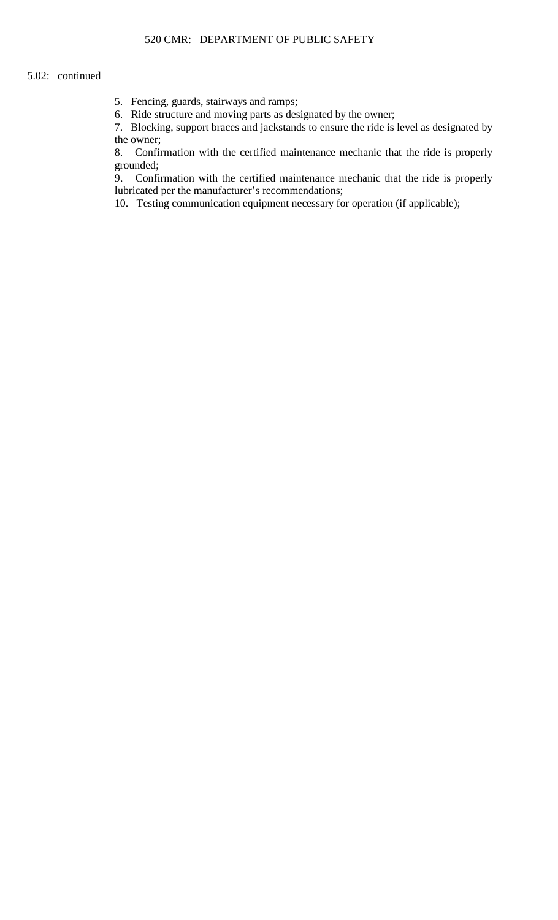- 5. Fencing, guards, stairways and ramps;
- 6. Ride structure and moving parts as designated by the owner;

7. Blocking, support braces and jackstands to ensure the ride is level as designated by the owner;

8. Confirmation with the certified maintenance mechanic that the ride is properly grounded;

 9. Confirmation with the certified maintenance mechanic that the ride is properly lubricated per the manufacturer's recommendations;

10. Testing communication equipment necessary for operation (if applicable);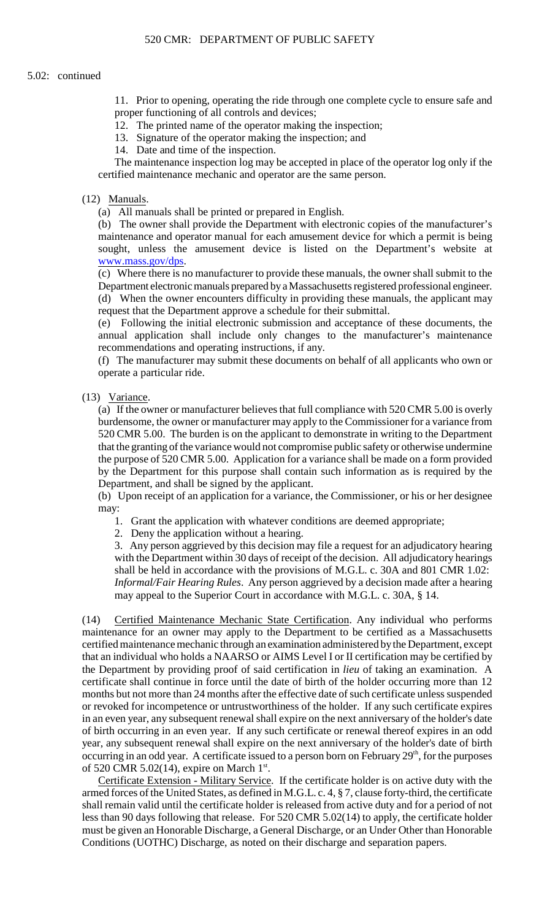11. Prior to opening, operating the ride through one complete cycle to ensure safe and proper functioning of all controls and devices;

12. The printed name of the operator making the inspection;

13. Signature of the operator making the inspection; and

14. Date and time of the inspection.

The maintenance inspection log may be accepted in place of the operator log only if the certified maintenance mechanic and operator are the same person.

### (12) Manuals.

(a) All manuals shall be printed or prepared in English.

(b) The owner shall provide the Department with electronic copies of the manufacturer's maintenance and operator manual for each amusement device for which a permit is being sought, unless the amusement device is listed on the Department's website at [www.mass.gov/dps](http://www.mass.gov/dps).

(c) Where there is no manufacturer to provide these manuals, the owner shall submit to the Department electronic manuals prepared by a Massachusetts registered professional engineer. (d) When the owner encounters difficulty in providing these manuals, the applicant may request that the Department approve a schedule for their submittal.

(e) Following the initial electronic submission and acceptance of these documents, the annual application shall include only changes to the manufacturer's maintenance recommendations and operating instructions, if any.

(f) The manufacturer may submit these documents on behalf of all applicants who own or operate a particular ride.

### (13) Variance.

 burdensome, the owner or manufacturer may apply to the Commissioner for a variance from (a) If the owner or manufacturer believes that full compliance with 520 CMR 5.00 is overly 520 CMR 5.00. The burden is on the applicant to demonstrate in writing to the Department that the granting of the variance would not compromise public safety or otherwise undermine the purpose of 520 CMR 5.00. Application for a variance shall be made on a form provided by the Department for this purpose shall contain such information as is required by the Department, and shall be signed by the applicant.

(b) Upon receipt of an application for a variance, the Commissioner, or his or her designee may:

1. Grant the application with whatever conditions are deemed appropriate;

2. Deny the application without a hearing.

 with the Department within 30 days of receipt of the decision. All adjudicatory hearings *Informal/Fair Hearing Rules*. Any person aggrieved by a decision made after a hearing 3. Any person aggrieved by this decision may file a request for an adjudicatory hearing shall be held in accordance with the provisions of M.G.L. c. 30A and 801 CMR 1.02: may appeal to the Superior Court in accordance with M.G.L. c. 30A, § 14.

 certificate shall continue in force until the date of birth of the holder occurring more than 12 in an even year, any subsequent renewal shall expire on the next anniversary of the holder's date (14) Certified Maintenance Mechanic State Certification. Any individual who performs maintenance for an owner may apply to the Department to be certified as a Massachusetts certified maintenance mechanic through an examination administered by the Department, except that an individual who holds a NAARSO or AIMS Level I or II certification may be certified by the Department by providing proof of said certification in *lieu* of taking an examination. A months but not more than 24 months after the effective date of such certificate unless suspended or revoked for incompetence or untrustworthiness of the holder. If any such certificate expires of birth occurring in an even year. If any such certificate or renewal thereof expires in an odd year, any subsequent renewal shall expire on the next anniversary of the holder's date of birth occurring in an odd year. A certificate issued to a person born on February  $29<sup>th</sup>$ , for the purposes of 520 CMR 5.02(14), expire on March  $1<sup>st</sup>$ .

 Certificate Extension - Military Service. If the certificate holder is on active duty with the armed forces of the United States, as defined in M.G.L. c. 4, § 7, clause forty-third, the certificate shall remain valid until the certificate holder is released from active duty and for a period of not less than 90 days following that release. For 520 CMR 5.02(14) to apply, the certificate holder must be given an Honorable Discharge, a General Discharge, or an Under Other than Honorable Conditions (UOTHC) Discharge, as noted on their discharge and separation papers.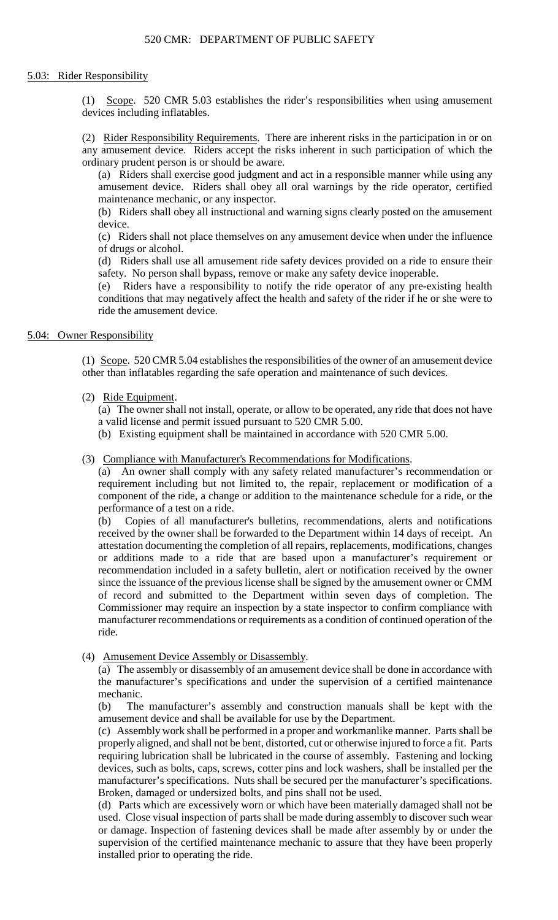# 5.03: Rider Responsibility

(1) Scope. 520 CMR 5.03 establishes the rider's responsibilities when using amusement devices including inflatables.

(2) Rider Responsibility Requirements. There are inherent risks in the participation in or on any amusement device. Riders accept the risks inherent in such participation of which the ordinary prudent person is or should be aware.

 (a) Riders shall exercise good judgment and act in a responsible manner while using any amusement device. Riders shall obey all oral warnings by the ride operator, certified maintenance mechanic, or any inspector.

(b) Riders shall obey all instructional and warning signs clearly posted on the amusement device.

(c) Riders shall not place themselves on any amusement device when under the influence of drugs or alcohol.

(d) Riders shall use all amusement ride safety devices provided on a ride to ensure their safety. No person shall bypass, remove or make any safety device inoperable.

(e) Riders have a responsibility to notify the ride operator of any pre-existing health conditions that may negatively affect the health and safety of the rider if he or she were to ride the amusement device.

# 5.04: Owner Responsibility

(1) Scope. 520 CMR 5.04 establishes the responsibilities of the owner of an amusement device other than inflatables regarding the safe operation and maintenance of such devices.

# (2) Ride Equipment.

 (a) The owner shall not install, operate, or allow to be operated, any ride that does not have a valid license and permit issued pursuant to 520 CMR 5.00.

(b) Existing equipment shall be maintained in accordance with 520 CMR 5.00.

(3) Compliance with Manufacturer's Recommendations for Modifications.

(a) An owner shall comply with any safety related manufacturer's recommendation or requirement including but not limited to, the repair, replacement or modification of a component of the ride, a change or addition to the maintenance schedule for a ride, or the performance of a test on a ride.

 recommendation included in a safety bulletin, alert or notification received by the owner (b) Copies of all manufacturer's bulletins, recommendations, alerts and notifications received by the owner shall be forwarded to the Department within 14 days of receipt. An attestation documenting the completion of all repairs, replacements, modifications, changes or additions made to a ride that are based upon a manufacturer's requirement or since the issuance of the previous license shall be signed by the amusement owner or CMM of record and submitted to the Department within seven days of completion. The Commissioner may require an inspection by a state inspector to confirm compliance with manufacturer recommendations or requirements as a condition of continued operation of the ride.

(4) Amusement Device Assembly or Disassembly.

 (a) The assembly or disassembly of an amusement device shall be done in accordance with the manufacturer's specifications and under the supervision of a certified maintenance mechanic.

(b) The manufacturer's assembly and construction manuals shall be kept with the amusement device and shall be available for use by the Department.

 (c) Assembly work shall be performed in a proper and workmanlike manner. Parts shall be manufacturer's specifications. Nuts shall be secured per the manufacturer's specifications. properly aligned, and shall not be bent, distorted, cut or otherwise injured to force a fit. Parts requiring lubrication shall be lubricated in the course of assembly. Fastening and locking devices, such as bolts, caps, screws, cotter pins and lock washers, shall be installed per the Broken, damaged or undersized bolts, and pins shall not be used.

 or damage. Inspection of fastening devices shall be made after assembly by or under the (d) Parts which are excessively worn or which have been materially damaged shall not be used. Close visual inspection of parts shall be made during assembly to discover such wear supervision of the certified maintenance mechanic to assure that they have been properly installed prior to operating the ride.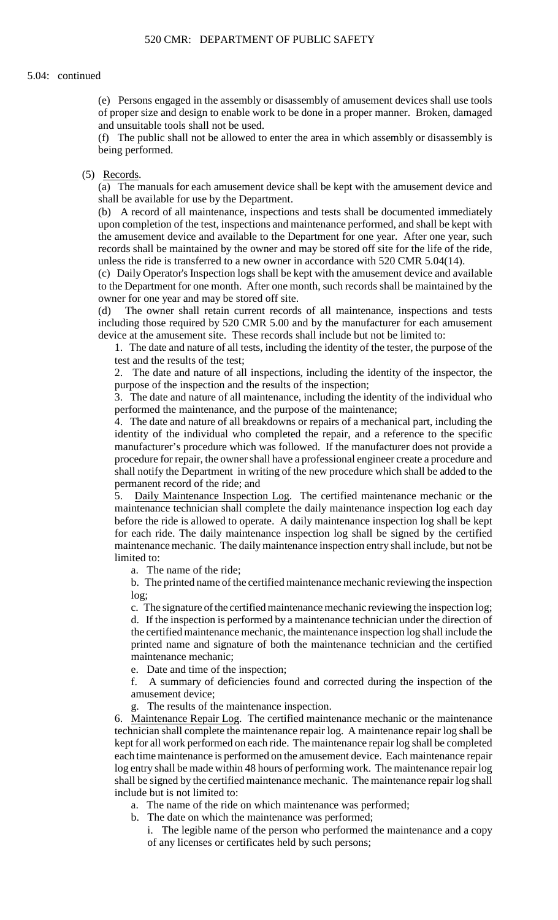(e) Persons engaged in the assembly or disassembly of amusement devices shall use tools of proper size and design to enable work to be done in a proper manner. Broken, damaged and unsuitable tools shall not be used.

(f) The public shall not be allowed to enter the area in which assembly or disassembly is being performed.

### (5) Records.

 (a) The manuals for each amusement device shall be kept with the amusement device and shall be available for use by the Department.

 upon completion of the test, inspections and maintenance performed, and shall be kept with (b) A record of all maintenance, inspections and tests shall be documented immediately the amusement device and available to the Department for one year. After one year, such records shall be maintained by the owner and may be stored off site for the life of the ride, unless the ride is transferred to a new owner in accordance with 520 CMR 5.04(14).

 (c) Daily Operator's Inspection logs shall be kept with the amusement device and available to the Department for one month. After one month, such records shall be maintained by the owner for one year and may be stored off site.

(d) The owner shall retain current records of all maintenance, inspections and tests including those required by 520 CMR 5.00 and by the manufacturer for each amusement device at the amusement site. These records shall include but not be limited to:

1. The date and nature of all tests, including the identity of the tester, the purpose of the test and the results of the test;

2. The date and nature of all inspections, including the identity of the inspector, the purpose of the inspection and the results of the inspection;

3. The date and nature of all maintenance, including the identity of the individual who performed the maintenance, and the purpose of the maintenance;

 4. The date and nature of all breakdowns or repairs of a mechanical part, including the identity of the individual who completed the repair, and a reference to the specific manufacturer's procedure which was followed. If the manufacturer does not provide a procedure for repair, the owner shall have a professional engineer create a procedure and shall notify the Department in writing of the new procedure which shall be added to the permanent record of the ride; and

 maintenance technician shall complete the daily maintenance inspection log each day 5. Daily Maintenance Inspection Log. The certified maintenance mechanic or the before the ride is allowed to operate. A daily maintenance inspection log shall be kept for each ride. The daily maintenance inspection log shall be signed by the certified maintenance mechanic. The daily maintenance inspection entry shall include, but not be limited to:

a. The name of the ride;

b. The printed name of the certified maintenance mechanic reviewing the inspection log;

 c. The signature of the certified maintenance mechanic reviewing the inspection log; d. If the inspection is performed by a maintenance technician under the direction of the certified maintenance mechanic, the maintenance inspection log shall include the printed name and signature of both the maintenance technician and the certified maintenance mechanic;

e. Date and time of the inspection;

f. A summary of deficiencies found and corrected during the inspection of the amusement device;

g. The results of the maintenance inspection.

 each time maintenance is performed on the amusement device. Each maintenance repair shall be signed by the certified maintenance mechanic. The maintenance repair log shall 6. Maintenance Repair Log. The certified maintenance mechanic or the maintenance technician shall complete the maintenance repair log. A maintenance repair log shall be kept for all work performed on each ride. The maintenance repair log shall be completed log entry shall be made within 48 hours of performing work. The maintenance repair log include but is not limited to:

a. The name of the ride on which maintenance was performed;

b. The date on which the maintenance was performed;

i. The legible name of the person who performed the maintenance and a copy of any licenses or certificates held by such persons;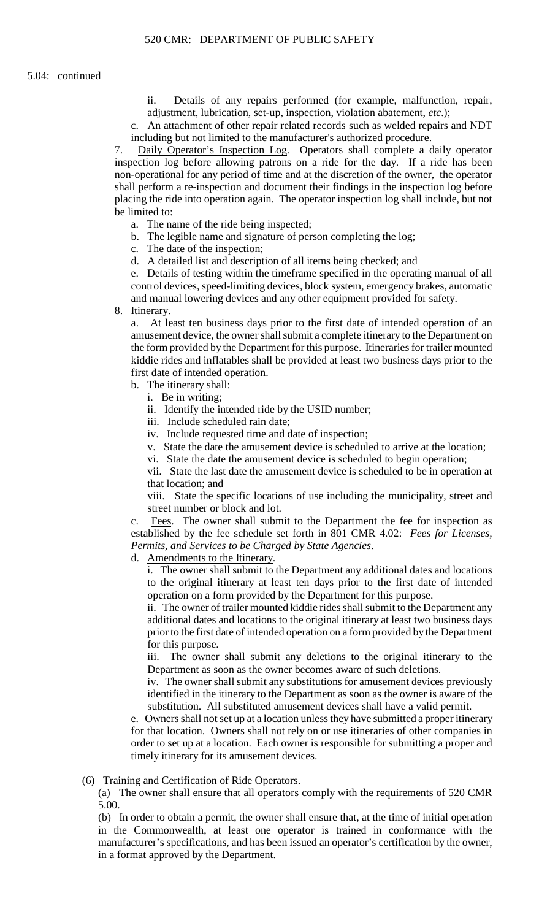ii. Details of any repairs performed (for example, malfunction, repair, adjustment, lubrication, set-up, inspection, violation abatement, *etc*.);

c. An attachment of other repair related records such as welded repairs and NDT including but not limited to the manufacturer's authorized procedure.

7. Daily Operator's Inspection Log. Operators shall complete a daily operator inspection log before allowing patrons on a ride for the day. If a ride has been non-operational for any period of time and at the discretion of the owner, the operator shall perform a re-inspection and document their findings in the inspection log before placing the ride into operation again. The operator inspection log shall include, but not be limited to:

- a. The name of the ride being inspected;
- b. The legible name and signature of person completing the log;
- c. The date of the inspection;
- d. A detailed list and description of all items being checked; and

e. Details of testing within the timeframe specified in the operating manual of all control devices, speed-limiting devices, block system, emergency brakes, automatic and manual lowering devices and any other equipment provided for safety.

8. Itinerary.

a. At least ten business days prior to the first date of intended operation of an amusement device, the owner shall submit a complete itinerary to the Department on the form provided by the Department for this purpose. Itineraries for trailer mounted kiddie rides and inflatables shall be provided at least two business days prior to the first date of intended operation.

- b. The itinerary shall:
	- i. Be in writing;
	- ii. Identify the intended ride by the USID number;
	- iii. Include scheduled rain date;
	- iv. Include requested time and date of inspection;
	- v. State the date the amusement device is scheduled to arrive at the location;
	- vi. State the date the amusement device is scheduled to begin operation;

vii. State the last date the amusement device is scheduled to be in operation at that location; and

viii. State the specific locations of use including the municipality, street and street number or block and lot.

Fees. The owner shall submit to the Department the fee for inspection as established by the fee schedule set forth in 801 CMR 4.02: *Fees for Licenses, Permits, and Services to be Charged by State Agencies*.

d. Amendments to the Itinerary.

i. The owner shall submit to the Department any additional dates and locations to the original itinerary at least ten days prior to the first date of intended operation on a form provided by the Department for this purpose.

 additional dates and locations to the original itinerary at least two business days ii. The owner of trailer mounted kiddie rides shall submit to the Department any prior to the first date of intended operation on a form provided by the Department for this purpose.

iii. The owner shall submit any deletions to the original itinerary to the Department as soon as the owner becomes aware of such deletions.

 iv. The owner shall submit any substitutions for amusement devices previously identified in the itinerary to the Department as soon as the owner is aware of the substitution. All substituted amusement devices shall have a valid permit.

e. Owners shall not set up at a location unless they have submitted a proper itinerary for that location. Owners shall not rely on or use itineraries of other companies in order to set up at a location. Each owner is responsible for submitting a proper and timely itinerary for its amusement devices.

#### (6) Training and Certification of Ride Operators.

(a) The owner shall ensure that all operators comply with the requirements of 520 CMR 5.00.

(b) In order to obtain a permit, the owner shall ensure that, at the time of initial operation in the Commonwealth, at least one operator is trained in conformance with the manufacturer's specifications, and has been issued an operator's certification by the owner, in a format approved by the Department.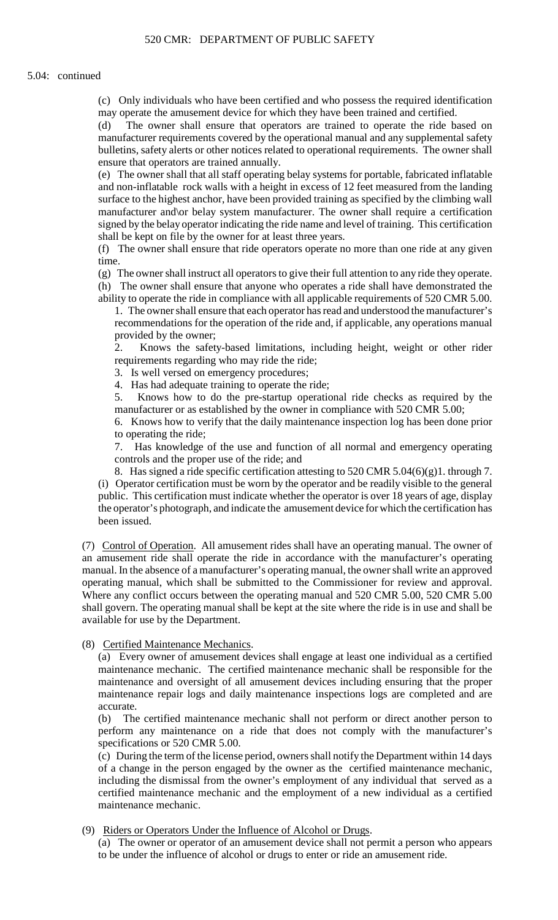(c) Only individuals who have been certified and who possess the required identification may operate the amusement device for which they have been trained and certified.

(d) The owner shall ensure that operators are trained to operate the ride based on manufacturer requirements covered by the operational manual and any supplemental safety bulletins, safety alerts or other notices related to operational requirements. The owner shall ensure that operators are trained annually.

 (e) The owner shall that all staff operating belay systems for portable, fabricated inflatable surface to the highest anchor, have been provided training as specified by the climbing wall and non-inflatable rock walls with a height in excess of 12 feet measured from the landing manufacturer and\or belay system manufacturer. The owner shall require a certification signed by the belay operator indicating the ride name and level of training. This certification shall be kept on file by the owner for at least three years.

(f) The owner shall ensure that ride operators operate no more than one ride at any given time.

(g) The owner shall instruct all operators to give their full attention to any ride they operate. (h) The owner shall ensure that anyone who operates a ride shall have demonstrated the ability to operate the ride in compliance with all applicable requirements of 520 CMR 5.00.

1. The owner shall ensure that each operator has read and understood the manufacturer's recommendations for the operation of the ride and, if applicable, any operations manual provided by the owner;

2. Knows the safety-based limitations, including height, weight or other rider requirements regarding who may ride the ride;

3. Is well versed on emergency procedures;

4. Has had adequate training to operate the ride;

5. Knows how to do the pre-startup operational ride checks as required by the manufacturer or as established by the owner in compliance with 520 CMR 5.00;

6. Knows how to verify that the daily maintenance inspection log has been done prior to operating the ride;

7. Has knowledge of the use and function of all normal and emergency operating controls and the proper use of the ride; and

8. Has signed a ride specific certification attesting to 520 CMR 5.04 $(6)(g)1$ . through 7.

(i) Operator certification must be worn by the operator and be readily visible to the general public. This certification must indicate whether the operator is over 18 years of age, display the operator's photograph, and indicate the amusement device for which the certification has been issued.

 Where any conflict occurs between the operating manual and 520 CMR 5.00, 520 CMR 5.00 (7) Control of Operation. All amusement rides shall have an operating manual. The owner of an amusement ride shall operate the ride in accordance with the manufacturer's operating manual. In the absence of a manufacturer's operating manual, the owner shall write an approved operating manual, which shall be submitted to the Commissioner for review and approval. shall govern. The operating manual shall be kept at the site where the ride is in use and shall be available for use by the Department.

# (8) Certified Maintenance Mechanics.

(a) Every owner of amusement devices shall engage at least one individual as a certified maintenance mechanic. The certified maintenance mechanic shall be responsible for the maintenance and oversight of all amusement devices including ensuring that the proper maintenance repair logs and daily maintenance inspections logs are completed and are accurate.

(b) The certified maintenance mechanic shall not perform or direct another person to perform any maintenance on a ride that does not comply with the manufacturer's specifications or 520 CMR 5.00.

 (c) During the term of the license period, owners shall notify the Department within 14 days of a change in the person engaged by the owner as the certified maintenance mechanic, including the dismissal from the owner's employment of any individual that served as a certified maintenance mechanic and the employment of a new individual as a certified maintenance mechanic.

(9) Riders or Operators Under the Influence of Alcohol or Drugs.

 (a) The owner or operator of an amusement device shall not permit a person who appears to be under the influence of alcohol or drugs to enter or ride an amusement ride.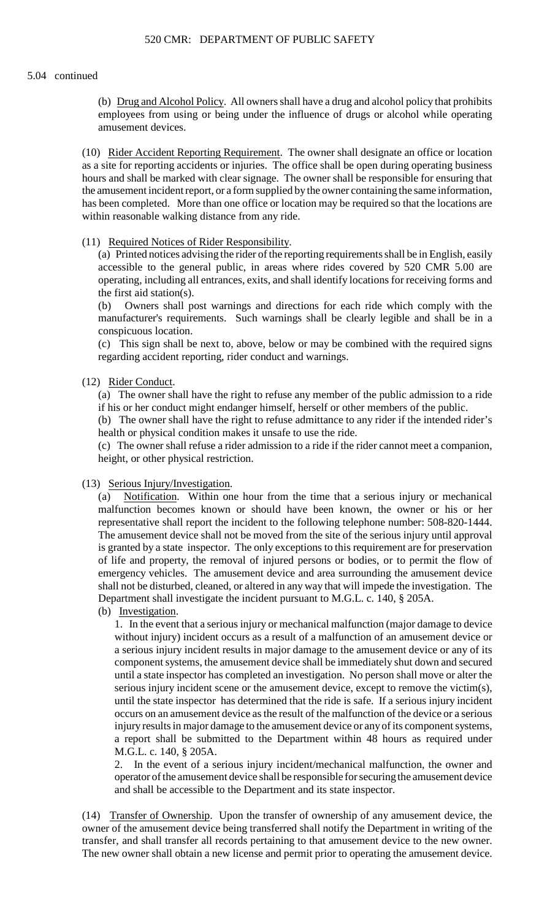(b) Drug and Alcohol Policy. All owners shall have a drug and alcohol policy that prohibits employees from using or being under the influence of drugs or alcohol while operating amusement devices.

(10) Rider Accident Reporting Requirement. The owner shall designate an office or location as a site for reporting accidents or injuries. The office shall be open during operating business hours and shall be marked with clear signage. The owner shall be responsible for ensuring that the amusement incident report, or a form supplied by the owner containing the same information, has been completed. More than one office or location may be required so that the locations are within reasonable walking distance from any ride.

# (11) Required Notices of Rider Responsibility.

 (a) Printed notices advising the rider of the reporting requirements shall be in English, easily accessible to the general public, in areas where rides covered by 520 CMR 5.00 are operating, including all entrances, exits, and shall identify locations for receiving forms and the first aid station(s).

 (b) Owners shall post warnings and directions for each ride which comply with the manufacturer's requirements. Such warnings shall be clearly legible and shall be in a conspicuous location.

(c) This sign shall be next to, above, below or may be combined with the required signs regarding accident reporting, rider conduct and warnings.

### (12) Rider Conduct.

(a) The owner shall have the right to refuse any member of the public admission to a ride if his or her conduct might endanger himself, herself or other members of the public.

(b) The owner shall have the right to refuse admittance to any rider if the intended rider's health or physical condition makes it unsafe to use the ride.

(c) The owner shall refuse a rider admission to a ride if the rider cannot meet a companion, height, or other physical restriction.

# (13) Serious Injury/Investigation.

 $(a)$  shall not be disturbed, cleaned, or altered in any way that will impede the investigation. The Notification. Within one hour from the time that a serious injury or mechanical malfunction becomes known or should have been known, the owner or his or her representative shall report the incident to the following telephone number: 508-820-1444. The amusement device shall not be moved from the site of the serious injury until approval is granted by a state inspector. The only exceptions to this requirement are for preservation of life and property, the removal of injured persons or bodies, or to permit the flow of emergency vehicles. The amusement device and area surrounding the amusement device Department shall investigate the incident pursuant to M.G.L. c. 140, § 205A.

(b) Investigation.

 a serious injury incident results in major damage to the amusement device or any of its until the state inspector has determined that the ride is safe. If a serious injury incident injury results in major damage to the amusement device or any of its component systems, 1. In the event that a serious injury or mechanical malfunction (major damage to device without injury) incident occurs as a result of a malfunction of an amusement device or component systems, the amusement device shall be immediately shut down and secured until a state inspector has completed an investigation. No person shall move or alter the serious injury incident scene or the amusement device, except to remove the victim(s), occurs on an amusement device as the result of the malfunction of the device or a serious a report shall be submitted to the Department within 48 hours as required under M.G.L. c. 140, § 205A.

2. In the event of a serious injury incident/mechanical malfunction, the owner and operator of the amusement device shall be responsible for securing the amusement device and shall be accessible to the Department and its state inspector.

(14) Transfer of Ownership. Upon the transfer of ownership of any amusement device, the owner of the amusement device being transferred shall notify the Department in writing of the transfer, and shall transfer all records pertaining to that amusement device to the new owner. The new owner shall obtain a new license and permit prior to operating the amusement device.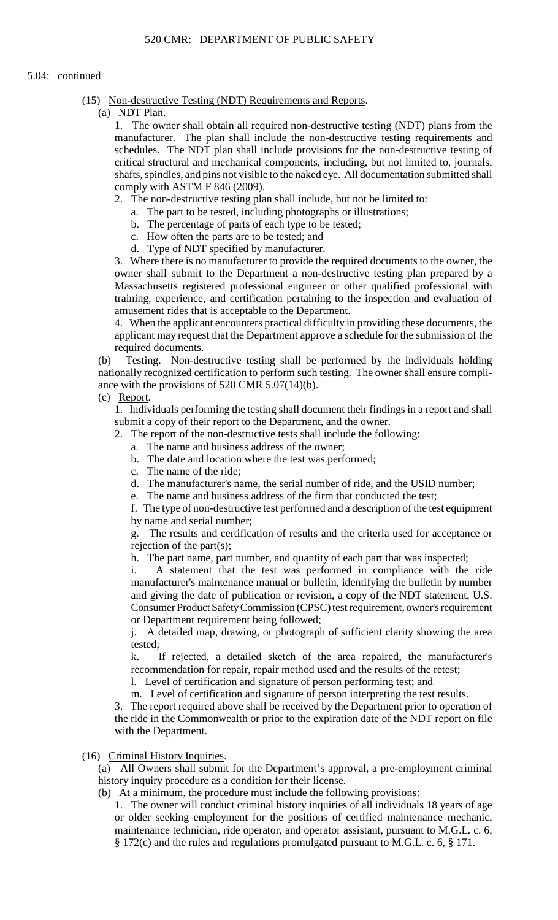- (15) Non-destructive Testing (NDT) Requirements and Reports.
	- (a) NDT Plan.

 shafts, spindles, and pins not visible to the naked eye. All documentation submitted shall 1. The owner shall obtain all required non-destructive testing (NDT) plans from the manufacturer. The plan shall include the non-destructive testing requirements and schedules. The NDT plan shall include provisions for the non-destructive testing of critical structural and mechanical components, including, but not limited to, journals, comply with ASTM F 846 (2009).

- 2. The non-destructive testing plan shall include, but not be limited to:
	- a. The part to be tested, including photographs or illustrations;
	- b. The percentage of parts of each type to be tested;
	- c. How often the parts are to be tested; and
	- d. Type of NDT specified by manufacturer.

 owner shall submit to the Department a non-destructive testing plan prepared by a 3. Where there is no manufacturer to provide the required documents to the owner, the Massachusetts registered professional engineer or other qualified professional with training, experience, and certification pertaining to the inspection and evaluation of amusement rides that is acceptable to the Department.

 applicant may request that the Department approve a schedule for the submission of the 4. When the applicant encounters practical difficulty in providing these documents, the required documents.

(b) Testing. Non-destructive testing shall be performed by the individuals holding nationally recognized certification to perform such testing. The owner shall ensure compliance with the provisions of 520 CMR 5.07(14)(b).

(c) Report.

1. Individuals performing the testing shall document their findings in a report and shall submit a copy of their report to the Department, and the owner.

- 2. The report of the non-destructive tests shall include the following:
	- a. The name and business address of the owner;
	- b. The date and location where the test was performed;
	- c. The name of the ride;
	- d. The manufacturer's name, the serial number of ride, and the USID number; e. The name and business address of the firm that conducted the test;
	- The name and business address of the firm that conducted the test;

f. The type of non-destructive test performed and a description of the test equipment by name and serial number;

g. The results and certification of results and the criteria used for acceptance or rejection of the part(s);

h. The part name, part number, and quantity of each part that was inspected;

i. A statement that the test was performed in compliance with the ride manufacturer's maintenance manual or bulletin, identifying the bulletin by number and giving the date of publication or revision, a copy of the NDT statement, U.S. Consumer Product Safety Commission (CPSC) test requirement, owner's requirement or Department requirement being followed;

j. A detailed map, drawing, or photograph of sufficient clarity showing the area tested;

k. If rejected, a detailed sketch of the area repaired, the manufacturer's recommendation for repair, repair method used and the results of the retest;

l. Level of certification and signature of person performing test; and

m. Level of certification and signature of person interpreting the test results.

 the ride in the Commonwealth or prior to the expiration date of the NDT report on file 3. The report required above shall be received by the Department prior to operation of with the Department.

(16) Criminal History Inquiries.

(a) All Owners shall submit for the Department's approval, a pre-employment criminal history inquiry procedure as a condition for their license.

(b) At a minimum, the procedure must include the following provisions:

 1. The owner will conduct criminal history inquiries of all individuals 18 years of age or older seeking employment for the positions of certified maintenance mechanic, maintenance technician, ride operator, and operator assistant, pursuant to M.G.L. c. 6, § 172(c) and the rules and regulations promulgated pursuant to M.G.L. c. 6, § 171.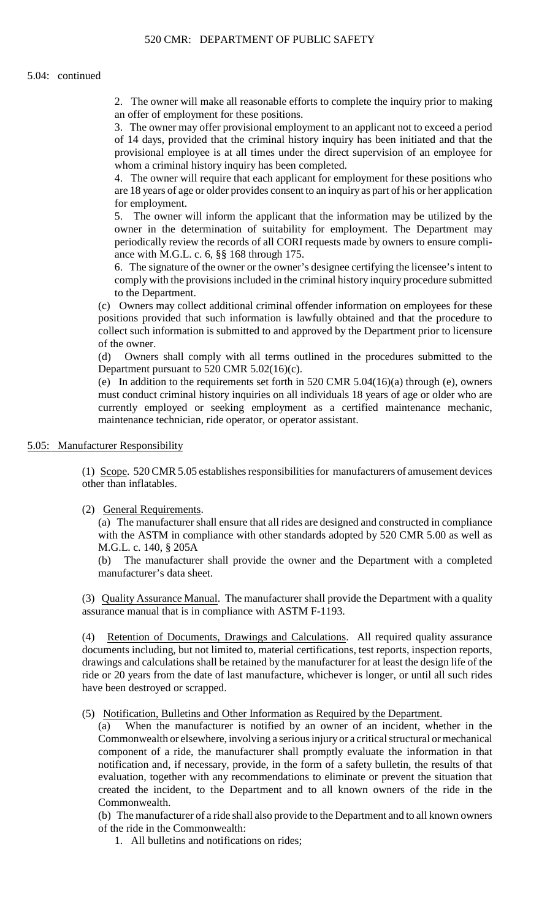2. The owner will make all reasonable efforts to complete the inquiry prior to making an offer of employment for these positions.

3. The owner may offer provisional employment to an applicant not to exceed a period of 14 days, provided that the criminal history inquiry has been initiated and that the provisional employee is at all times under the direct supervision of an employee for whom a criminal history inquiry has been completed.

 4. The owner will require that each applicant for employment for these positions who are 18 years of age or older provides consent to an inquiry as part of his or her application for employment.

 periodically review the records of all CORI requests made by owners to ensure compli-5. The owner will inform the applicant that the information may be utilized by the owner in the determination of suitability for employment. The Department may ance with M.G.L. c. 6, §§ 168 through 175.

 6. The signature of the owner or the owner's designee certifying the licensee's intent to comply with the provisions included in the criminal history inquiry procedure submitted to the Department.

 (c) Owners may collect additional criminal offender information on employees for these positions provided that such information is lawfully obtained and that the procedure to collect such information is submitted to and approved by the Department prior to licensure of the owner.

(d) Owners shall comply with all terms outlined in the procedures submitted to the Department pursuant to 520 CMR 5.02(16)(c).

(e) In addition to the requirements set forth in 520 CMR 5.04(16)(a) through (e), owners must conduct criminal history inquiries on all individuals 18 years of age or older who are currently employed or seeking employment as a certified maintenance mechanic, maintenance technician, ride operator, or operator assistant.

5.05: Manufacturer Responsibility

(1) Scope. 520 CMR 5.05 establishes responsibilities for manufacturers of amusement devices other than inflatables.

(2) General Requirements.

(a) The manufacturer shall ensure that all rides are designed and constructed in compliance with the ASTM in compliance with other standards adopted by 520 CMR 5.00 as well as M.G.L. c. 140, § 205A

(b) The manufacturer shall provide the owner and the Department with a completed manufacturer's data sheet.

(3) Quality Assurance Manual. The manufacturer shall provide the Department with a quality assurance manual that is in compliance with ASTM F-1193.

(4) Retention of Documents, Drawings and Calculations. All required quality assurance documents including, but not limited to, material certifications, test reports, inspection reports, drawings and calculations shall be retained by the manufacturer for at least the design life of the ride or 20 years from the date of last manufacture, whichever is longer, or until all such rides have been destroyed or scrapped.

(5) Notification, Bulletins and Other Information as Required by the Department.

(a) When the manufacturer is notified by an owner of an incident, whether in the Commonwealth or elsewhere, involving a serious injury or a critical structural or mechanical component of a ride, the manufacturer shall promptly evaluate the information in that notification and, if necessary, provide, in the form of a safety bulletin, the results of that evaluation, together with any recommendations to eliminate or prevent the situation that created the incident, to the Department and to all known owners of the ride in the Commonwealth.

(b) The manufacturer of a ride shall also provide to the Department and to all known owners of the ride in the Commonwealth:

1. All bulletins and notifications on rides;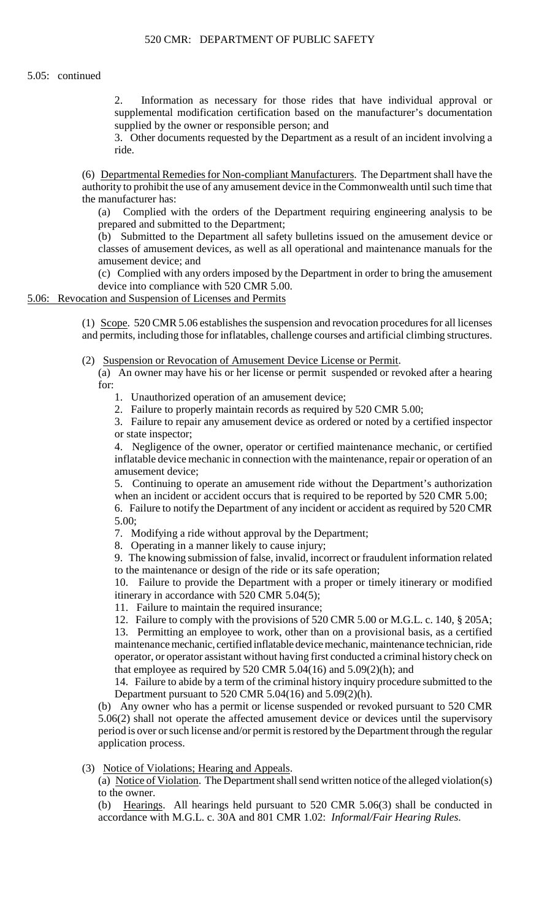2. Information as necessary for those rides that have individual approval or supplemental modification certification based on the manufacturer's documentation supplied by the owner or responsible person; and

3. Other documents requested by the Department as a result of an incident involving a ride.

(6) Departmental Remedies for Non-compliant Manufacturers. The Department shall have the authority to prohibit the use of any amusement device in the Commonwealth until such time that the manufacturer has:

(a) Complied with the orders of the Department requiring engineering analysis to be prepared and submitted to the Department;

(b) Submitted to the Department all safety bulletins issued on the amusement device or classes of amusement devices, as well as all operational and maintenance manuals for the amusement device; and

(c) Complied with any orders imposed by the Department in order to bring the amusement device into compliance with 520 CMR 5.00.

# 5.06: Revocation and Suspension of Licenses and Permits

 and permits, including those for inflatables, challenge courses and artificial climbing structures. (1) Scope. 520 CMR 5.06 establishes the suspension and revocation procedures for all licenses

(2) Suspension or Revocation of Amusement Device License or Permit.

(a) An owner may have his or her license or permit suspended or revoked after a hearing for:

- 1. Unauthorized operation of an amusement device;
- 2. Failure to properly maintain records as required by 520 CMR 5.00;

3. Failure to repair any amusement device as ordered or noted by a certified inspector or state inspector;

4. Negligence of the owner, operator or certified maintenance mechanic, or certified inflatable device mechanic in connection with the maintenance, repair or operation of an amusement device;

5. Continuing to operate an amusement ride without the Department's authorization when an incident or accident occurs that is required to be reported by 520 CMR 5.00;

6. Failure to notify the Department of any incident or accident as required by 520 CMR 5.00;

7. Modifying a ride without approval by the Department;

8. Operating in a manner likely to cause injury;

9. The knowing submission of false, invalid, incorrect or fraudulent information related to the maintenance or design of the ride or its safe operation;

 10. Failure to provide the Department with a proper or timely itinerary or modified itinerary in accordance with 520 CMR 5.04(5);

11. Failure to maintain the required insurance;

12. Failure to comply with the provisions of 520 CMR 5.00 or M.G.L. c. 140, § 205A; 13. Permitting an employee to work, other than on a provisional basis, as a certified maintenance mechanic, certified inflatable device mechanic, maintenance technician, ride operator, or operator assistant without having first conducted a criminal history check on that employee as required by  $520$  CMR  $5.04(16)$  and  $5.09(2)(h)$ ; and

 14. Failure to abide by a term of the criminal history inquiry procedure submitted to the Department pursuant to 520 CMR 5.04(16) and 5.09(2)(h).

 5.06(2) shall not operate the affected amusement device or devices until the supervisory (b) Any owner who has a permit or license suspended or revoked pursuant to 520 CMR period is over or such license and/or permit is restored by the Department through the regular application process.

# (3) Notice of Violations; Hearing and Appeals.

(a) Notice of Violation. The Department shall send written notice of the alleged violation(s) to the owner.

(b) Hearings. All hearings held pursuant to 520 CMR 5.06(3) shall be conducted in accordance with M.G.L. c. 30A and 801 CMR 1.02: *Informal/Fair Hearing Rules*.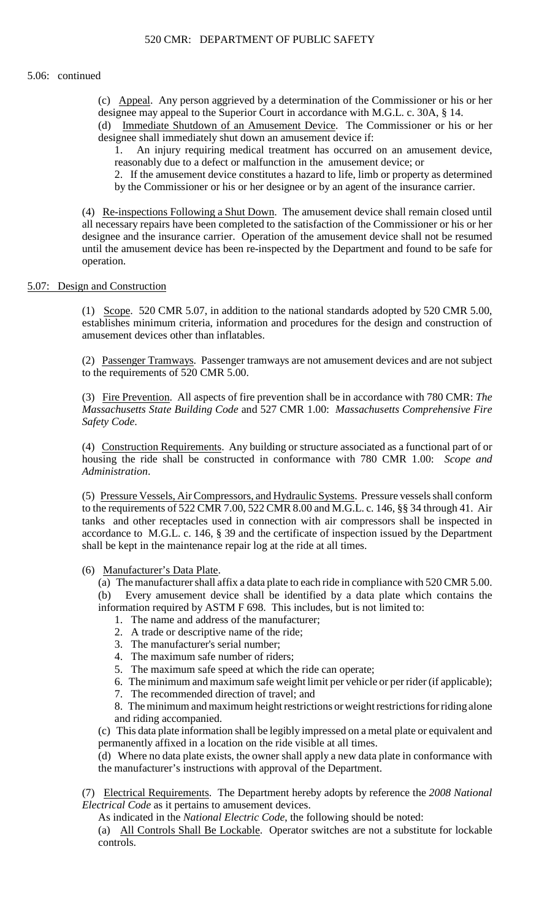(c) Appeal. Any person aggrieved by a determination of the Commissioner or his or her designee may appeal to the Superior Court in accordance with M.G.L. c. 30A, § 14.

(d) Immediate Shutdown of an Amusement Device. The Commissioner or his or her designee shall immediately shut down an amusement device if:

1. An injury requiring medical treatment has occurred on an amusement device, reasonably due to a defect or malfunction in the amusement device; or

2. If the amusement device constitutes a hazard to life, limb or property as determined by the Commissioner or his or her designee or by an agent of the insurance carrier.

(4) Re-inspections Following a Shut Down. The amusement device shall remain closed until all necessary repairs have been completed to the satisfaction of the Commissioner or his or her designee and the insurance carrier. Operation of the amusement device shall not be resumed until the amusement device has been re-inspected by the Department and found to be safe for operation.

# 5.07: Design and Construction

(1) Scope. 520 CMR 5.07, in addition to the national standards adopted by 520 CMR 5.00, establishes minimum criteria, information and procedures for the design and construction of amusement devices other than inflatables.

(2) Passenger Tramways. Passenger tramways are not amusement devices and are not subject to the requirements of 520 CMR 5.00.

 (3) Fire Prevention. All aspects of fire prevention shall be in accordance with 780 CMR: *The Massachusetts State Building Code* and 527 CMR 1.00: *Massachusetts Comprehensive Fire Safety Code*.

(4) Construction Requirements. Any building or structure associated as a functional part of or housing the ride shall be constructed in conformance with 780 CMR 1.00: *Scope and Administration*.

 to the requirements of 522 CMR 7.00, 522 CMR 8.00 and M.G.L. c. 146, §§ 34 through 41. Air (5) Pressure Vessels, Air Compressors, and Hydraulic Systems. Pressure vessels shall conform tanks and other receptacles used in connection with air compressors shall be inspected in accordance to M.G.L. c. 146, § 39 and the certificate of inspection issued by the Department shall be kept in the maintenance repair log at the ride at all times.

# (6) Manufacturer's Data Plate.

 (a) The manufacturer shall affix a data plate to each ride in compliance with 520 CMR 5.00. (b) Every amusement device shall be identified by a data plate which contains the

information required by ASTM F 698. This includes, but is not limited to:

- 1. The name and address of the manufacturer;
- 2. A trade or descriptive name of the ride;
- 3. The manufacturer's serial number;
- 4. The maximum safe number of riders;
- 5. The maximum safe speed at which the ride can operate;
- 6. The minimum and maximum safe weight limit per vehicle or per rider (if applicable);
- 7. The recommended direction of travel; and

 8. The minimum and maximum height restrictions or weight restrictions for riding alone and riding accompanied.

(c) This data plate information shall be legibly impressed on a metal plate or equivalent and permanently affixed in a location on the ride visible at all times.

 (d) Where no data plate exists, the owner shall apply a new data plate in conformance with the manufacturer's instructions with approval of the Department.

(7) Electrical Requirements. The Department hereby adopts by reference the *2008 National Electrical Code* as it pertains to amusement devices.

As indicated in the *National Electric Code*, the following should be noted:

(a) All Controls Shall Be Lockable. Operator switches are not a substitute for lockable controls.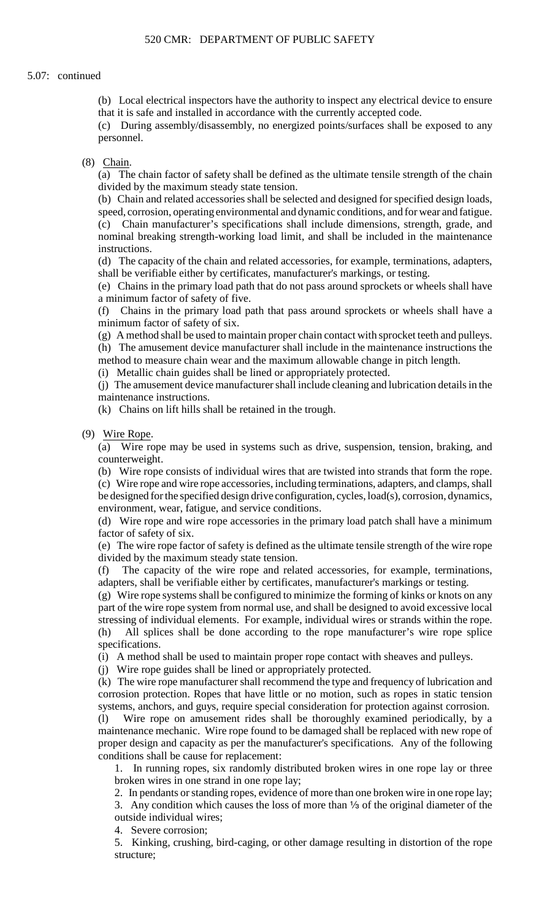(b) Local electrical inspectors have the authority to inspect any electrical device to ensure that it is safe and installed in accordance with the currently accepted code.

(c) During assembly/disassembly, no energized points/surfaces shall be exposed to any personnel.

### (8) Chain.

 (a) The chain factor of safety shall be defined as the ultimate tensile strength of the chain divided by the maximum steady state tension.

(b) Chain and related accessories shall be selected and designed for specified design loads,

speed, corrosion, operating environmental and dynamic conditions, and for wear and fatigue. (c) Chain manufacturer's specifications shall include dimensions, strength, grade, and nominal breaking strength-working load limit, and shall be included in the maintenance instructions.

 (d) The capacity of the chain and related accessories, for example, terminations, adapters, shall be verifiable either by certificates, manufacturer's markings, or testing.

(e) Chains in the primary load path that do not pass around sprockets or wheels shall have a minimum factor of safety of five.

(f) Chains in the primary load path that pass around sprockets or wheels shall have a minimum factor of safety of six.

(g) A method shall be used to maintain proper chain contact with sprocket teeth and pulleys.

(h) The amusement device manufacturer shall include in the maintenance instructions the method to measure chain wear and the maximum allowable change in pitch length.

(i) Metallic chain guides shall be lined or appropriately protected.

(j) The amusement device manufacturer shall include cleaning and lubrication details in the maintenance instructions.

(k) Chains on lift hills shall be retained in the trough.

(9) Wire Rope.

(a) Wire rope may be used in systems such as drive, suspension, tension, braking, and counterweight.

 (c) Wire rope and wire rope accessories, including terminations, adapters, and clamps, shall (b) Wire rope consists of individual wires that are twisted into strands that form the rope. be designed for the specified design drive configuration, cycles, load(s), corrosion, dynamics, environment, wear, fatigue, and service conditions.

(d) Wire rope and wire rope accessories in the primary load patch shall have a minimum factor of safety of six.

 (e) The wire rope factor of safety is defined as the ultimate tensile strength of the wire rope divided by the maximum steady state tension.

(f) The capacity of the wire rope and related accessories, for example, terminations, adapters, shall be verifiable either by certificates, manufacturer's markings or testing.

(g) Wire rope systems shall be configured to minimize the forming of kinks or knots on any part of the wire rope system from normal use, and shall be designed to avoid excessive local stressing of individual elements. For example, individual wires or strands within the rope. (h) All splices shall be done according to the rope manufacturer's wire rope splice specifications.

(i) A method shall be used to maintain proper rope contact with sheaves and pulleys.

(j) Wire rope guides shall be lined or appropriately protected.

(k) The wire rope manufacturer shall recommend the type and frequency of lubrication and corrosion protection. Ropes that have little or no motion, such as ropes in static tension systems, anchors, and guys, require special consideration for protection against corrosion. (l) Wire rope on amusement rides shall be thoroughly examined periodically, by a

 proper design and capacity as per the manufacturer's specifications. Any of the following maintenance mechanic. Wire rope found to be damaged shall be replaced with new rope of conditions shall be cause for replacement:

 1. In running ropes, six randomly distributed broken wires in one rope lay or three broken wires in one strand in one rope lay;

2. In pendants or standing ropes, evidence of more than one broken wire in one rope lay;

3. Any condition which causes the loss of more than  $\frac{1}{3}$  of the original diameter of the outside individual wires;

4. Severe corrosion;

5. Kinking, crushing, bird-caging, or other damage resulting in distortion of the rope structure;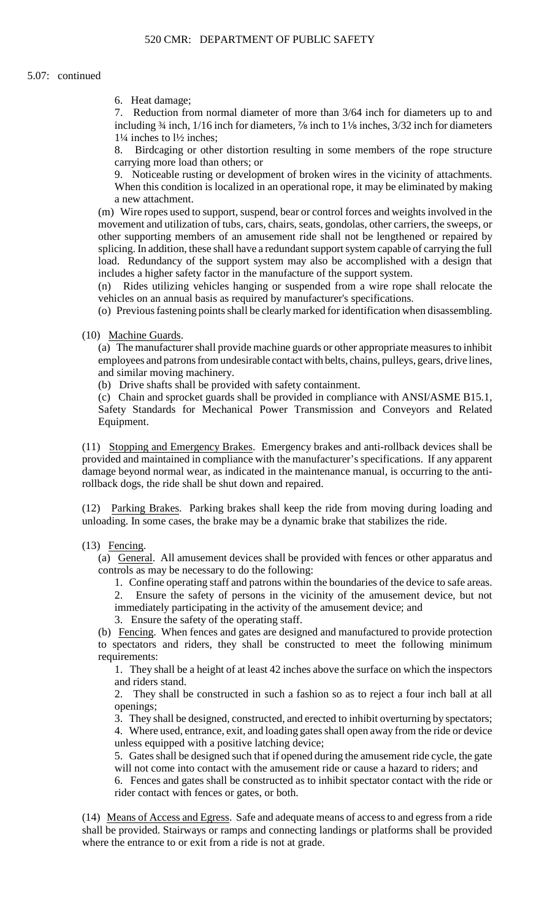6. Heat damage;

 7. Reduction from normal diameter of more than 3/64 inch for diameters up to and including  $\frac{3}{4}$  inch,  $\frac{1}{16}$  inch for diameters,  $\frac{7}{8}$  inch to  $\frac{1}{8}$  inches,  $\frac{3}{32}$  inch for diameters 1¼ inches to l½ inches;

8. Birdcaging or other distortion resulting in some members of the rope structure carrying more load than others; or

 9. Noticeable rusting or development of broken wires in the vicinity of attachments. When this condition is localized in an operational rope, it may be eliminated by making a new attachment.

 (m) Wire ropes used to support, suspend, bear or control forces and weights involved in the load. Redundancy of the support system may also be accomplished with a design that movement and utilization of tubs, cars, chairs, seats, gondolas, other carriers, the sweeps, or other supporting members of an amusement ride shall not be lengthened or repaired by splicing. In addition, these shall have a redundant support system capable of carrying the full includes a higher safety factor in the manufacture of the support system.

(n) Rides utilizing vehicles hanging or suspended from a wire rope shall relocate the vehicles on an annual basis as required by manufacturer's specifications.

(o) Previous fastening points shall be clearly marked for identification when disassembling.

(10) Machine Guards.

 (a) The manufacturer shall provide machine guards or other appropriate measures to inhibit employees and patrons from undesirable contact with belts, chains, pulleys, gears, drive lines, and similar moving machinery.

(b) Drive shafts shall be provided with safety containment.

 (c) Chain and sprocket guards shall be provided in compliance with ANSI/ASME B15.1, Safety Standards for Mechanical Power Transmission and Conveyors and Related Equipment.

(11) Stopping and Emergency Brakes. Emergency brakes and anti-rollback devices shall be provided and maintained in compliance with the manufacturer's specifications. If any apparent damage beyond normal wear, as indicated in the maintenance manual, is occurring to the antirollback dogs, the ride shall be shut down and repaired.

(12) Parking Brakes. Parking brakes shall keep the ride from moving during loading and unloading. In some cases, the brake may be a dynamic brake that stabilizes the ride.

(13) Fencing.

(a) General. All amusement devices shall be provided with fences or other apparatus and controls as may be necessary to do the following:

1. Confine operating staff and patrons within the boundaries of the device to safe areas.

2. Ensure the safety of persons in the vicinity of the amusement device, but not immediately participating in the activity of the amusement device; and

3. Ensure the safety of the operating staff.

 to spectators and riders, they shall be constructed to meet the following minimum (b) Fencing. When fences and gates are designed and manufactured to provide protection requirements:

1. They shall be a height of at least 42 inches above the surface on which the inspectors and riders stand.

2. They shall be constructed in such a fashion so as to reject a four inch ball at all openings;

3. They shall be designed, constructed, and erected to inhibit overturning by spectators; 4. Where used, entrance, exit, and loading gates shall open away from the ride or device unless equipped with a positive latching device;

5. Gates shall be designed such that if opened during the amusement ride cycle, the gate will not come into contact with the amusement ride or cause a hazard to riders; and

6. Fences and gates shall be constructed as to inhibit spectator contact with the ride or rider contact with fences or gates, or both.

(14) Means of Access and Egress. Safe and adequate means of access to and egress from a ride shall be provided. Stairways or ramps and connecting landings or platforms shall be provided where the entrance to or exit from a ride is not at grade.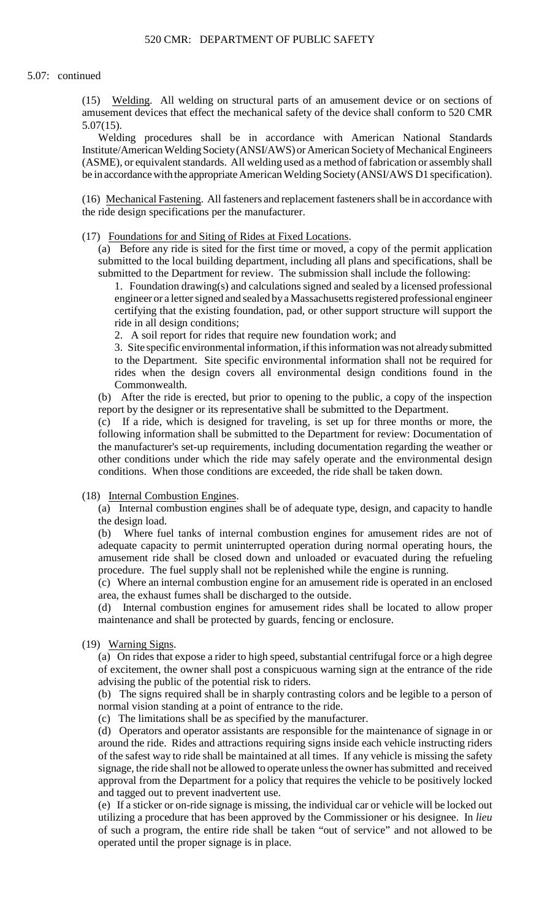(15) Welding. All welding on structural parts of an amusement device or on sections of amusement devices that effect the mechanical safety of the device shall conform to 520 CMR 5.07(15).

 (ASME), or equivalent standards. All welding used as a method of fabrication or assembly shall Welding procedures shall be in accordance with American National Standards Institute/American Welding Society (ANSI/AWS) or American Society of Mechanical Engineers be in accordance with the appropriate American Welding Society (ANSI/AWS D1 specification).

(16) Mechanical Fastening. All fasteners and replacement fasteners shall be in accordance with the ride design specifications per the manufacturer.

(17) Foundations for and Siting of Rides at Fixed Locations.

 (a) Before any ride is sited for the first time or moved, a copy of the permit application submitted to the local building department, including all plans and specifications, shall be submitted to the Department for review. The submission shall include the following:

1. Foundation drawing(s) and calculations signed and sealed by a licensed professional engineer or a letter signed and sealed by a Massachusetts registered professional engineer certifying that the existing foundation, pad, or other support structure will support the ride in all design conditions;

2. A soil report for rides that require new foundation work; and

3. Site specific environmental information, if this information was not already submitted to the Department. Site specific environmental information shall not be required for rides when the design covers all environmental design conditions found in the Commonwealth.

(b) After the ride is erected, but prior to opening to the public, a copy of the inspection report by the designer or its representative shall be submitted to the Department.

 (c) If a ride, which is designed for traveling, is set up for three months or more, the following information shall be submitted to the Department for review: Documentation of the manufacturer's set-up requirements, including documentation regarding the weather or other conditions under which the ride may safely operate and the environmental design conditions. When those conditions are exceeded, the ride shall be taken down.

(18) Internal Combustion Engines.

(a) Internal combustion engines shall be of adequate type, design, and capacity to handle the design load.

(b) Where fuel tanks of internal combustion engines for amusement rides are not of adequate capacity to permit uninterrupted operation during normal operating hours, the amusement ride shall be closed down and unloaded or evacuated during the refueling procedure. The fuel supply shall not be replenished while the engine is running.

 (c) Where an internal combustion engine for an amusement ride is operated in an enclosed area, the exhaust fumes shall be discharged to the outside.

(d) Internal combustion engines for amusement rides shall be located to allow proper maintenance and shall be protected by guards, fencing or enclosure.

(19) Warning Signs.

(a) On rides that expose a rider to high speed, substantial centrifugal force or a high degree of excitement, the owner shall post a conspicuous warning sign at the entrance of the ride advising the public of the potential risk to riders.

(b) The signs required shall be in sharply contrasting colors and be legible to a person of normal vision standing at a point of entrance to the ride.

(c) The limitations shall be as specified by the manufacturer.

 of the safest way to ride shall be maintained at all times. If any vehicle is missing the safety (d) Operators and operator assistants are responsible for the maintenance of signage in or around the ride. Rides and attractions requiring signs inside each vehicle instructing riders signage, the ride shall not be allowed to operate unless the owner has submitted and received approval from the Department for a policy that requires the vehicle to be positively locked and tagged out to prevent inadvertent use.

(e) If a sticker or on-ride signage is missing, the individual car or vehicle will be locked out utilizing a procedure that has been approved by the Commissioner or his designee. In *lieu*  of such a program, the entire ride shall be taken "out of service" and not allowed to be operated until the proper signage is in place.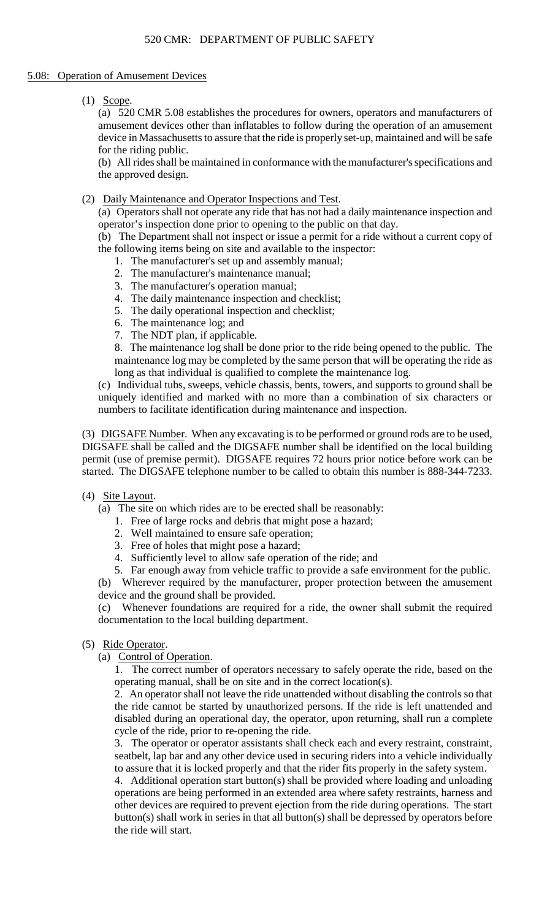# 5.08: Operation of Amusement Devices

(1) Scope.

(a) 520 CMR 5.08 establishes the procedures for owners, operators and manufacturers of amusement devices other than inflatables to follow during the operation of an amusement device in Massachusetts to assure that the ride is properly set-up, maintained and will be safe for the riding public.

(b) All rides shall be maintained in conformance with the manufacturer's specifications and the approved design.

(2) Daily Maintenance and Operator Inspections and Test.

 (a) Operators shall not operate any ride that has not had a daily maintenance inspection and operator's inspection done prior to opening to the public on that day.

(b) The Department shall not inspect or issue a permit for a ride without a current copy of the following items being on site and available to the inspector:

- 1. The manufacturer's set up and assembly manual;
- 2. The manufacturer's maintenance manual;
- 3. The manufacturer's operation manual;
- 4. The daily maintenance inspection and checklist;
- 5. The daily operational inspection and checklist;
- 6. The maintenance log; and
- 7. The NDT plan, if applicable.

8. The maintenance log shall be done prior to the ride being opened to the public. The maintenance log may be completed by the same person that will be operating the ride as long as that individual is qualified to complete the maintenance log.

(c) Individual tubs, sweeps, vehicle chassis, bents, towers, and supports to ground shall be uniquely identified and marked with no more than a combination of six characters or numbers to facilitate identification during maintenance and inspection.

(3) DIGSAFE Number. When any excavating is to be performed or ground rods are to be used, DIGSAFE shall be called and the DIGSAFE number shall be identified on the local building permit (use of premise permit). DIGSAFE requires 72 hours prior notice before work can be started. The DIGSAFE telephone number to be called to obtain this number is 888-344-7233.

# (4) Site Layout.

- (a) The site on which rides are to be erected shall be reasonably:
	- 1. Free of large rocks and debris that might pose a hazard;
	- 2. Well maintained to ensure safe operation;
	- 3. Free of holes that might pose a hazard;
	- 4. Sufficiently level to allow safe operation of the ride; and

5. Far enough away from vehicle traffic to provide a safe environment for the public.

(b) Wherever required by the manufacturer, proper protection between the amusement device and the ground shall be provided.

(c) Whenever foundations are required for a ride, the owner shall submit the required documentation to the local building department.

- (5) Ride Operator.
	- (a) Control of Operation.

 1. The correct number of operators necessary to safely operate the ride, based on the operating manual, shall be on site and in the correct location(s).

2. An operator shall not leave the ride unattended without disabling the controls so that the ride cannot be started by unauthorized persons. If the ride is left unattended and disabled during an operational day, the operator, upon returning, shall run a complete cycle of the ride, prior to re-opening the ride.

 3. The operator or operator assistants shall check each and every restraint, constraint, seatbelt, lap bar and any other device used in securing riders into a vehicle individually to assure that it is locked properly and that the rider fits properly in the safety system.

4. Additional operation start button(s) shall be provided where loading and unloading operations are being performed in an extended area where safety restraints, harness and other devices are required to prevent ejection from the ride during operations. The start button(s) shall work in series in that all button(s) shall be depressed by operators before the ride will start.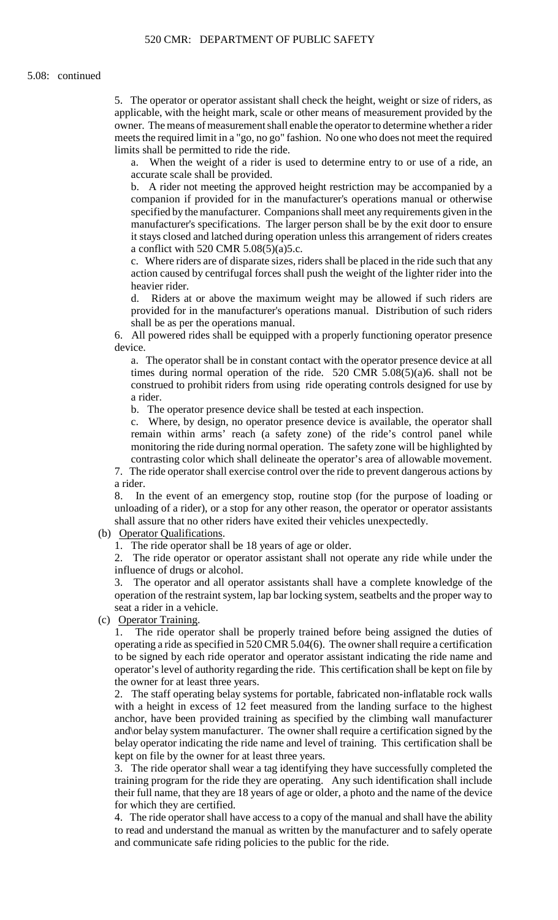5. The operator or operator assistant shall check the height, weight or size of riders, as applicable, with the height mark, scale or other means of measurement provided by the owner. The means of measurement shall enable the operator to determine whether a rider meets the required limit in a "go, no go" fashion. No one who does not meet the required limits shall be permitted to ride the ride.

a. When the weight of a rider is used to determine entry to or use of a ride, an accurate scale shall be provided.

b. A rider not meeting the approved height restriction may be accompanied by a companion if provided for in the manufacturer's operations manual or otherwise specified by the manufacturer. Companions shall meet any requirements given in the manufacturer's specifications. The larger person shall be by the exit door to ensure it stays closed and latched during operation unless this arrangement of riders creates a conflict with 520 CMR  $5.08(5)(a)5.c.$ 

c. Where riders are of disparate sizes, riders shall be placed in the ride such that any action caused by centrifugal forces shall push the weight of the lighter rider into the heavier rider.

 d. Riders at or above the maximum weight may be allowed if such riders are provided for in the manufacturer's operations manual. Distribution of such riders shall be as per the operations manual.

6. All powered rides shall be equipped with a properly functioning operator presence device.

a. The operator shall be in constant contact with the operator presence device at all times during normal operation of the ride. 520 CMR 5.08(5)(a)6. shall not be construed to prohibit riders from using ride operating controls designed for use by a rider.

b. The operator presence device shall be tested at each inspection.

c. Where, by design, no operator presence device is available, the operator shall remain within arms' reach (a safety zone) of the ride's control panel while monitoring the ride during normal operation. The safety zone will be highlighted by contrasting color which shall delineate the operator's area of allowable movement.

7. The ride operator shall exercise control over the ride to prevent dangerous actions by a rider.

 8. In the event of an emergency stop, routine stop (for the purpose of loading or unloading of a rider), or a stop for any other reason, the operator or operator assistants shall assure that no other riders have exited their vehicles unexpectedly.

(b) Operator Qualifications.

1. The ride operator shall be 18 years of age or older.

2. The ride operator or operator assistant shall not operate any ride while under the influence of drugs or alcohol.

 operation of the restraint system, lap bar locking system, seatbelts and the proper way to 3. The operator and all operator assistants shall have a complete knowledge of the seat a rider in a vehicle.

(c) Operator Training.

1. The ride operator shall be properly trained before being assigned the duties of operating a ride as specified in 520 CMR 5.04(6). The owner shall require a certification to be signed by each ride operator and operator assistant indicating the ride name and operator's level of authority regarding the ride. This certification shall be kept on file by the owner for at least three years.

 2. The staff operating belay systems for portable, fabricated non-inflatable rock walls with a height in excess of 12 feet measured from the landing surface to the highest anchor, have been provided training as specified by the climbing wall manufacturer and\or belay system manufacturer. The owner shall require a certification signed by the belay operator indicating the ride name and level of training. This certification shall be kept on file by the owner for at least three years.

3. The ride operator shall wear a tag identifying they have successfully completed the training program for the ride they are operating. Any such identification shall include their full name, that they are 18 years of age or older, a photo and the name of the device for which they are certified.

 to read and understand the manual as written by the manufacturer and to safely operate 4. The ride operator shall have access to a copy of the manual and shall have the ability and communicate safe riding policies to the public for the ride.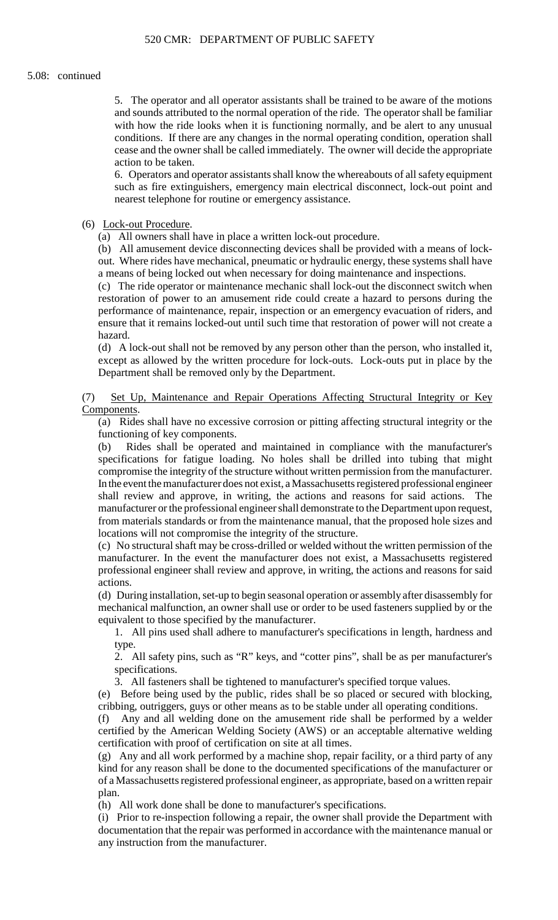5. The operator and all operator assistants shall be trained to be aware of the motions and sounds attributed to the normal operation of the ride. The operator shall be familiar with how the ride looks when it is functioning normally, and be alert to any unusual conditions. If there are any changes in the normal operating condition, operation shall cease and the owner shall be called immediately. The owner will decide the appropriate action to be taken.

6. Operators and operator assistants shall know the whereabouts of all safety equipment such as fire extinguishers, emergency main electrical disconnect, lock-out point and nearest telephone for routine or emergency assistance.

# (6) Lock-out Procedure.

(a) All owners shall have in place a written lock-out procedure.

(b) All amusement device disconnecting devices shall be provided with a means of lockout. Where rides have mechanical, pneumatic or hydraulic energy, these systems shall have a means of being locked out when necessary for doing maintenance and inspections.

 restoration of power to an amusement ride could create a hazard to persons during the (c) The ride operator or maintenance mechanic shall lock-out the disconnect switch when performance of maintenance, repair, inspection or an emergency evacuation of riders, and ensure that it remains locked-out until such time that restoration of power will not create a hazard.

 except as allowed by the written procedure for lock-outs. Lock-outs put in place by the (d) A lock-out shall not be removed by any person other than the person, who installed it, Department shall be removed only by the Department.

# (7) Set Up, Maintenance and Repair Operations Affecting Structural Integrity or Key Components.

 (a) Rides shall have no excessive corrosion or pitting affecting structural integrity or the functioning of key components.

 (b) Rides shall be operated and maintained in compliance with the manufacturer's specifications for fatigue loading. No holes shall be drilled into tubing that might compromise the integrity of the structure without written permission from the manufacturer. In the event the manufacturer does not exist, a Massachusetts registered professional engineer shall review and approve, in writing, the actions and reasons for said actions. The manufacturer or the professional engineer shall demonstrate to the Department upon request, from materials standards or from the maintenance manual, that the proposed hole sizes and locations will not compromise the integrity of the structure.

 professional engineer shall review and approve, in writing, the actions and reasons for said (c) No structural shaft may be cross-drilled or welded without the written permission of the manufacturer. In the event the manufacturer does not exist, a Massachusetts registered actions.

 (d) During installation, set-up to begin seasonal operation or assembly after disassembly for mechanical malfunction, an owner shall use or order to be used fasteners supplied by or the equivalent to those specified by the manufacturer.

1. All pins used shall adhere to manufacturer's specifications in length, hardness and type.

2. All safety pins, such as "R" keys, and "cotter pins", shall be as per manufacturer's specifications.

3. All fasteners shall be tightened to manufacturer's specified torque values.

 (e) Before being used by the public, rides shall be so placed or secured with blocking, cribbing, outriggers, guys or other means as to be stable under all operating conditions.

(f) Any and all welding done on the amusement ride shall be performed by a welder certified by the American Welding Society (AWS) or an acceptable alternative welding certification with proof of certification on site at all times.

 (g) Any and all work performed by a machine shop, repair facility, or a third party of any kind for any reason shall be done to the documented specifications of the manufacturer or of a Massachusetts registered professional engineer, as appropriate, based on a written repair plan.

(h) All work done shall be done to manufacturer's specifications.

 (i) Prior to re-inspection following a repair, the owner shall provide the Department with documentation that the repair was performed in accordance with the maintenance manual or any instruction from the manufacturer.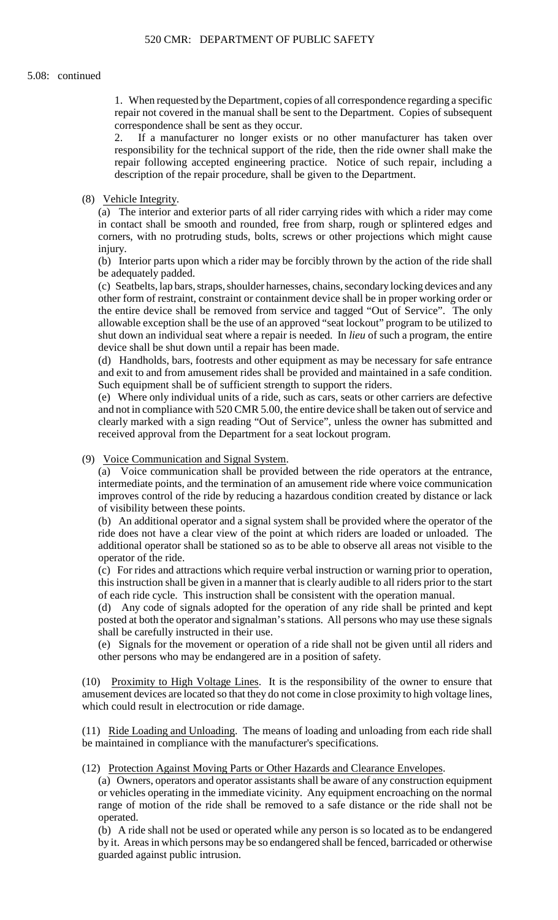1. When requested by the Department, copies of all correspondence regarding a specific repair not covered in the manual shall be sent to the Department. Copies of subsequent correspondence shall be sent as they occur.

2. If a manufacturer no longer exists or no other manufacturer has taken over responsibility for the technical support of the ride, then the ride owner shall make the repair following accepted engineering practice. Notice of such repair, including a description of the repair procedure, shall be given to the Department.

## (8) Vehicle Integrity.

(a) The interior and exterior parts of all rider carrying rides with which a rider may come in contact shall be smooth and rounded, free from sharp, rough or splintered edges and corners, with no protruding studs, bolts, screws or other projections which might cause injury.

 (b) Interior parts upon which a rider may be forcibly thrown by the action of the ride shall be adequately padded.

 allowable exception shall be the use of an approved "seat lockout" program to be utilized to (c) Seatbelts, lap bars, straps, shoulder harnesses, chains, secondary locking devices and any other form of restraint, constraint or containment device shall be in proper working order or the entire device shall be removed from service and tagged "Out of Service". The only shut down an individual seat where a repair is needed. In *lieu* of such a program, the entire device shall be shut down until a repair has been made.

 (d) Handholds, bars, footrests and other equipment as may be necessary for safe entrance and exit to and from amusement rides shall be provided and maintained in a safe condition. Such equipment shall be of sufficient strength to support the riders.

 clearly marked with a sign reading "Out of Service", unless the owner has submitted and (e) Where only individual units of a ride, such as cars, seats or other carriers are defective and not in compliance with 520 CMR 5.00, the entire device shall be taken out of service and received approval from the Department for a seat lockout program.

### (9) Voice Communication and Signal System.

(a) Voice communication shall be provided between the ride operators at the entrance, intermediate points, and the termination of an amusement ride where voice communication improves control of the ride by reducing a hazardous condition created by distance or lack of visibility between these points.

(b) An additional operator and a signal system shall be provided where the operator of the ride does not have a clear view of the point at which riders are loaded or unloaded. The additional operator shall be stationed so as to be able to observe all areas not visible to the operator of the ride.

 this instruction shall be given in a manner that is clearly audible to all riders prior to the start (c) For rides and attractions which require verbal instruction or warning prior to operation, of each ride cycle. This instruction shall be consistent with the operation manual.

 posted at both the operator and signalman's stations. All persons who may use these signals (d) Any code of signals adopted for the operation of any ride shall be printed and kept shall be carefully instructed in their use.

(e) Signals for the movement or operation of a ride shall not be given until all riders and other persons who may be endangered are in a position of safety.

(10) Proximity to High Voltage Lines. It is the responsibility of the owner to ensure that amusement devices are located so that they do not come in close proximity to high voltage lines, which could result in electrocution or ride damage.

(11) Ride Loading and Unloading. The means of loading and unloading from each ride shall be maintained in compliance with the manufacturer's specifications.

# (12) Protection Against Moving Parts or Other Hazards and Clearance Envelopes.

 (a) Owners, operators and operator assistants shall be aware of any construction equipment or vehicles operating in the immediate vicinity. Any equipment encroaching on the normal range of motion of the ride shall be removed to a safe distance or the ride shall not be operated.

 (b) A ride shall not be used or operated while any person is so located as to be endangered by it. Areas in which persons may be so endangered shall be fenced, barricaded or otherwise guarded against public intrusion.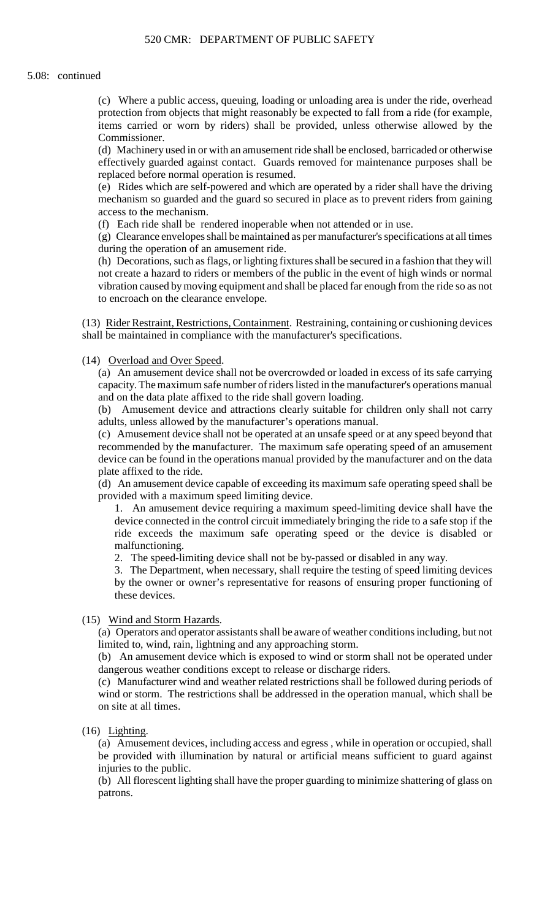(c) Where a public access, queuing, loading or unloading area is under the ride, overhead protection from objects that might reasonably be expected to fall from a ride (for example, items carried or worn by riders) shall be provided, unless otherwise allowed by the Commissioner.

 (d) Machinery used in or with an amusement ride shall be enclosed, barricaded or otherwise effectively guarded against contact. Guards removed for maintenance purposes shall be replaced before normal operation is resumed.

(e) Rides which are self-powered and which are operated by a rider shall have the driving mechanism so guarded and the guard so secured in place as to prevent riders from gaining access to the mechanism.

(f) Each ride shall be rendered inoperable when not attended or in use.

 (g) Clearance envelopes shall be maintained as per manufacturer's specifications at all times during the operation of an amusement ride.

 (h) Decorations, such as flags, or lighting fixtures shall be secured in a fashion that they will not create a hazard to riders or members of the public in the event of high winds or normal vibration caused by moving equipment and shall be placed far enough from the ride so as not to encroach on the clearance envelope.

(13) Rider Restraint, Restrictions, Containment. Restraining, containing or cushioning devices shall be maintained in compliance with the manufacturer's specifications.

(14) Overload and Over Speed.

(a) An amusement device shall not be overcrowded or loaded in excess of its safe carrying capacity. The maximum safe number of riders listed in the manufacturer's operations manual and on the data plate affixed to the ride shall govern loading.

(b) Amusement device and attractions clearly suitable for children only shall not carry adults, unless allowed by the manufacturer's operations manual.

(c) Amusement device shall not be operated at an unsafe speed or at any speed beyond that recommended by the manufacturer. The maximum safe operating speed of an amusement device can be found in the operations manual provided by the manufacturer and on the data plate affixed to the ride.

(d) An amusement device capable of exceeding its maximum safe operating speed shall be provided with a maximum speed limiting device.

 1. An amusement device requiring a maximum speed-limiting device shall have the device connected in the control circuit immediately bringing the ride to a safe stop if the ride exceeds the maximum safe operating speed or the device is disabled or malfunctioning.

2. The speed-limiting device shall not be by-passed or disabled in any way.

 3. The Department, when necessary, shall require the testing of speed limiting devices by the owner or owner's representative for reasons of ensuring proper functioning of these devices.

(15) Wind and Storm Hazards.

(a) Operators and operator assistants shall be aware of weather conditions including, but not limited to, wind, rain, lightning and any approaching storm.

(b) An amusement device which is exposed to wind or storm shall not be operated under dangerous weather conditions except to release or discharge riders.

 (c) Manufacturer wind and weather related restrictions shall be followed during periods of wind or storm. The restrictions shall be addressed in the operation manual, which shall be on site at all times.

(16) Lighting.

(a) Amusement devices, including access and egress , while in operation or occupied, shall be provided with illumination by natural or artificial means sufficient to guard against injuries to the public.

 (b) All florescent lighting shall have the proper guarding to minimize shattering of glass on patrons.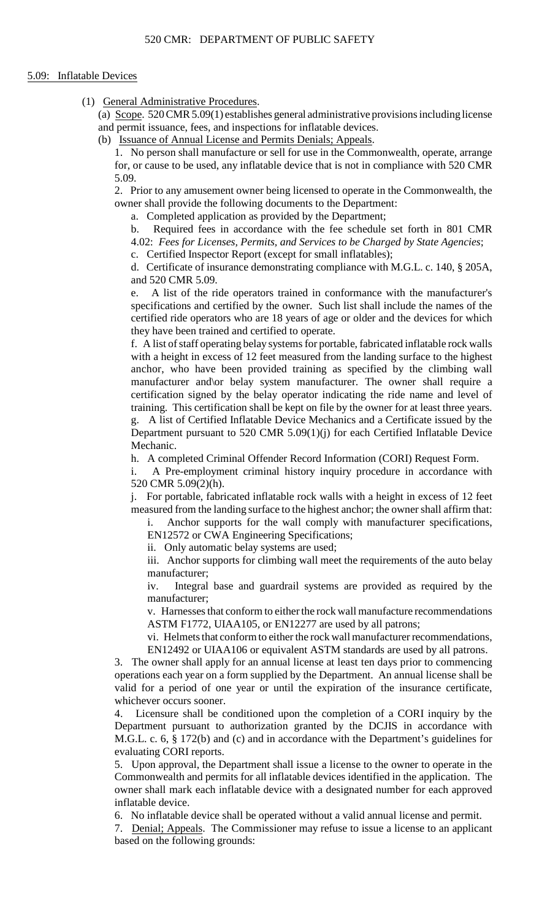# 5.09: Inflatable Devices

(1) General Administrative Procedures.

(a) Scope. 520 CMR 5.09(1) establishes general administrative provisions including license and permit issuance, fees, and inspections for inflatable devices.

(b) Issuance of Annual License and Permits Denials; Appeals.

 1. No person shall manufacture or sell for use in the Commonwealth, operate, arrange for, or cause to be used, any inflatable device that is not in compliance with 520 CMR 5.09.

2. Prior to any amusement owner being licensed to operate in the Commonwealth, the owner shall provide the following documents to the Department:

a. Completed application as provided by the Department;

b. Required fees in accordance with the fee schedule set forth in 801 CMR 4.02: *Fees for Licenses, Permits, and Services to be Charged by State Agencies*;

c. Certified Inspector Report (except for small inflatables);

 d. Certificate of insurance demonstrating compliance with M.G.L. c. 140, § 205A, and 520 CMR 5.09.

A list of the ride operators trained in conformance with the manufacturer's specifications and certified by the owner. Such list shall include the names of the certified ride operators who are 18 years of age or older and the devices for which they have been trained and certified to operate.

f. A list of staff operating belay systems for portable, fabricated inflatable rock walls with a height in excess of 12 feet measured from the landing surface to the highest anchor, who have been provided training as specified by the climbing wall manufacturer and\or belay system manufacturer. The owner shall require a certification signed by the belay operator indicating the ride name and level of training. This certification shall be kept on file by the owner for at least three years. g. A list of Certified Inflatable Device Mechanics and a Certificate issued by the

Department pursuant to 520 CMR 5.09(1)(j) for each Certified Inflatable Device Mechanic.

h. A completed Criminal Offender Record Information (CORI) Request Form.

i. A Pre-employment criminal history inquiry procedure in accordance with 520 CMR 5.09(2)(h).

 j. For portable, fabricated inflatable rock walls with a height in excess of 12 feet measured from the landing surface to the highest anchor; the owner shall affirm that:

i. Anchor supports for the wall comply with manufacturer specifications, EN12572 or CWA Engineering Specifications;

ii. Only automatic belay systems are used;

iii. Anchor supports for climbing wall meet the requirements of the auto belay manufacturer;

iv. Integral base and guardrail systems are provided as required by the manufacturer;

v. Harnesses that conform to either the rock wall manufacture recommendations ASTM F1772, UIAA105, or EN12277 are used by all patrons;

 vi. Helmets that conform to either the rock wall manufacturer recommendations, EN12492 or UIAA106 or equivalent ASTM standards are used by all patrons.

3. The owner shall apply for an annual license at least ten days prior to commencing operations each year on a form supplied by the Department. An annual license shall be valid for a period of one year or until the expiration of the insurance certificate, whichever occurs sooner.

 $\mathbf{4}$ . Licensure shall be conditioned upon the completion of a CORI inquiry by the Department pursuant to authorization granted by the DCJIS in accordance with M.G.L. c. 6, § 172(b) and (c) and in accordance with the Department's guidelines for evaluating CORI reports.

 owner shall mark each inflatable device with a designated number for each approved 5. Upon approval, the Department shall issue a license to the owner to operate in the Commonwealth and permits for all inflatable devices identified in the application. The inflatable device.

6. No inflatable device shall be operated without a valid annual license and permit.

7. Denial; Appeals. The Commissioner may refuse to issue a license to an applicant based on the following grounds: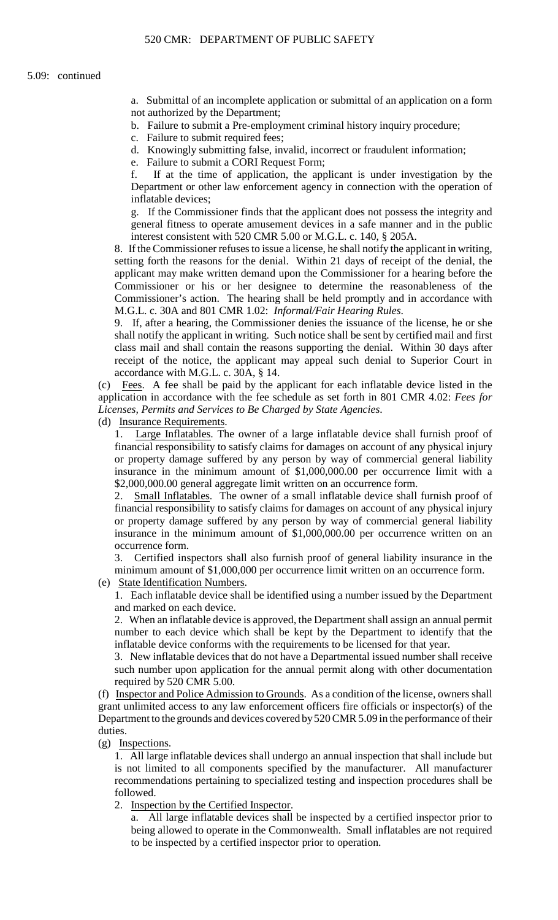a. Submittal of an incomplete application or submittal of an application on a form not authorized by the Department;

- b. Failure to submit a Pre-employment criminal history inquiry procedure;
- c. Failure to submit required fees;
- d. Knowingly submitting false, invalid, incorrect or fraudulent information;
- e. Failure to submit a CORI Request Form;

f. If at the time of application, the applicant is under investigation by the Department or other law enforcement agency in connection with the operation of inflatable devices;

g. If the Commissioner finds that the applicant does not possess the integrity and general fitness to operate amusement devices in a safe manner and in the public interest consistent with 520 CMR 5.00 or M.G.L. c. 140, § 205A.

 8. If the Commissioner refuses to issue a license, he shall notify the applicant in writing, setting forth the reasons for the denial. Within 21 days of receipt of the denial, the applicant may make written demand upon the Commissioner for a hearing before the Commissioner or his or her designee to determine the reasonableness of the Commissioner's action. The hearing shall be held promptly and in accordance with M.G.L. c. 30A and 801 CMR 1.02: *Informal/Fair Hearing Rules*.

 shall notify the applicant in writing. Such notice shall be sent by certified mail and first class mail and shall contain the reasons supporting the denial. Within 30 days after 9. If, after a hearing, the Commissioner denies the issuance of the license, he or she receipt of the notice, the applicant may appeal such denial to Superior Court in accordance with M.G.L. c. 30A, § 14.

 (c) Fees. A fee shall be paid by the applicant for each inflatable device listed in the application in accordance with the fee schedule as set forth in 801 CMR 4.02: *Fees for Licenses, Permits and Services to Be Charged by State Agencies*.

(d) Insurance Requirements.

 1. Large Inflatables. The owner of a large inflatable device shall furnish proof of financial responsibility to satisfy claims for damages on account of any physical injury or property damage suffered by any person by way of commercial general liability insurance in the minimum amount of \$1,000,000.00 per occurrence limit with a \$2,000,000.00 general aggregate limit written on an occurrence form.

2. Small Inflatables. The owner of a small inflatable device shall furnish proof of financial responsibility to satisfy claims for damages on account of any physical injury or property damage suffered by any person by way of commercial general liability insurance in the minimum amount of \$1,000,000.00 per occurrence written on an occurrence form.

3. Certified inspectors shall also furnish proof of general liability insurance in the minimum amount of \$1,000,000 per occurrence limit written on an occurrence form.

(e) State Identification Numbers.

1. Each inflatable device shall be identified using a number issued by the Department and marked on each device.

 2. When an inflatable device is approved, the Department shall assign an annual permit number to each device which shall be kept by the Department to identify that the inflatable device conforms with the requirements to be licensed for that year.

3. New inflatable devices that do not have a Departmental issued number shall receive such number upon application for the annual permit along with other documentation required by 520 CMR 5.00.

(f) Inspector and Police Admission to Grounds. As a condition of the license, owners shall grant unlimited access to any law enforcement officers fire officials or inspector(s) of the Department to the grounds and devices covered by 520 CMR 5.09 in the performance of their duties.

(g) Inspections.

1. All large inflatable devices shall undergo an annual inspection that shall include but is not limited to all components specified by the manufacturer. All manufacturer recommendations pertaining to specialized testing and inspection procedures shall be followed.

2. Inspection by the Certified Inspector.

a. All large inflatable devices shall be inspected by a certified inspector prior to being allowed to operate in the Commonwealth. Small inflatables are not required to be inspected by a certified inspector prior to operation.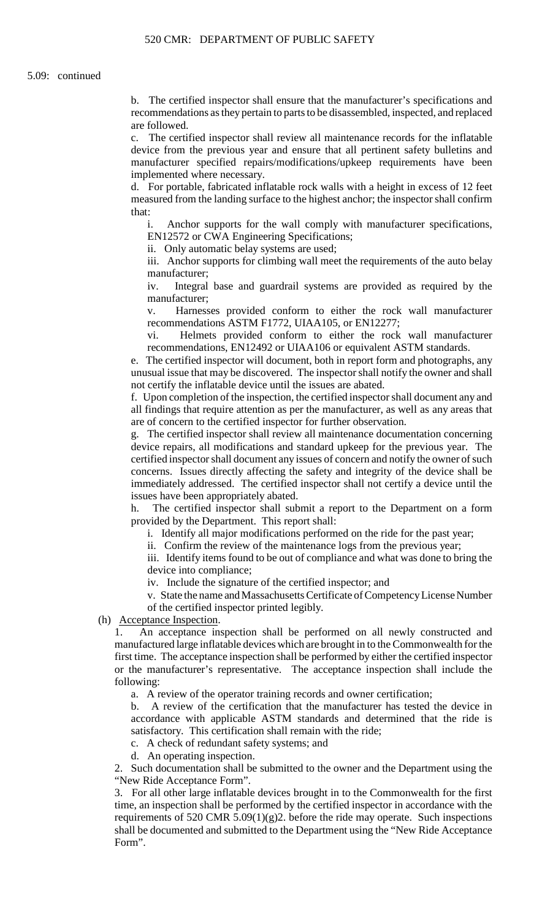b. The certified inspector shall ensure that the manufacturer's specifications and recommendations as they pertain to parts to be disassembled, inspected, and replaced are followed.

c. The certified inspector shall review all maintenance records for the inflatable device from the previous year and ensure that all pertinent safety bulletins and manufacturer specified repairs/modifications/upkeep requirements have been implemented where necessary.

d. For portable, fabricated inflatable rock walls with a height in excess of 12 feet measured from the landing surface to the highest anchor; the inspector shall confirm that:

i. Anchor supports for the wall comply with manufacturer specifications, EN12572 or CWA Engineering Specifications;

ii. Only automatic belay systems are used;

iii. Anchor supports for climbing wall meet the requirements of the auto belay manufacturer;

iv. Integral base and guardrail systems are provided as required by the manufacturer;

v. Harnesses provided conform to either the rock wall manufacturer recommendations ASTM F1772, UIAA105, or EN12277;

vi. Helmets provided conform to either the rock wall manufacturer recommendations, EN12492 or UIAA106 or equivalent ASTM standards.

 unusual issue that may be discovered. The inspector shall notify the owner and shall e. The certified inspector will document, both in report form and photographs, any not certify the inflatable device until the issues are abated.

 all findings that require attention as per the manufacturer, as well as any areas that f. Upon completion of the inspection, the certified inspector shall document any and are of concern to the certified inspector for further observation.

g. The certified inspector shall review all maintenance documentation concerning device repairs, all modifications and standard upkeep for the previous year. The certified inspector shall document any issues of concern and notify the owner of such concerns. Issues directly affecting the safety and integrity of the device shall be immediately addressed. The certified inspector shall not certify a device until the issues have been appropriately abated.

The certified inspector shall submit a report to the Department on a form provided by the Department. This report shall:

i. Identify all major modifications performed on the ride for the past year;

ii. Confirm the review of the maintenance logs from the previous year;

iii. Identify items found to be out of compliance and what was done to bring the device into compliance;

iv. Include the signature of the certified inspector; and

v. State the name and Massachusetts Certificate of Competency License Number of the certified inspector printed legibly.

(h) Acceptance Inspection.

1. An acceptance inspection shall be performed on all newly constructed and manufactured large inflatable devices which are brought in to the Commonwealth for the first time. The acceptance inspection shall be performed by either the certified inspector or the manufacturer's representative. The acceptance inspection shall include the following:

a. A review of the operator training records and owner certification;

b. A review of the certification that the manufacturer has tested the device in accordance with applicable ASTM standards and determined that the ride is satisfactory. This certification shall remain with the ride;

c. A check of redundant safety systems; and

d. An operating inspection.

2. Such documentation shall be submitted to the owner and the Department using the "New Ride Acceptance Form".

3. For all other large inflatable devices brought in to the Commonwealth for the first time, an inspection shall be performed by the certified inspector in accordance with the requirements of 520 CMR 5.09(1)(g)2. before the ride may operate. Such inspections shall be documented and submitted to the Department using the "New Ride Acceptance Form".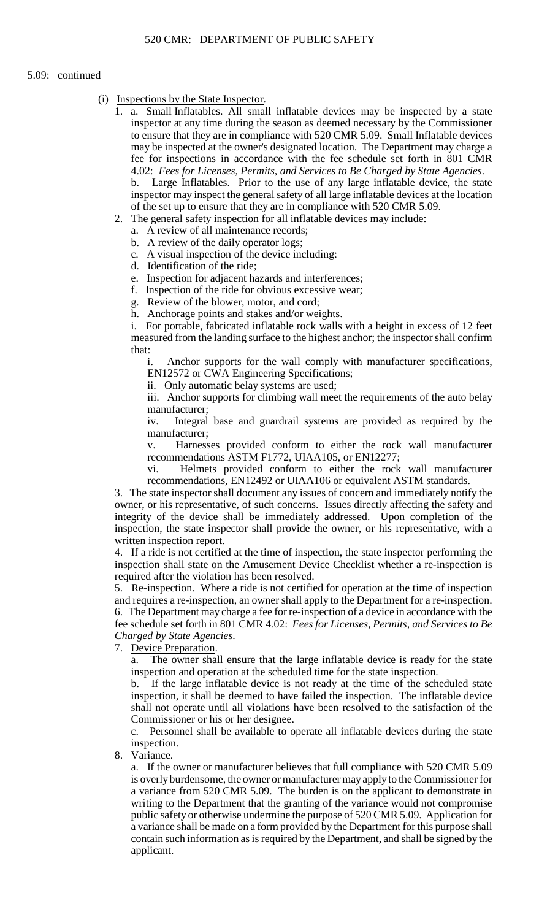#### 5.09: continued

- (i) Inspections by the State Inspector.
	- 1. a. **Small Inflatables**. All small inflatable devices may be inspected by a state inspector at any time during the season as deemed necessary by the Commissioner to ensure that they are in compliance with 520 CMR 5.09. Small Inflatable devices may be inspected at the owner's designated location. The Department may charge a fee for inspections in accordance with the fee schedule set forth in 801 CMR 4.02: *Fees for Licenses, Permits, and Services to Be Charged by State Agencies*. b. Large Inflatables. Prior to the use of any large inflatable device, the state inspector may inspect the general safety of all large inflatable devices at the location
	- of the set up to ensure that they are in compliance with 520 CMR 5.09. 2. The general safety inspection for all inflatable devices may include:
		- a. A review of all maintenance records;
		- b. A review of the daily operator logs;
		- c. A visual inspection of the device including:
		- d. Identification of the ride;
		- e. Inspection for adjacent hazards and interferences;
		- f. Inspection of the ride for obvious excessive wear;
		- g. Review of the blower, motor, and cord;
		- h. Anchorage points and stakes and/or weights.

i. For portable, fabricated inflatable rock walls with a height in excess of 12 feet measured from the landing surface to the highest anchor; the inspector shall confirm that:

Anchor supports for the wall comply with manufacturer specifications, EN12572 or CWA Engineering Specifications;

ii. Only automatic belay systems are used;

iii. Anchor supports for climbing wall meet the requirements of the auto belay manufacturer;

iv. Integral base and guardrail systems are provided as required by the manufacturer;

v. Harnesses provided conform to either the rock wall manufacturer recommendations ASTM F1772, UIAA105, or EN12277;

vi. Helmets provided conform to either the rock wall manufacturer recommendations, EN12492 or UIAA106 or equivalent ASTM standards.

3. The state inspector shall document any issues of concern and immediately notify the owner, or his representative, of such concerns. Issues directly affecting the safety and integrity of the device shall be immediately addressed. Upon completion of the inspection, the state inspector shall provide the owner, or his representative, with a written inspection report.

4. If a ride is not certified at the time of inspection, the state inspector performing the inspection shall state on the Amusement Device Checklist whether a re-inspection is required after the violation has been resolved.

 and requires a re-inspection, an owner shall apply to the Department for a re-inspection. 5. Re-inspection. Where a ride is not certified for operation at the time of inspection 6. The Department may charge a fee for re-inspection of a device in accordance with the fee schedule set forth in 801 CMR 4.02: *Fees for Licenses, Permits, and Services to Be Charged by State Agencies*.

7. Device Preparation.

a. The owner shall ensure that the large inflatable device is ready for the state inspection and operation at the scheduled time for the state inspection.

b. If the large inflatable device is not ready at the time of the scheduled state inspection, it shall be deemed to have failed the inspection. The inflatable device shall not operate until all violations have been resolved to the satisfaction of the Commissioner or his or her designee.

 c. Personnel shall be available to operate all inflatable devices during the state inspection.

8. Variance.

 is overly burdensome, the owner or manufacturer may apply to the Commissioner for a variance shall be made on a form provided by the Department for this purpose shall a. If the owner or manufacturer believes that full compliance with 520 CMR 5.09 a variance from 520 CMR 5.09. The burden is on the applicant to demonstrate in writing to the Department that the granting of the variance would not compromise public safety or otherwise undermine the purpose of 520 CMR 5.09. Application for contain such information as is required by the Department, and shall be signed by the applicant.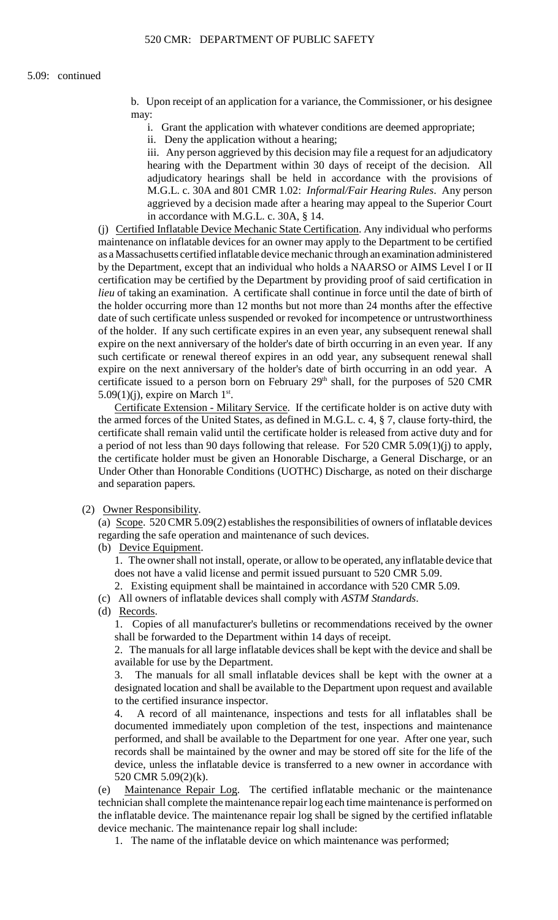b. Upon receipt of an application for a variance, the Commissioner, or his designee may:

i. Grant the application with whatever conditions are deemed appropriate;

ii. Deny the application without a hearing;

iii. Any person aggrieved by this decision may file a request for an adjudicatory hearing with the Department within 30 days of receipt of the decision. All adjudicatory hearings shall be held in accordance with the provisions of M.G.L. c. 30A and 801 CMR 1.02: *Informal/Fair Hearing Rules*. Any person aggrieved by a decision made after a hearing may appeal to the Superior Court in accordance with M.G.L. c. 30A, § 14.

 (j) Certified Inflatable Device Mechanic State Certification. Any individual who performs maintenance on inflatable devices for an owner may apply to the Department to be certified certification may be certified by the Department by providing proof of said certification in as a Massachusetts certified inflatable device mechanic through an examination administered by the Department, except that an individual who holds a NAARSO or AIMS Level I or II *lieu* of taking an examination. A certificate shall continue in force until the date of birth of the holder occurring more than 12 months but not more than 24 months after the effective date of such certificate unless suspended or revoked for incompetence or untrustworthiness of the holder. If any such certificate expires in an even year, any subsequent renewal shall expire on the next anniversary of the holder's date of birth occurring in an even year. If any such certificate or renewal thereof expires in an odd year, any subsequent renewal shall expire on the next anniversary of the holder's date of birth occurring in an odd year. A certificate issued to a person born on February  $29<sup>th</sup>$  shall, for the purposes of 520 CMR 5.09(1)(j), expire on March 1<sup>st</sup>.

 a period of not less than 90 days following that release. For 520 CMR 5.09(1)(j) to apply, Certificate Extension - Military Service. If the certificate holder is on active duty with the armed forces of the United States, as defined in M.G.L. c. 4, § 7, clause forty-third, the certificate shall remain valid until the certificate holder is released from active duty and for the certificate holder must be given an Honorable Discharge, a General Discharge, or an Under Other than Honorable Conditions (UOTHC) Discharge, as noted on their discharge and separation papers.

(2) Owner Responsibility.

(a) Scope. 520 CMR 5.09(2) establishes the responsibilities of owners of inflatable devices regarding the safe operation and maintenance of such devices.

(b) Device Equipment.

1. The owner shall not install, operate, or allow to be operated, any inflatable device that does not have a valid license and permit issued pursuant to 520 CMR 5.09.

2. Existing equipment shall be maintained in accordance with 520 CMR 5.09.

(c) All owners of inflatable devices shall comply with *ASTM Standards*.

(d) Records.

1. Copies of all manufacturer's bulletins or recommendations received by the owner shall be forwarded to the Department within 14 days of receipt.

2. The manuals for all large inflatable devices shall be kept with the device and shall be available for use by the Department.

3. The manuals for all small inflatable devices shall be kept with the owner at a designated location and shall be available to the Department upon request and available to the certified insurance inspector.

 records shall be maintained by the owner and may be stored off site for the life of the 4. A record of all maintenance, inspections and tests for all inflatables shall be documented immediately upon completion of the test, inspections and maintenance performed, and shall be available to the Department for one year. After one year, such device, unless the inflatable device is transferred to a new owner in accordance with 520 CMR 5.09(2)(k).

 the inflatable device. The maintenance repair log shall be signed by the certified inflatable (e) Maintenance Repair Log. The certified inflatable mechanic or the maintenance technician shall complete the maintenance repair log each time maintenance is performed on device mechanic. The maintenance repair log shall include:

1. The name of the inflatable device on which maintenance was performed;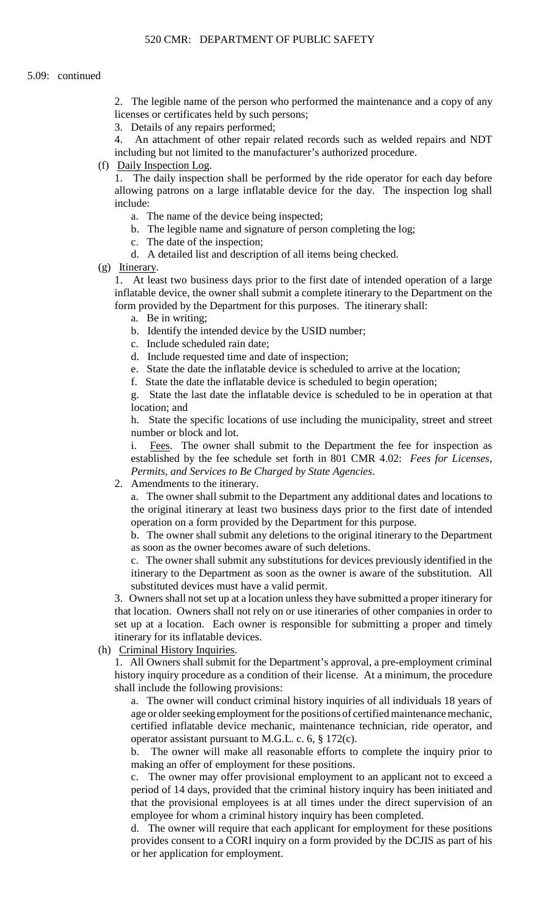2. The legible name of the person who performed the maintenance and a copy of any licenses or certificates held by such persons;

3. Details of any repairs performed;

4. An attachment of other repair related records such as welded repairs and NDT including but not limited to the manufacturer's authorized procedure.

(f) Daily Inspection Log.

1. The daily inspection shall be performed by the ride operator for each day before allowing patrons on a large inflatable device for the day. The inspection log shall include:

- a. The name of the device being inspected;
- b. The legible name and signature of person completing the log;
- c. The date of the inspection;
- d. A detailed list and description of all items being checked.
- (g) Itinerary.

 1. At least two business days prior to the first date of intended operation of a large inflatable device, the owner shall submit a complete itinerary to the Department on the form provided by the Department for this purposes. The itinerary shall:

- a. Be in writing;
- b. Identify the intended device by the USID number;
- c. Include scheduled rain date;
- d. Include requested time and date of inspection;
- e. State the date the inflatable device is scheduled to arrive at the location;
- f. State the date the inflatable device is scheduled to begin operation;

g. State the last date the inflatable device is scheduled to be in operation at that location; and

 h. State the specific locations of use including the municipality, street and street number or block and lot.

i. Fees. The owner shall submit to the Department the fee for inspection as established by the fee schedule set forth in 801 CMR 4.02: *Fees for Licenses, Permits, and Services to Be Charged by State Agencies*.

2. Amendments to the itinerary.

a. The owner shall submit to the Department any additional dates and locations to the original itinerary at least two business days prior to the first date of intended operation on a form provided by the Department for this purpose.

b. The owner shall submit any deletions to the original itinerary to the Department as soon as the owner becomes aware of such deletions.

c. The owner shall submit any substitutions for devices previously identified in the itinerary to the Department as soon as the owner is aware of the substitution. All substituted devices must have a valid permit.

 that location. Owners shall not rely on or use itineraries of other companies in order to 3. Owners shall not set up at a location unless they have submitted a proper itinerary for set up at a location. Each owner is responsible for submitting a proper and timely itinerary for its inflatable devices.

(h) Criminal History Inquiries.

 history inquiry procedure as a condition of their license. At a minimum, the procedure 1. All Owners shall submit for the Department's approval, a pre-employment criminal shall include the following provisions:

 a. The owner will conduct criminal history inquiries of all individuals 18 years of age or older seeking employment for the positions of certified maintenance mechanic, certified inflatable device mechanic, maintenance technician, ride operator, and operator assistant pursuant to M.G.L. c. 6, § 172(c).

b. The owner will make all reasonable efforts to complete the inquiry prior to making an offer of employment for these positions.

c. The owner may offer provisional employment to an applicant not to exceed a period of 14 days, provided that the criminal history inquiry has been initiated and that the provisional employees is at all times under the direct supervision of an employee for whom a criminal history inquiry has been completed.

 provides consent to a CORI inquiry on a form provided by the DCJIS as part of his d. The owner will require that each applicant for employment for these positions or her application for employment.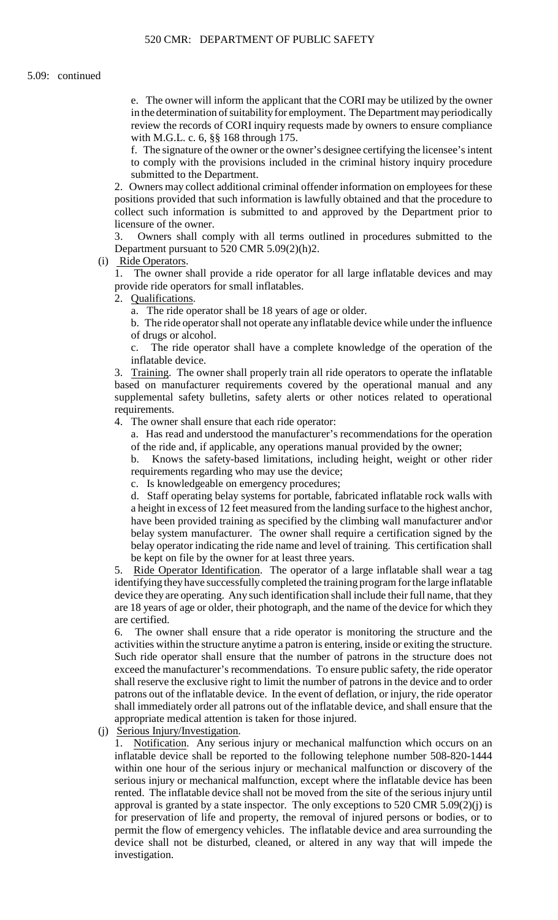e. The owner will inform the applicant that the CORI may be utilized by the owner review the records of CORI inquiry requests made by owners to ensure compliance in the determination of suitability for employment. The Department may periodically with M.G.L. c. 6, §§ 168 through 175.

f. The signature of the owner or the owner's designee certifying the licensee's intent to comply with the provisions included in the criminal history inquiry procedure submitted to the Department.

2. Owners may collect additional criminal offender information on employees for these positions provided that such information is lawfully obtained and that the procedure to collect such information is submitted to and approved by the Department prior to licensure of the owner.

 $\mathcal{R}$ Owners shall comply with all terms outlined in procedures submitted to the Department pursuant to 520 CMR 5.09(2)(h)2.

(i) Ride Operators.

1. The owner shall provide a ride operator for all large inflatable devices and may provide ride operators for small inflatables.

2. Qualifications.

a. The ride operator shall be 18 years of age or older.

b. The ride operator shall not operate any inflatable device while under the influence of drugs or alcohol.

c. The ride operator shall have a complete knowledge of the operation of the inflatable device.

3. Training. The owner shall properly train all ride operators to operate the inflatable based on manufacturer requirements covered by the operational manual and any supplemental safety bulletins, safety alerts or other notices related to operational requirements.

4. The owner shall ensure that each ride operator:

a. Has read and understood the manufacturer's recommendations for the operation of the ride and, if applicable, any operations manual provided by the owner;

b. Knows the safety-based limitations, including height, weight or other rider requirements regarding who may use the device;

c. Is knowledgeable on emergency procedures;

 d. Staff operating belay systems for portable, fabricated inflatable rock walls with a height in excess of 12 feet measured from the landing surface to the highest anchor, have been provided training as specified by the climbing wall manufacturer and or belay system manufacturer. The owner shall require a certification signed by the belay operator indicating the ride name and level of training. This certification shall be kept on file by the owner for at least three years.

5. Ride Operator Identification. The operator of a large inflatable shall wear a tag identifying they have successfully completed the training program for the large inflatable device they are operating. Any such identification shall include their full name, that they are 18 years of age or older, their photograph, and the name of the device for which they are certified.

 Such ride operator shall ensure that the number of patrons in the structure does not 6. The owner shall ensure that a ride operator is monitoring the structure and the activities within the structure anytime a patron is entering, inside or exiting the structure. exceed the manufacturer's recommendations. To ensure public safety, the ride operator shall reserve the exclusive right to limit the number of patrons in the device and to order patrons out of the inflatable device. In the event of deflation, or injury, the ride operator shall immediately order all patrons out of the inflatable device, and shall ensure that the appropriate medical attention is taken for those injured.

(j) Serious Injury/Investigation.

 rented. The inflatable device shall not be moved from the site of the serious injury until permit the flow of emergency vehicles. The inflatable device and area surrounding the 1. Notification. Any serious injury or mechanical malfunction which occurs on an inflatable device shall be reported to the following telephone number 508-820-1444 within one hour of the serious injury or mechanical malfunction or discovery of the serious injury or mechanical malfunction, except where the inflatable device has been approval is granted by a state inspector. The only exceptions to  $520$  CMR  $5.09(2)(j)$  is for preservation of life and property, the removal of injured persons or bodies, or to device shall not be disturbed, cleaned, or altered in any way that will impede the investigation.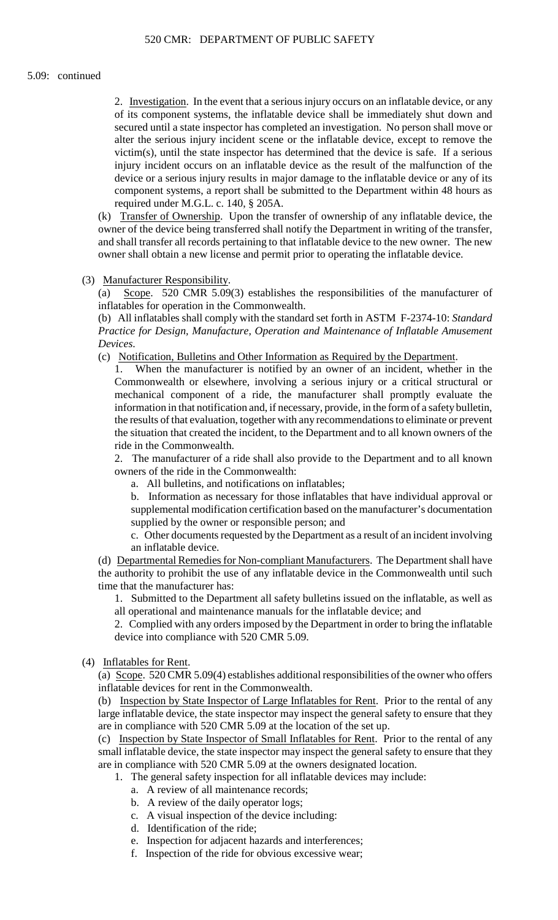# 5.09: continued

 of its component systems, the inflatable device shall be immediately shut down and 2. Investigation. In the event that a serious injury occurs on an inflatable device, or any secured until a state inspector has completed an investigation. No person shall move or alter the serious injury incident scene or the inflatable device, except to remove the victim(s), until the state inspector has determined that the device is safe. If a serious injury incident occurs on an inflatable device as the result of the malfunction of the device or a serious injury results in major damage to the inflatable device or any of its component systems, a report shall be submitted to the Department within 48 hours as required under M.G.L. c. 140, § 205A.

(k) Transfer of Ownership. Upon the transfer of ownership of any inflatable device, the owner of the device being transferred shall notify the Department in writing of the transfer, and shall transfer all records pertaining to that inflatable device to the new owner. The new owner shall obtain a new license and permit prior to operating the inflatable device.

(3) Manufacturer Responsibility.

(a) Scope. 520 CMR 5.09(3) establishes the responsibilities of the manufacturer of inflatables for operation in the Commonwealth.

 (b) All inflatables shall comply with the standard set forth in ASTM F-2374-10: *Standard Practice for Design, Manufacture, Operation and Maintenance of Inflatable Amusement Devices*.

(c) Notification, Bulletins and Other Information as Required by the Department.

1. When the manufacturer is notified by an owner of an incident, whether in the Commonwealth or elsewhere, involving a serious injury or a critical structural or mechanical component of a ride, the manufacturer shall promptly evaluate the information in that notification and, if necessary, provide, in the form of a safety bulletin, the results of that evaluation, together with any recommendations to eliminate or prevent the situation that created the incident, to the Department and to all known owners of the ride in the Commonwealth.

2. The manufacturer of a ride shall also provide to the Department and to all known owners of the ride in the Commonwealth:

a. All bulletins, and notifications on inflatables;

b. Information as necessary for those inflatables that have individual approval or supplemental modification certification based on the manufacturer's documentation supplied by the owner or responsible person; and

c. Other documents requested by the Department as a result of an incident involving an inflatable device.

(d) Departmental Remedies for Non-compliant Manufacturers. The Department shall have the authority to prohibit the use of any inflatable device in the Commonwealth until such time that the manufacturer has:

1. Submitted to the Department all safety bulletins issued on the inflatable, as well as all operational and maintenance manuals for the inflatable device; and

 2. Complied with any orders imposed by the Department in order to bring the inflatable device into compliance with 520 CMR 5.09.

(4) Inflatables for Rent.

(a) Scope. 520 CMR 5.09(4) establishes additional responsibilities of the owner who offers inflatable devices for rent in the Commonwealth.

(b) Inspection by State Inspector of Large Inflatables for Rent. Prior to the rental of any large inflatable device, the state inspector may inspect the general safety to ensure that they are in compliance with 520 CMR 5.09 at the location of the set up.

(c) Inspection by State Inspector of Small Inflatables for Rent. Prior to the rental of any small inflatable device, the state inspector may inspect the general safety to ensure that they are in compliance with 520 CMR 5.09 at the owners designated location.

1. The general safety inspection for all inflatable devices may include:

- a. A review of all maintenance records;
- b. A review of the daily operator logs;
- c. A visual inspection of the device including:
- d. Identification of the ride;
- e. Inspection for adjacent hazards and interferences;
- f. Inspection of the ride for obvious excessive wear;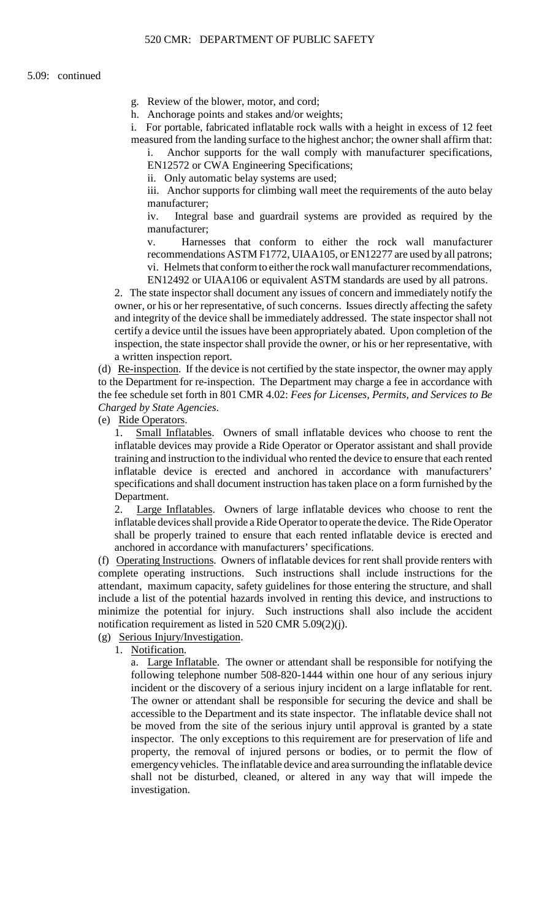g. Review of the blower, motor, and cord;

h. Anchorage points and stakes and/or weights;

 measured from the landing surface to the highest anchor; the owner shall affirm that: i. For portable, fabricated inflatable rock walls with a height in excess of 12 feet

i. Anchor supports for the wall comply with manufacturer specifications, EN12572 or CWA Engineering Specifications;

ii. Only automatic belay systems are used;

iii. Anchor supports for climbing wall meet the requirements of the auto belay manufacturer;

iv. Integral base and guardrail systems are provided as required by the manufacturer;

 recommendations ASTM F1772, UIAA105, or EN12277 are used by all patrons; vi. Helmets that conform to either the rock wall manufacturer recommendations, v. Harnesses that conform to either the rock wall manufacturer EN12492 or UIAA106 or equivalent ASTM standards are used by all patrons.

 owner, or his or her representative, of such concerns. Issues directly affecting the safety and integrity of the device shall be immediately addressed. The state inspector shall not inspection, the state inspector shall provide the owner, or his or her representative, with 2. The state inspector shall document any issues of concern and immediately notify the certify a device until the issues have been appropriately abated. Upon completion of the a written inspection report.

(d) Re-inspection. If the device is not certified by the state inspector, the owner may apply to the Department for re-inspection. The Department may charge a fee in accordance with the fee schedule set forth in 801 CMR 4.02: *Fees for Licenses, Permits, and Services to Be Charged by State Agencies*.

(e) Ride Operators.

 training and instruction to the individual who rented the device to ensure that each rented inflatable device is erected and anchored in accordance with manufacturers' 1. Small Inflatables. Owners of small inflatable devices who choose to rent the inflatable devices may provide a Ride Operator or Operator assistant and shall provide specifications and shall document instruction has taken place on a form furnished by the Department.

2. Large Inflatables. Owners of large inflatable devices who choose to rent the inflatable devices shall provide a Ride Operator to operate the device. The Ride Operator shall be properly trained to ensure that each rented inflatable device is erected and anchored in accordance with manufacturers' specifications.

 (f) Operating Instructions. Owners of inflatable devices for rent shall provide renters with minimize the potential for injury. Such instructions shall also include the accident complete operating instructions. Such instructions shall include instructions for the attendant, maximum capacity, safety guidelines for those entering the structure, and shall include a list of the potential hazards involved in renting this device, and instructions to notification requirement as listed in 520 CMR 5.09(2)(j).

(g) Serious Injury/Investigation.

1. Notification.

 be moved from the site of the serious injury until approval is granted by a state inspector. The only exceptions to this requirement are for preservation of life and a. Large Inflatable. The owner or attendant shall be responsible for notifying the following telephone number 508-820-1444 within one hour of any serious injury incident or the discovery of a serious injury incident on a large inflatable for rent. The owner or attendant shall be responsible for securing the device and shall be accessible to the Department and its state inspector. The inflatable device shall not property, the removal of injured persons or bodies, or to permit the flow of emergency vehicles. The inflatable device and area surrounding the inflatable device shall not be disturbed, cleaned, or altered in any way that will impede the investigation.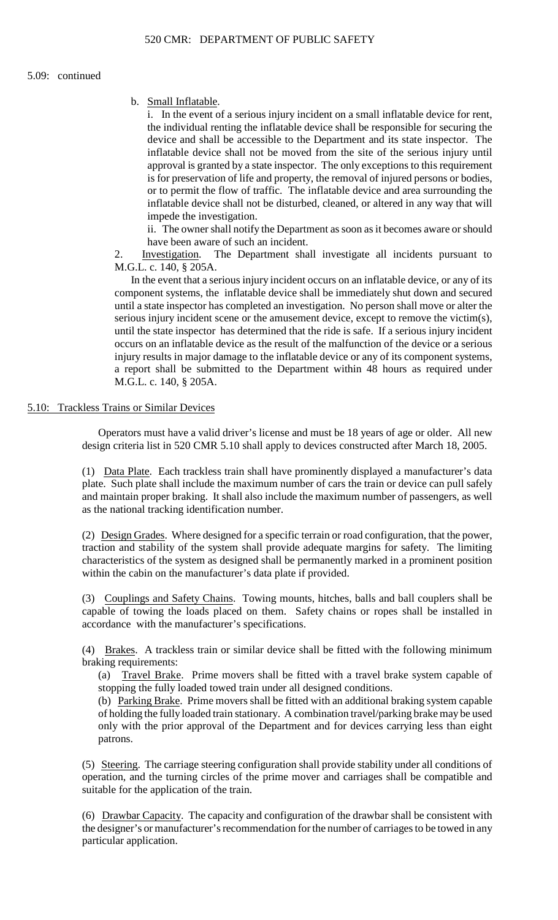b. Small Inflatable.

 i. In the event of a serious injury incident on a small inflatable device for rent, the individual renting the inflatable device shall be responsible for securing the is for preservation of life and property, the removal of injured persons or bodies, device and shall be accessible to the Department and its state inspector. The inflatable device shall not be moved from the site of the serious injury until approval is granted by a state inspector. The only exceptions to this requirement or to permit the flow of traffic. The inflatable device and area surrounding the inflatable device shall not be disturbed, cleaned, or altered in any way that will impede the investigation.

 ii. The owner shall notify the Department as soon as it becomes aware or should have been aware of such an incident.

2. Investigation. The Department shall investigate all incidents pursuant to M.G.L. c. 140, § 205A.

 until the state inspector has determined that the ride is safe. If a serious injury incident occurs on an inflatable device as the result of the malfunction of the device or a serious injury results in major damage to the inflatable device or any of its component systems, In the event that a serious injury incident occurs on an inflatable device, or any of its component systems, the inflatable device shall be immediately shut down and secured until a state inspector has completed an investigation. No person shall move or alter the serious injury incident scene or the amusement device, except to remove the victim(s), a report shall be submitted to the Department within 48 hours as required under M.G.L. c. 140, § 205A.

# 5.10: Trackless Trains or Similar Devices

Operators must have a valid driver's license and must be 18 years of age or older. All new design criteria list in 520 CMR 5.10 shall apply to devices constructed after March 18, 2005.

 plate. Such plate shall include the maximum number of cars the train or device can pull safely and maintain proper braking. It shall also include the maximum number of passengers, as well (1) Data Plate. Each trackless train shall have prominently displayed a manufacturer's data as the national tracking identification number.

(2) Design Grades. Where designed for a specific terrain or road configuration, that the power, traction and stability of the system shall provide adequate margins for safety. The limiting characteristics of the system as designed shall be permanently marked in a prominent position within the cabin on the manufacturer's data plate if provided.

(3) Couplings and Safety Chains. Towing mounts, hitches, balls and ball couplers shall be capable of towing the loads placed on them. Safety chains or ropes shall be installed in accordance with the manufacturer's specifications.

(4) Brakes. A trackless train or similar device shall be fitted with the following minimum braking requirements:

 (a) Travel Brake. Prime movers shall be fitted with a travel brake system capable of stopping the fully loaded towed train under all designed conditions.

(b) Parking Brake. Prime movers shall be fitted with an additional braking system capable only with the prior approval of the Department and for devices carrying less than eight of holding the fully loaded train stationary. A combination travel/parking brake may be used patrons.

 (5) Steering. The carriage steering configuration shall provide stability under all conditions of operation, and the turning circles of the prime mover and carriages shall be compatible and suitable for the application of the train.

(6) Drawbar Capacity. The capacity and configuration of the drawbar shall be consistent with the designer's or manufacturer's recommendation for the number of carriages to be towed in any particular application.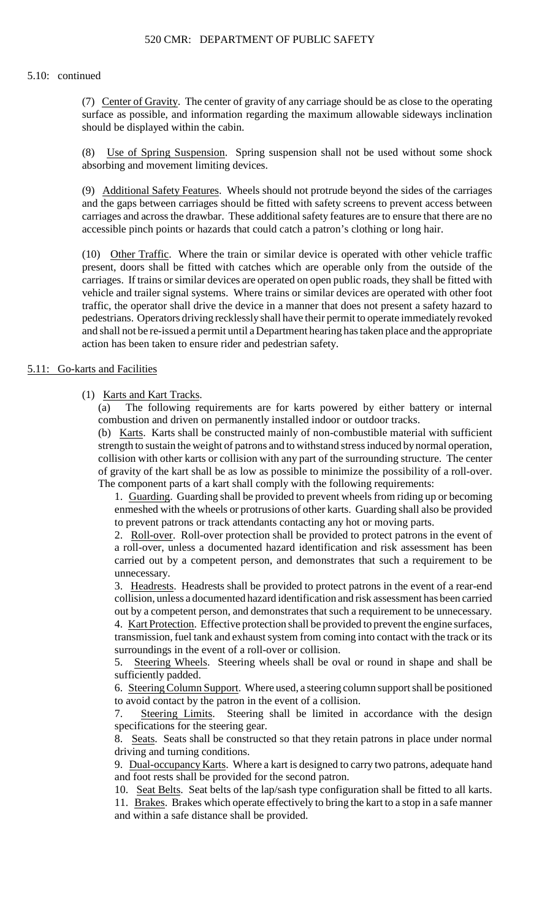### 5.10: continued

(7) Center of Gravity. The center of gravity of any carriage should be as close to the operating surface as possible, and information regarding the maximum allowable sideways inclination should be displayed within the cabin.

(8) Use of Spring Suspension. Spring suspension shall not be used without some shock absorbing and movement limiting devices.

 carriages and across the drawbar. These additional safety features are to ensure that there are no (9) Additional Safety Features. Wheels should not protrude beyond the sides of the carriages and the gaps between carriages should be fitted with safety screens to prevent access between accessible pinch points or hazards that could catch a patron's clothing or long hair.

 carriages. If trains or similar devices are operated on open public roads, they shall be fitted with pedestrians. Operators driving recklessly shall have their permit to operate immediately revoked (10) Other Traffic. Where the train or similar device is operated with other vehicle traffic present, doors shall be fitted with catches which are operable only from the outside of the vehicle and trailer signal systems. Where trains or similar devices are operated with other foot traffic, the operator shall drive the device in a manner that does not present a safety hazard to and shall not be re-issued a permit until a Department hearing has taken place and the appropriate action has been taken to ensure rider and pedestrian safety.

# 5.11: Go-karts and Facilities

# (1) Karts and Kart Tracks.

 (a) The following requirements are for karts powered by either battery or internal combustion and driven on permanently installed indoor or outdoor tracks.

(b) Karts. Karts shall be constructed mainly of non-combustible material with sufficient strength to sustain the weight of patrons and to withstand stress induced by normal operation, collision with other karts or collision with any part of the surrounding structure. The center of gravity of the kart shall be as low as possible to minimize the possibility of a roll-over. The component parts of a kart shall comply with the following requirements:

1. Guarding. Guarding shall be provided to prevent wheels from riding up or becoming enmeshed with the wheels or protrusions of other karts. Guarding shall also be provided to prevent patrons or track attendants contacting any hot or moving parts.

2. Roll-over. Roll-over protection shall be provided to protect patrons in the event of a roll-over, unless a documented hazard identification and risk assessment has been carried out by a competent person, and demonstrates that such a requirement to be unnecessary.

 out by a competent person, and demonstrates that such a requirement to be unnecessary. 3. Headrests. Headrests shall be provided to protect patrons in the event of a rear-end collision, unless a documented hazard identification and risk assessment has been carried

4. Kart Protection. Effective protection shall be provided to prevent the engine surfaces, transmission, fuel tank and exhaust system from coming into contact with the track or its surroundings in the event of a roll-over or collision.

5. Steering Wheels. Steering wheels shall be oval or round in shape and shall be sufficiently padded.

6. Steering Column Support. Where used, a steering column support shall be positioned to avoid contact by the patron in the event of a collision.

7. Steering Limits. Steering shall be limited in accordance with the design specifications for the steering gear.

8. Seats. Seats shall be constructed so that they retain patrons in place under normal driving and turning conditions.

9. Dual-occupancy Karts. Where a kart is designed to carry two patrons, adequate hand and foot rests shall be provided for the second patron.

10. Seat Belts. Seat belts of the lap/sash type configuration shall be fitted to all karts.

11. Brakes. Brakes which operate effectively to bring the kart to a stop in a safe manner and within a safe distance shall be provided.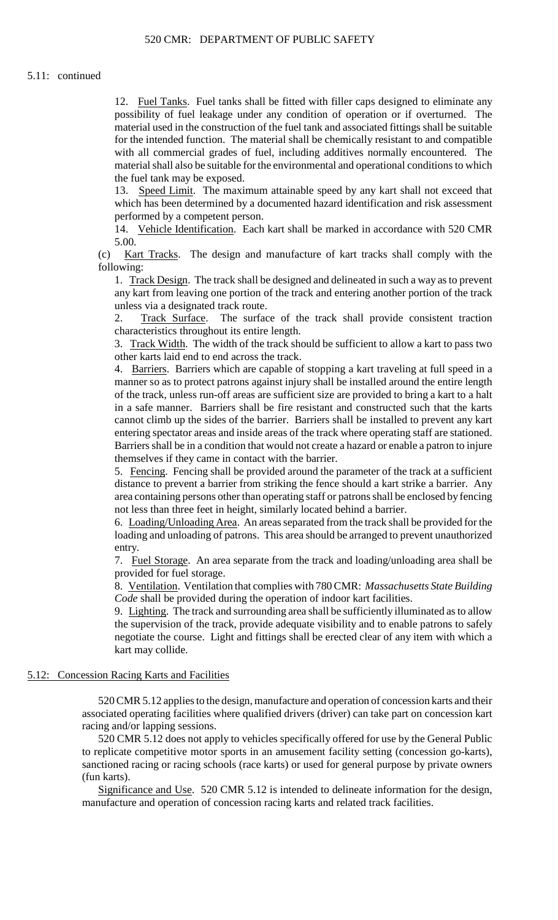12. Fuel Tanks. Fuel tanks shall be fitted with filler caps designed to eliminate any possibility of fuel leakage under any condition of operation or if overturned. The material used in the construction of the fuel tank and associated fittings shall be suitable for the intended function. The material shall be chemically resistant to and compatible with all commercial grades of fuel, including additives normally encountered. The material shall also be suitable for the environmental and operational conditions to which the fuel tank may be exposed.

13. Speed Limit. The maximum attainable speed by any kart shall not exceed that which has been determined by a documented hazard identification and risk assessment performed by a competent person.

14. Vehicle Identification. Each kart shall be marked in accordance with 520 CMR 5.00.

(c) Kart Tracks. The design and manufacture of kart tracks shall comply with the following:

1. Track Design. The track shall be designed and delineated in such a way as to prevent any kart from leaving one portion of the track and entering another portion of the track unless via a designated track route.

Track Surface. The surface of the track shall provide consistent traction characteristics throughout its entire length.

3. Track Width. The width of the track should be sufficient to allow a kart to pass two other karts laid end to end across the track.

 of the track, unless run-off areas are sufficient size are provided to bring a kart to a halt 4. Barriers. Barriers which are capable of stopping a kart traveling at full speed in a manner so as to protect patrons against injury shall be installed around the entire length in a safe manner. Barriers shall be fire resistant and constructed such that the karts cannot climb up the sides of the barrier. Barriers shall be installed to prevent any kart entering spectator areas and inside areas of the track where operating staff are stationed. Barriers shall be in a condition that would not create a hazard or enable a patron to injure themselves if they came in contact with the barrier.

5. Fencing. Fencing shall be provided around the parameter of the track at a sufficient distance to prevent a barrier from striking the fence should a kart strike a barrier. Any area containing persons other than operating staff or patrons shall be enclosed by fencing not less than three feet in height, similarly located behind a barrier.

6. Loading/Unloading Area. An areas separated from the track shall be provided for the loading and unloading of patrons. This area should be arranged to prevent unauthorized entry.

7. Fuel Storage. An area separate from the track and loading/unloading area shall be provided for fuel storage.

 8. Ventilation. Ventilation that complies with 780 CMR: *Massachusetts State Building Code* shall be provided during the operation of indoor kart facilities.

9. Lighting. The track and surrounding area shall be sufficiently illuminated as to allow the supervision of the track, provide adequate visibility and to enable patrons to safely negotiate the course. Light and fittings shall be erected clear of any item with which a kart may collide.

# 5.12: Concession Racing Karts and Facilities

 520 CMR 5.12 applies to the design, manufacture and operation of concession karts and their associated operating facilities where qualified drivers (driver) can take part on concession kart racing and/or lapping sessions.

520 CMR 5.12 does not apply to vehicles specifically offered for use by the General Public to replicate competitive motor sports in an amusement facility setting (concession go-karts), sanctioned racing or racing schools (race karts) or used for general purpose by private owners (fun karts).

Significance and Use. 520 CMR 5.12 is intended to delineate information for the design, manufacture and operation of concession racing karts and related track facilities.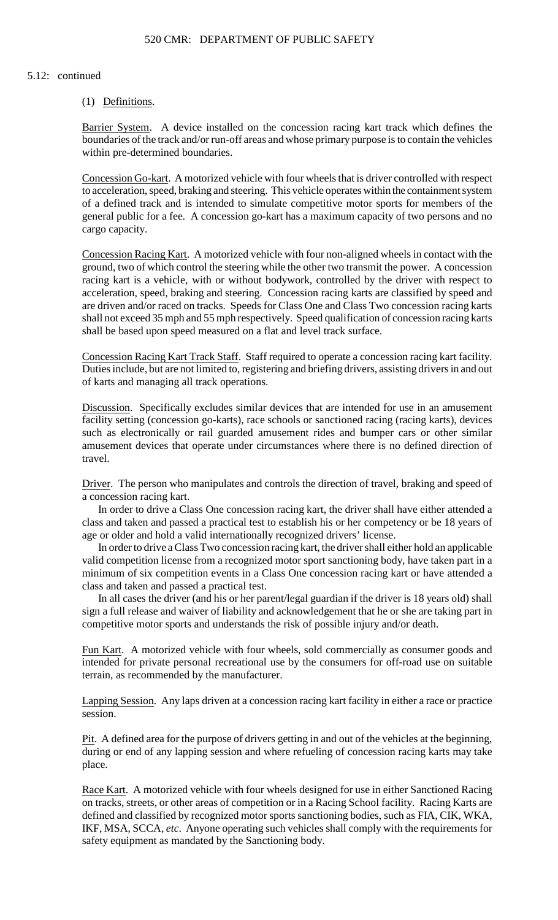#### 5.12: continued

# (1) Definitions.

Barrier System. A device installed on the concession racing kart track which defines the boundaries of the track and/or run-off areas and whose primary purpose is to contain the vehicles within pre-determined boundaries.

Concession Go-kart. A motorized vehicle with four wheels that is driver controlled with respect to acceleration, speed, braking and steering. This vehicle operates within the containment system of a defined track and is intended to simulate competitive motor sports for members of the general public for a fee. A concession go-kart has a maximum capacity of two persons and no cargo capacity.

 Concession Racing Kart. A motorized vehicle with four non-aligned wheels in contact with the are driven and/or raced on tracks. Speeds for Class One and Class Two concession racing karts ground, two of which control the steering while the other two transmit the power. A concession racing kart is a vehicle, with or without bodywork, controlled by the driver with respect to acceleration, speed, braking and steering. Concession racing karts are classified by speed and shall not exceed 35 mph and 55 mph respectively. Speed qualification of concession racing karts shall be based upon speed measured on a flat and level track surface.

 Concession Racing Kart Track Staff. Staff required to operate a concession racing kart facility. Duties include, but are not limited to, registering and briefing drivers, assisting drivers in and out of karts and managing all track operations.

Discussion. Specifically excludes similar devices that are intended for use in an amusement facility setting (concession go-karts), race schools or sanctioned racing (racing karts), devices such as electronically or rail guarded amusement rides and bumper cars or other similar amusement devices that operate under circumstances where there is no defined direction of travel.

Driver. The person who manipulates and controls the direction of travel, braking and speed of a concession racing kart.

In order to drive a Class One concession racing kart, the driver shall have either attended a class and taken and passed a practical test to establish his or her competency or be 18 years of age or older and hold a valid internationally recognized drivers' license.

 In order to drive a Class Two concession racing kart, the driver shall either hold an applicable valid competition license from a recognized motor sport sanctioning body, have taken part in a minimum of six competition events in a Class One concession racing kart or have attended a class and taken and passed a practical test.

 In all cases the driver (and his or her parent/legal guardian if the driver is 18 years old) shall sign a full release and waiver of liability and acknowledgement that he or she are taking part in competitive motor sports and understands the risk of possible injury and/or death.

Fun Kart. A motorized vehicle with four wheels, sold commercially as consumer goods and intended for private personal recreational use by the consumers for off-road use on suitable terrain, as recommended by the manufacturer.

Lapping Session. Any laps driven at a concession racing kart facility in either a race or practice session.

Pit. A defined area for the purpose of drivers getting in and out of the vehicles at the beginning, during or end of any lapping session and where refueling of concession racing karts may take place.

Race Kart. A motorized vehicle with four wheels designed for use in either Sanctioned Racing on tracks, streets, or other areas of competition or in a Racing School facility. Racing Karts are defined and classified by recognized motor sports sanctioning bodies, such as FIA, CIK, WKA, IKF, MSA, SCCA, *etc*. Anyone operating such vehicles shall comply with the requirements for safety equipment as mandated by the Sanctioning body.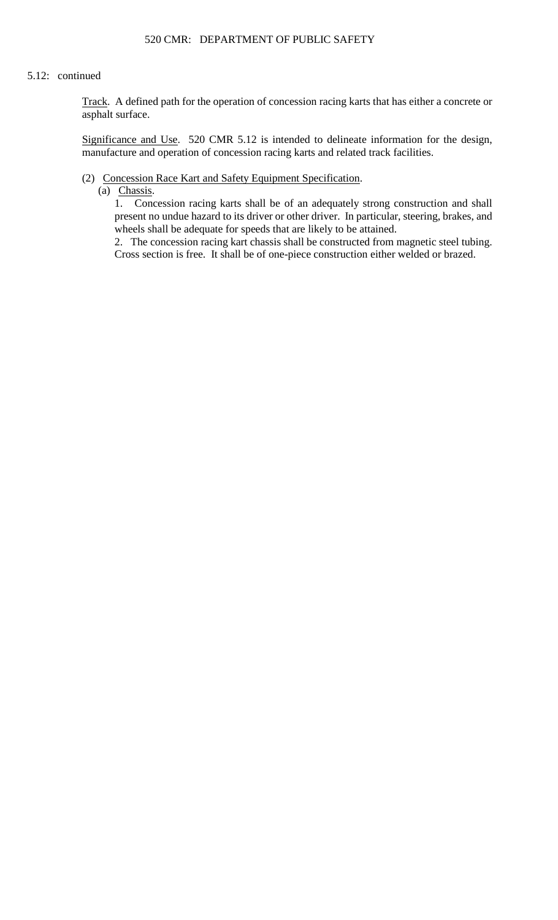#### 5.12: continued

Track. A defined path for the operation of concession racing karts that has either a concrete or asphalt surface.

Significance and Use. 520 CMR 5.12 is intended to delineate information for the design, manufacture and operation of concession racing karts and related track facilities.

# (2) Concession Race Kart and Safety Equipment Specification.

(a) Chassis.

1. Concession racing karts shall be of an adequately strong construction and shall present no undue hazard to its driver or other driver. In particular, steering, brakes, and wheels shall be adequate for speeds that are likely to be attained.

 2. The concession racing kart chassis shall be constructed from magnetic steel tubing. Cross section is free. It shall be of one-piece construction either welded or brazed.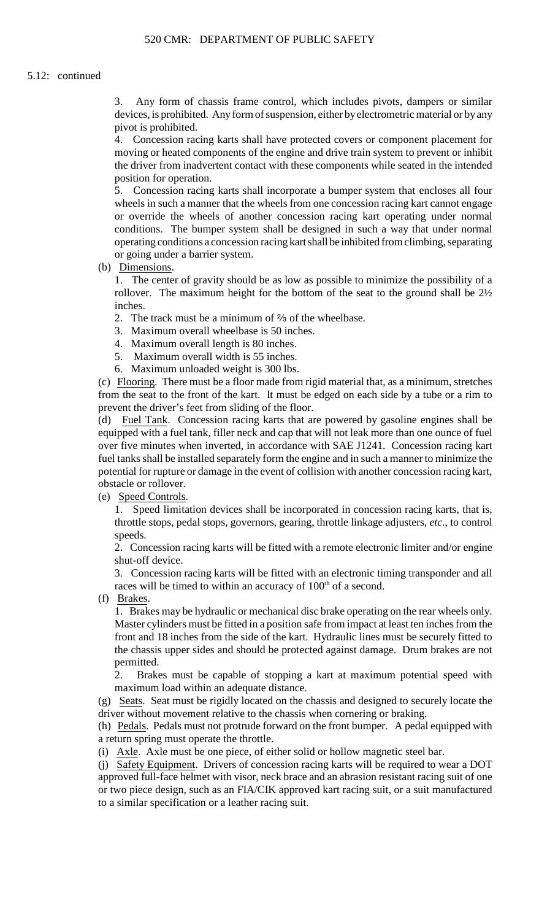3. Any form of chassis frame control, which includes pivots, dampers or similar devices, is prohibited. Anyform of suspension, either byelectrometric material or by any pivot is prohibited.

4. Concession racing karts shall have protected covers or component placement for moving or heated components of the engine and drive train system to prevent or inhibit the driver from inadvertent contact with these components while seated in the intended position for operation.

 wheels in such a manner that the wheels from one concession racing kart cannot engage conditions. The bumper system shall be designed in such a way that under normal 5. Concession racing karts shall incorporate a bumper system that encloses all four or override the wheels of another concession racing kart operating under normal operating conditions a concession racing kart shall be inhibited from climbing, separating or going under a barrier system.

(b) Dimensions.

1. The center of gravity should be as low as possible to minimize the possibility of a rollover. The maximum height for the bottom of the seat to the ground shall be 2½ inches.

2. The track must be a minimum of  $\frac{2}{3}$  of the wheelbase.

- 3. Maximum overall wheelbase is 50 inches.
- 4. Maximum overall length is 80 inches.
- 5. Maximum overall width is 55 inches.
- 6. Maximum unloaded weight is 300 lbs.

 (c) Flooring. There must be a floor made from rigid material that, as a minimum, stretches from the seat to the front of the kart. It must be edged on each side by a tube or a rim to prevent the driver's feet from sliding of the floor.

 potential for rupture or damage in the event of collision with another concession racing kart, (d) Fuel Tank. Concession racing karts that are powered by gasoline engines shall be equipped with a fuel tank, filler neck and cap that will not leak more than one ounce of fuel over five minutes when inverted, in accordance with SAE J1241. Concession racing kart fuel tanks shall be installed separately form the engine and in such a manner to minimize the obstacle or rollover.

(e) Speed Controls.

 1. Speed limitation devices shall be incorporated in concession racing karts, that is, throttle stops, pedal stops, governors, gearing, throttle linkage adjusters, *etc*., to control speeds.

 2. Concession racing karts will be fitted with a remote electronic limiter and/or engine shut-off device.

3. Concession racing karts will be fitted with an electronic timing transponder and all races will be timed to within an accuracy of 100<sup>th</sup> of a second.

(f) Brakes.

 1. Brakes may be hydraulic or mechanical disc brake operating on the rear wheels only. front and 18 inches from the side of the kart. Hydraulic lines must be securely fitted to Master cylinders must be fitted in a position safe from impact at least ten inches from the the chassis upper sides and should be protected against damage. Drum brakes are not permitted.

2. Brakes must be capable of stopping a kart at maximum potential speed with maximum load within an adequate distance.

(g) Seats. Seat must be rigidly located on the chassis and designed to securely locate the driver without movement relative to the chassis when cornering or braking.

(h) Pedals. Pedals must not protrude forward on the front bumper. A pedal equipped with a return spring must operate the throttle.

(i) Axle. Axle must be one piece, of either solid or hollow magnetic steel bar.

(j) Safety Equipment. Drivers of concession racing karts will be required to wear a DOT approved full-face helmet with visor, neck brace and an abrasion resistant racing suit of one or two piece design, such as an FIA/CIK approved kart racing suit, or a suit manufactured to a similar specification or a leather racing suit.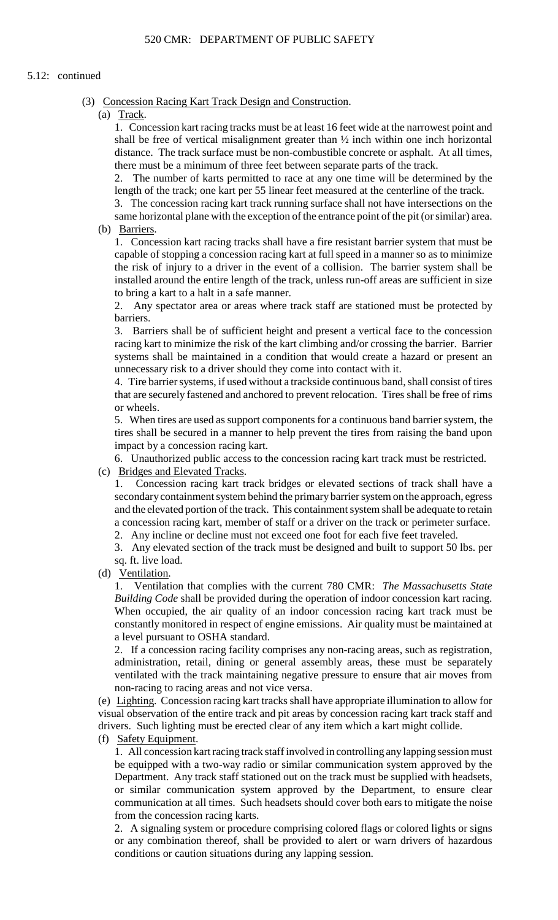# 5.12: continued

- (3) Concession Racing Kart Track Design and Construction.
	- (a) Track.

 distance. The track surface must be non-combustible concrete or asphalt. At all times, 1. Concession kart racing tracks must be at least 16 feet wide at the narrowest point and shall be free of vertical misalignment greater than ½ inch within one inch horizontal there must be a minimum of three feet between separate parts of the track.

2. The number of karts permitted to race at any one time will be determined by the length of the track; one kart per 55 linear feet measured at the centerline of the track.

3. The concession racing kart track running surface shall not have intersections on the same horizontal plane with the exception of the entrance point of the pit (or similar) area.

(b) Barriers.

 capable of stopping a concession racing kart at full speed in a manner so as to minimize the risk of injury to a driver in the event of a collision. The barrier system shall be installed around the entire length of the track, unless run-off areas are sufficient in size 1. Concession kart racing tracks shall have a fire resistant barrier system that must be to bring a kart to a halt in a safe manner.

2. Any spectator area or areas where track staff are stationed must be protected by barriers.

3. Barriers shall be of sufficient height and present a vertical face to the concession racing kart to minimize the risk of the kart climbing and/or crossing the barrier. Barrier systems shall be maintained in a condition that would create a hazard or present an unnecessary risk to a driver should they come into contact with it.

 that are securely fastened and anchored to prevent relocation. Tires shall be free of rims 4. Tire barrier systems, if used without a trackside continuous band, shall consist of tires or wheels.

 5. When tires are used as support components for a continuous band barrier system, the tires shall be secured in a manner to help prevent the tires from raising the band upon impact by a concession racing kart.

6. Unauthorized public access to the concession racing kart track must be restricted.

(c) Bridges and Elevated Tracks.

 1. Concession racing kart track bridges or elevated sections of track shall have a and the elevated portion of the track. This containment system shall be adequate to retain secondary containment system behind the primary barrier system on the approach, egress a concession racing kart, member of staff or a driver on the track or perimeter surface.

2. Any incline or decline must not exceed one foot for each five feet traveled.

3. Any elevated section of the track must be designed and built to support 50 lbs. per sq. ft. live load.

(d) Ventilation.

1. Ventilation that complies with the current 780 CMR: *The Massachusetts State Building Code* shall be provided during the operation of indoor concession kart racing. When occupied, the air quality of an indoor concession racing kart track must be constantly monitored in respect of engine emissions. Air quality must be maintained at a level pursuant to OSHA standard.

2. If a concession racing facility comprises any non-racing areas, such as registration, administration, retail, dining or general assembly areas, these must be separately ventilated with the track maintaining negative pressure to ensure that air moves from non-racing to racing areas and not vice versa.

 (e) Lighting. Concession racing kart tracks shall have appropriate illumination to allow for visual observation of the entire track and pit areas by concession racing kart track staff and drivers. Such lighting must be erected clear of any item which a kart might collide.

(f) Safety Equipment.

 1. All concession kart racing track staff involved in controlling any lapping session must Department. Any track staff stationed out on the track must be supplied with headsets, communication at all times. Such headsets should cover both ears to mitigate the noise be equipped with a two-way radio or similar communication system approved by the or similar communication system approved by the Department, to ensure clear from the concession racing karts.

 2. A signaling system or procedure comprising colored flags or colored lights or signs or any combination thereof, shall be provided to alert or warn drivers of hazardous conditions or caution situations during any lapping session.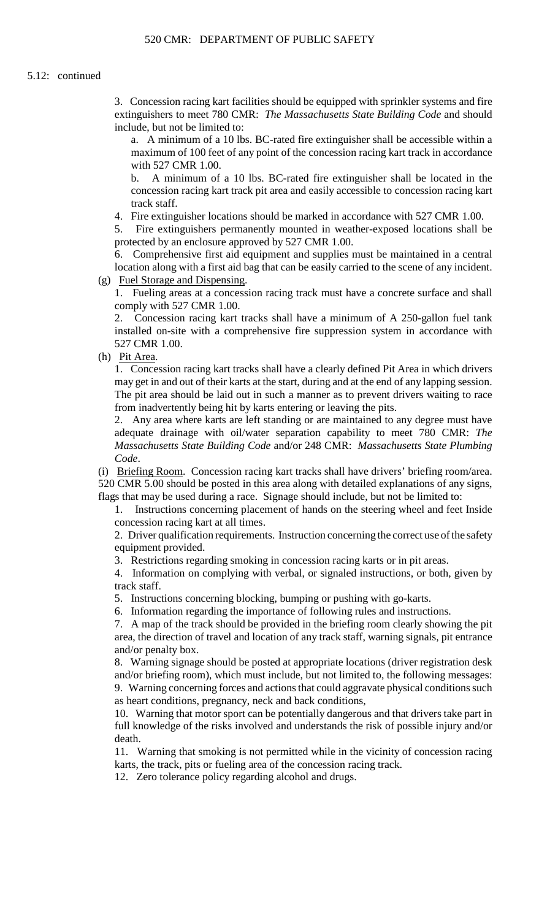3. Concession racing kart facilities should be equipped with sprinkler systems and fire extinguishers to meet 780 CMR: *The Massachusetts State Building Code* and should include, but not be limited to:

a. A minimum of a 10 lbs. BC-rated fire extinguisher shall be accessible within a maximum of 100 feet of any point of the concession racing kart track in accordance with 527 CMR 1.00.

 concession racing kart track pit area and easily accessible to concession racing kart b. A minimum of a 10 lbs. BC-rated fire extinguisher shall be located in the track staff.

4. Fire extinguisher locations should be marked in accordance with 527 CMR 1.00.

5. Fire extinguishers permanently mounted in weather-exposed locations shall be protected by an enclosure approved by 527 CMR 1.00.

 location along with a first aid bag that can be easily carried to the scene of any incident. 6. Comprehensive first aid equipment and supplies must be maintained in a central (g) Fuel Storage and Dispensing.

1. Fueling areas at a concession racing track must have a concrete surface and shall comply with 527 CMR 1.00.

2. Concession racing kart tracks shall have a minimum of A 250-gallon fuel tank installed on-site with a comprehensive fire suppression system in accordance with 527 CMR 1.00.

(h) Pit Area.

1. Concession racing kart tracks shall have a clearly defined Pit Area in which drivers may get in and out of their karts at the start, during and at the end of any lapping session. The pit area should be laid out in such a manner as to prevent drivers waiting to race from inadvertently being hit by karts entering or leaving the pits.

2. Any area where karts are left standing or are maintained to any degree must have adequate drainage with oil/water separation capability to meet 780 CMR: *The Massachusetts State Building Code* and/or 248 CMR: *Massachusetts State Plumbing Code*.

 520 CMR 5.00 should be posted in this area along with detailed explanations of any signs, (i) Briefing Room. Concession racing kart tracks shall have drivers' briefing room/area. flags that may be used during a race. Signage should include, but not be limited to:

1. Instructions concerning placement of hands on the steering wheel and feet Inside concession racing kart at all times.

 2. Driver qualification requirements. Instruction concerning the correct use of the safety equipment provided.

3. Restrictions regarding smoking in concession racing karts or in pit areas.

4. Information on complying with verbal, or signaled instructions, or both, given by track staff.

5. Instructions concerning blocking, bumping or pushing with go-karts.

6. Information regarding the importance of following rules and instructions.

7. A map of the track should be provided in the briefing room clearly showing the pit area, the direction of travel and location of any track staff, warning signals, pit entrance and/or penalty box.

 8. Warning signage should be posted at appropriate locations (driver registration desk 9. Warning concerning forces and actions that could aggravate physical conditions such and/or briefing room), which must include, but not limited to, the following messages: as heart conditions, pregnancy, neck and back conditions,

10. Warning that motor sport can be potentially dangerous and that drivers take part in full knowledge of the risks involved and understands the risk of possible injury and/or death.

11. Warning that smoking is not permitted while in the vicinity of concession racing karts, the track, pits or fueling area of the concession racing track.

12. Zero tolerance policy regarding alcohol and drugs.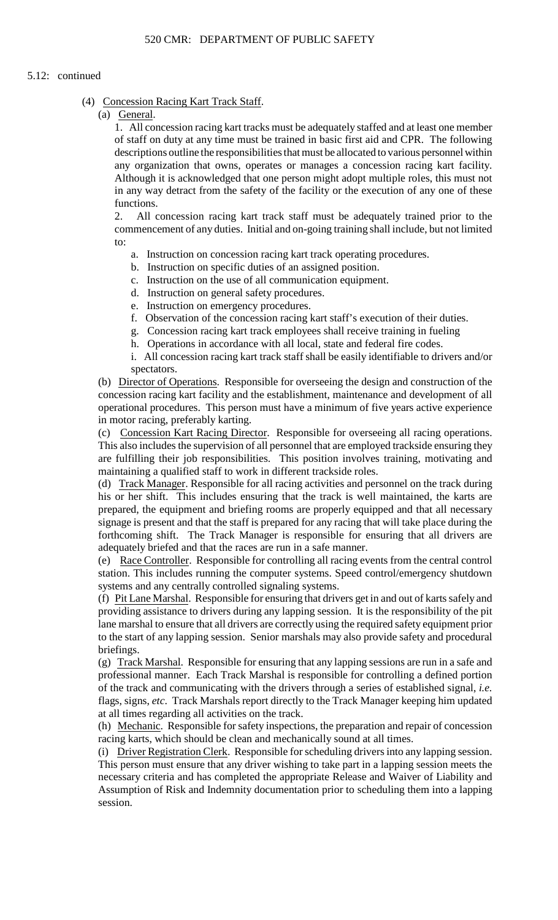# 5.12: continued

### (4) Concession Racing Kart Track Staff.

(a) General.

1. All concession racing kart tracks must be adequately staffed and at least one member of staff on duty at any time must be trained in basic first aid and CPR. The following descriptions outline the responsibilities that must be allocated to various personnel within any organization that owns, operates or manages a concession racing kart facility. Although it is acknowledged that one person might adopt multiple roles, this must not in any way detract from the safety of the facility or the execution of any one of these functions.

2. All concession racing kart track staff must be adequately trained prior to the commencement of any duties. Initial and on-going training shall include, but not limited to:

- a. Instruction on concession racing kart track operating procedures.
- b. Instruction on specific duties of an assigned position.
- c. Instruction on the use of all communication equipment.
- d. Instruction on general safety procedures.
- e. Instruction on emergency procedures.
- f. Observation of the concession racing kart staff's execution of their duties.
- g. Concession racing kart track employees shall receive training in fueling
- h. Operations in accordance with all local, state and federal fire codes.
- i. All concession racing kart track staff shall be easily identifiable to drivers and/or spectators.

 concession racing kart facility and the establishment, maintenance and development of all (b) Director of Operations. Responsible for overseeing the design and construction of the operational procedures. This person must have a minimum of five years active experience in motor racing, preferably karting.

(c) Concession Kart Racing Director. Responsible for overseeing all racing operations. This also includes the supervision of all personnel that are employed trackside ensuring they are fulfilling their job responsibilities. This position involves training, motivating and maintaining a qualified staff to work in different trackside roles.

(d) Track Manager. Responsible for all racing activities and personnel on the track during his or her shift. This includes ensuring that the track is well maintained, the karts are prepared, the equipment and briefing rooms are properly equipped and that all necessary signage is present and that the staff is prepared for any racing that will take place during the forthcoming shift. The Track Manager is responsible for ensuring that all drivers are adequately briefed and that the races are run in a safe manner.

 (e) Race Controller. Responsible for controlling all racing events from the central control station. This includes running the computer systems. Speed control/emergency shutdown systems and any centrally controlled signaling systems.

 (f) Pit Lane Marshal. Responsible for ensuring that drivers get in and out of karts safely and lane marshal to ensure that all drivers are correctly using the required safety equipment prior to the start of any lapping session. Senior marshals may also provide safety and procedural providing assistance to drivers during any lapping session. It is the responsibility of the pit briefings.

(g) Track Marshal. Responsible for ensuring that any lapping sessions are run in a safe and professional manner. Each Track Marshal is responsible for controlling a defined portion of the track and communicating with the drivers through a series of established signal, *i.e.*  flags, signs, *etc*. Track Marshals report directly to the Track Manager keeping him updated at all times regarding all activities on the track.

(h) Mechanic. Responsible for safety inspections, the preparation and repair of concession racing karts, which should be clean and mechanically sound at all times.

(i) Driver Registration Clerk. Responsible for scheduling drivers into any lapping session. This person must ensure that any driver wishing to take part in a lapping session meets the necessary criteria and has completed the appropriate Release and Waiver of Liability and Assumption of Risk and Indemnity documentation prior to scheduling them into a lapping session.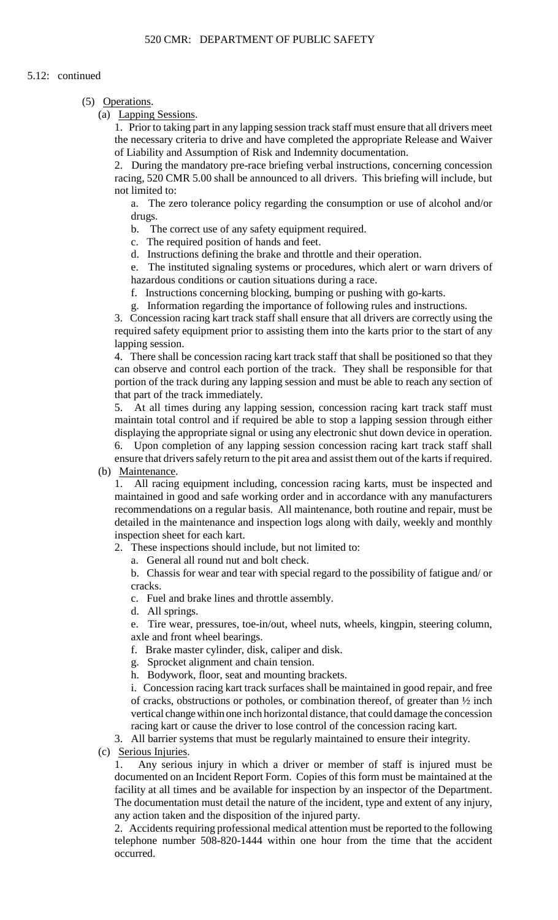# 5.12: continued

# (5) Operations.

(a) Lapping Sessions.

 1. Prior to taking part in any lapping session track staff must ensure that all drivers meet the necessary criteria to drive and have completed the appropriate Release and Waiver of Liability and Assumption of Risk and Indemnity documentation.

2. During the mandatory pre-race briefing verbal instructions, concerning concession racing, 520 CMR 5.00 shall be announced to all drivers. This briefing will include, but not limited to:

a. The zero tolerance policy regarding the consumption or use of alcohol and/or drugs.

b. The correct use of any safety equipment required.

c. The required position of hands and feet.

d. Instructions defining the brake and throttle and their operation.

 e. The instituted signaling systems or procedures, which alert or warn drivers of hazardous conditions or caution situations during a race.

f. Instructions concerning blocking, bumping or pushing with go-karts.

g. Information regarding the importance of following rules and instructions.

 3. Concession racing kart track staff shall ensure that all drivers are correctly using the required safety equipment prior to assisting them into the karts prior to the start of any lapping session.

 4. There shall be concession racing kart track staff that shall be positioned so that they can observe and control each portion of the track. They shall be responsible for that portion of the track during any lapping session and must be able to reach any section of that part of the track immediately.

5. 5. At all times during any lapping session, concession racing kart track staff must maintain total control and if required be able to stop a lapping session through either displaying the appropriate signal or using any electronic shut down device in operation.

6. Upon completion of any lapping session concession racing kart track staff shall ensure that drivers safely return to the pit area and assist them out of the karts if required.

(b) Maintenance.

1. All racing equipment including, concession racing karts, must be inspected and maintained in good and safe working order and in accordance with any manufacturers recommendations on a regular basis. All maintenance, both routine and repair, must be detailed in the maintenance and inspection logs along with daily, weekly and monthly inspection sheet for each kart.

2. These inspections should include, but not limited to:

a. General all round nut and bolt check.

 b. Chassis for wear and tear with special regard to the possibility of fatigue and/ or cracks.

c. Fuel and brake lines and throttle assembly.

d. All springs.

e. Tire wear, pressures, toe-in/out, wheel nuts, wheels, kingpin, steering column, axle and front wheel bearings.

- f. Brake master cylinder, disk, caliper and disk.
- g. Sprocket alignment and chain tension.

h. Bodywork, floor, seat and mounting brackets.

i. Concession racing kart track surfaces shall be maintained in good repair, and free of cracks, obstructions or potholes, or combination thereof, of greater than ½ inch vertical change within one inch horizontal distance, that could damage the concession racing kart or cause the driver to lose control of the concession racing kart.

3. All barrier systems that must be regularly maintained to ensure their integrity.

(c) Serious Injuries.

 1. Any serious injury in which a driver or member of staff is injured must be The documentation must detail the nature of the incident, type and extent of any injury, documented on an Incident Report Form. Copies of this form must be maintained at the facility at all times and be available for inspection by an inspector of the Department. any action taken and the disposition of the injured party.

2. Accidents requiring professional medical attention must be reported to the following telephone number 508-820-1444 within one hour from the time that the accident occurred.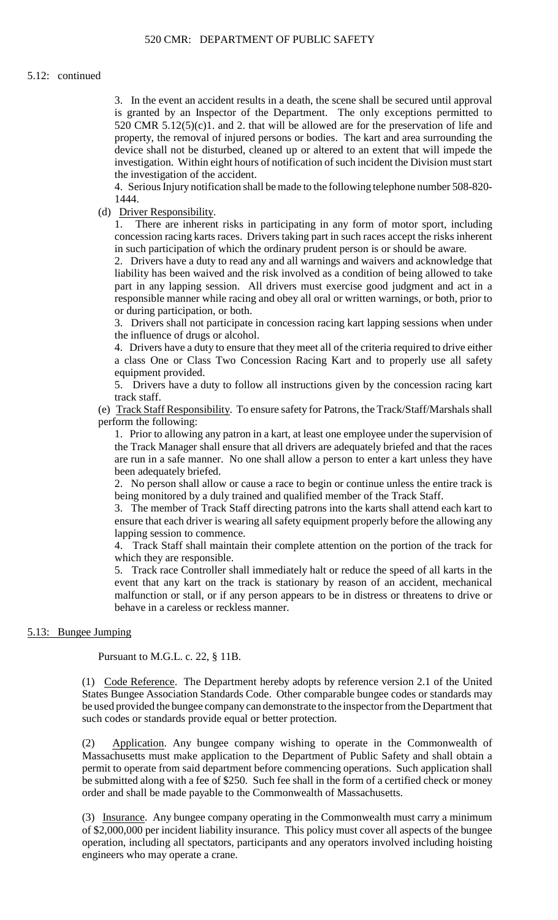is granted by an Inspector of the Department. The only exceptions permitted to device shall not be disturbed, cleaned up or altered to an extent that will impede the 3. In the event an accident results in a death, the scene shall be secured until approval 520 CMR  $5.12(5)(c)1$ . and 2. that will be allowed are for the preservation of life and property, the removal of injured persons or bodies. The kart and area surrounding the investigation. Within eight hours of notification of such incident the Division must start the investigation of the accident.

4. Serious Injury notification shall be made to the following telephone number 508-820 1444.

(d) Driver Responsibility.

 concession racing karts races. Drivers taking part in such races accept the risks inherent 1. There are inherent risks in participating in any form of motor sport, including in such participation of which the ordinary prudent person is or should be aware.

 2. Drivers have a duty to read any and all warnings and waivers and acknowledge that liability has been waived and the risk involved as a condition of being allowed to take part in any lapping session. All drivers must exercise good judgment and act in a responsible manner while racing and obey all oral or written warnings, or both, prior to or during participation, or both.

3. Drivers shall not participate in concession racing kart lapping sessions when under the influence of drugs or alcohol.

 4. Drivers have a duty to ensure that they meet all of the criteria required to drive either a class One or Class Two Concession Racing Kart and to properly use all safety equipment provided.

5. Drivers have a duty to follow all instructions given by the concession racing kart track staff.

(e) Track Staff Responsibility. To ensure safety for Patrons, the Track/Staff/Marshals shall perform the following:

1. Prior to allowing any patron in a kart, at least one employee under the supervision of the Track Manager shall ensure that all drivers are adequately briefed and that the races are run in a safe manner. No one shall allow a person to enter a kart unless they have been adequately briefed.

2. No person shall allow or cause a race to begin or continue unless the entire track is being monitored by a duly trained and qualified member of the Track Staff.

 ensure that each driver is wearing all safety equipment properly before the allowing any 3. The member of Track Staff directing patrons into the karts shall attend each kart to lapping session to commence.

4. Track Staff shall maintain their complete attention on the portion of the track for which they are responsible.

5. Track race Controller shall immediately halt or reduce the speed of all karts in the event that any kart on the track is stationary by reason of an accident, mechanical malfunction or stall, or if any person appears to be in distress or threatens to drive or behave in a careless or reckless manner.

# 5.13: Bungee Jumping

Pursuant to M.G.L. c. 22, § 11B.

(1) Code Reference. The Department hereby adopts by reference version 2.1 of the United States Bungee Association Standards Code. Other comparable bungee codes or standards may be used provided the bungee company can demonstrate to the inspector from the Department that such codes or standards provide equal or better protection.

(2) Application. Any bungee company wishing to operate in the Commonwealth of Massachusetts must make application to the Department of Public Safety and shall obtain a permit to operate from said department before commencing operations. Such application shall be submitted along with a fee of \$250. Such fee shall in the form of a certified check or money order and shall be made payable to the Commonwealth of Massachusetts.

(3) Insurance. Any bungee company operating in the Commonwealth must carry a minimum of \$2,000,000 per incident liability insurance. This policy must cover all aspects of the bungee operation, including all spectators, participants and any operators involved including hoisting engineers who may operate a crane.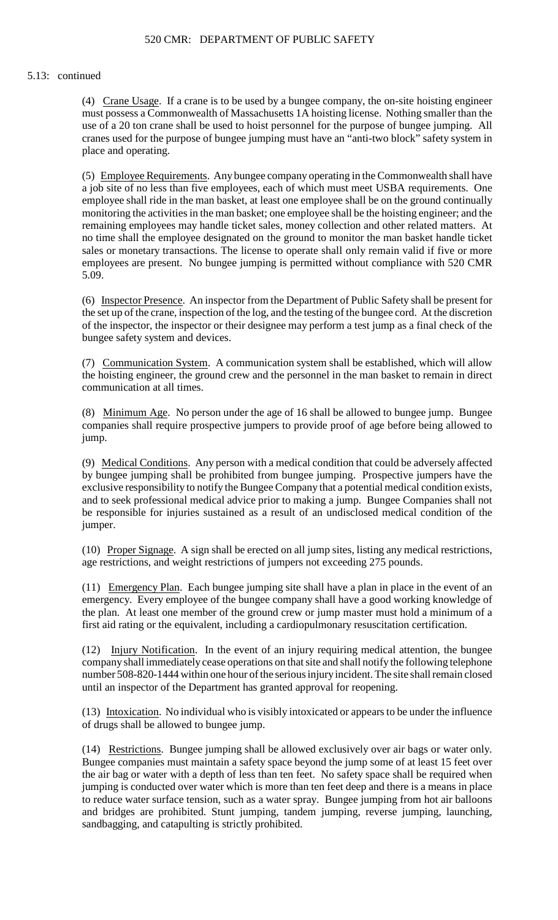#### 5.13: continued

(4) Crane Usage. If a crane is to be used by a bungee company, the on-site hoisting engineer use of a 20 ton crane shall be used to hoist personnel for the purpose of bungee jumping. All cranes used for the purpose of bungee jumping must have an "anti-two block" safety system in must possess a Commonwealth of Massachusetts 1A hoisting license. Nothing smaller than the place and operating.

 a job site of no less than five employees, each of which must meet USBA requirements. One sales or monetary transactions. The license to operate shall only remain valid if five or more employees are present. No bungee jumping is permitted without compliance with 520 CMR (5) Employee Requirements. Any bungee company operating in the Commonwealth shall have employee shall ride in the man basket, at least one employee shall be on the ground continually monitoring the activities in the man basket; one employee shall be the hoisting engineer; and the remaining employees may handle ticket sales, money collection and other related matters. At no time shall the employee designated on the ground to monitor the man basket handle ticket 5.09.

(6) Inspector Presence. An inspector from the Department of Public Safety shall be present for the set up of the crane, inspection of the log, and the testing of the bungee cord. At the discretion of the inspector, the inspector or their designee may perform a test jump as a final check of the bungee safety system and devices.

(7) Communication System. A communication system shall be established, which will allow the hoisting engineer, the ground crew and the personnel in the man basket to remain in direct communication at all times.

(8) Minimum Age. No person under the age of 16 shall be allowed to bungee jump. Bungee companies shall require prospective jumpers to provide proof of age before being allowed to jump.

 exclusive responsibility to notify the Bungee Company that a potential medical condition exists, be responsible for injuries sustained as a result of an undisclosed medical condition of the (9) Medical Conditions. Any person with a medical condition that could be adversely affected by bungee jumping shall be prohibited from bungee jumping. Prospective jumpers have the and to seek professional medical advice prior to making a jump. Bungee Companies shall not jumper.

(10) Proper Signage. A sign shall be erected on all jump sites, listing any medical restrictions, age restrictions, and weight restrictions of jumpers not exceeding 275 pounds.

 emergency. Every employee of the bungee company shall have a good working knowledge of the plan. At least one member of the ground crew or jump master must hold a minimum of a (11) Emergency Plan. Each bungee jumping site shall have a plan in place in the event of an first aid rating or the equivalent, including a cardiopulmonary resuscitation certification.

(12) Injury Notification. In the event of an injury requiring medical attention, the bungee company shall immediately cease operations on that site and shall notify the following telephone number 508-820-1444 within one hour of the serious injury incident. The site shall remain closed until an inspector of the Department has granted approval for reopening.

(13) Intoxication. No individual who is visibly intoxicated or appears to be under the influence of drugs shall be allowed to bungee jump.

(14) Restrictions. Bungee jumping shall be allowed exclusively over air bags or water only. Bungee companies must maintain a safety space beyond the jump some of at least 15 feet over the air bag or water with a depth of less than ten feet. No safety space shall be required when jumping is conducted over water which is more than ten feet deep and there is a means in place to reduce water surface tension, such as a water spray. Bungee jumping from hot air balloons and bridges are prohibited. Stunt jumping, tandem jumping, reverse jumping, launching, sandbagging, and catapulting is strictly prohibited.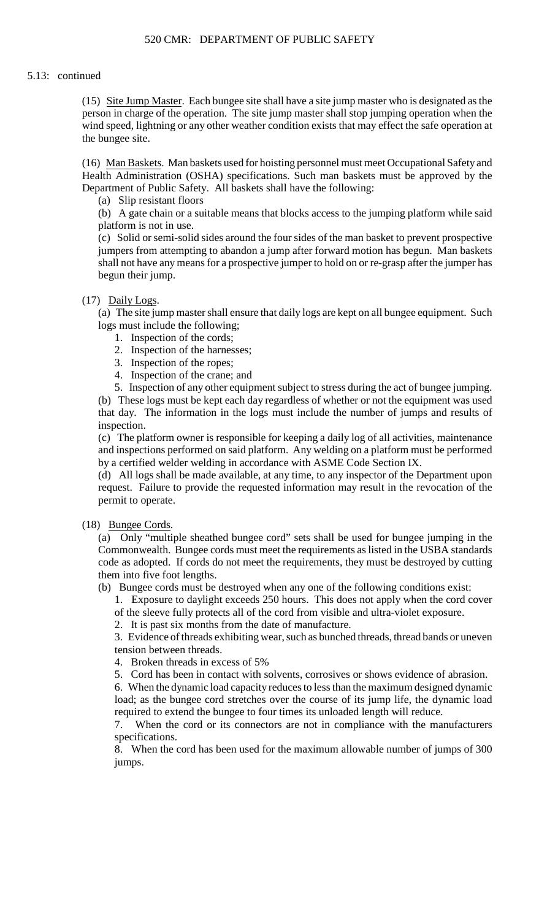(15) Site Jump Master. Each bungee site shall have a site jump master who is designated as the person in charge of the operation. The site jump master shall stop jumping operation when the wind speed, lightning or any other weather condition exists that may effect the safe operation at the bungee site.

(16) Man Baskets. Man baskets used for hoisting personnel must meet Occupational Safety and Health Administration (OSHA) specifications. Such man baskets must be approved by the Department of Public Safety. All baskets shall have the following:

(a) Slip resistant floors

(b) A gate chain or a suitable means that blocks access to the jumping platform while said platform is not in use.

 (c) Solid or semi-solid sides around the four sides of the man basket to prevent prospective jumpers from attempting to abandon a jump after forward motion has begun. Man baskets shall not have any means for a prospective jumper to hold on or re-grasp after the jumper has begun their jump.

# (17) Daily Logs.

 (a) The site jump master shall ensure that daily logs are kept on all bungee equipment. Such logs must include the following;

- 1. Inspection of the cords;
- 2. Inspection of the harnesses;
- 3. Inspection of the ropes;
- 4. Inspection of the crane; and

5. Inspection of any other equipment subject to stress during the act of bungee jumping. (b) These logs must be kept each day regardless of whether or not the equipment was used that day. The information in the logs must include the number of jumps and results of inspection.

 (c) The platform owner is responsible for keeping a daily log of all activities, maintenance and inspections performed on said platform. Any welding on a platform must be performed by a certified welder welding in accordance with ASME Code Section IX.

(d) All logs shall be made available, at any time, to any inspector of the Department upon request. Failure to provide the requested information may result in the revocation of the permit to operate.

# (18) Bungee Cords.

 code as adopted. If cords do not meet the requirements, they must be destroyed by cutting (a) Only "multiple sheathed bungee cord" sets shall be used for bungee jumping in the Commonwealth. Bungee cords must meet the requirements as listed in the USBA standards them into five foot lengths.

(b) Bungee cords must be destroyed when any one of the following conditions exist:

1. Exposure to daylight exceeds 250 hours. This does not apply when the cord cover of the sleeve fully protects all of the cord from visible and ultra-violet exposure.

2. It is past six months from the date of manufacture.

3. Evidence of threads exhibiting wear, such as bunched threads, thread bands or uneven tension between threads.

4. Broken threads in excess of 5%

5. Cord has been in contact with solvents, corrosives or shows evidence of abrasion.

 6. When the dynamic load capacity reduces to less than the maximum designed dynamic load; as the bungee cord stretches over the course of its jump life, the dynamic load required to extend the bungee to four times its unloaded length will reduce.

7. When the cord or its connectors are not in compliance with the manufacturers specifications.

8. When the cord has been used for the maximum allowable number of jumps of 300 jumps.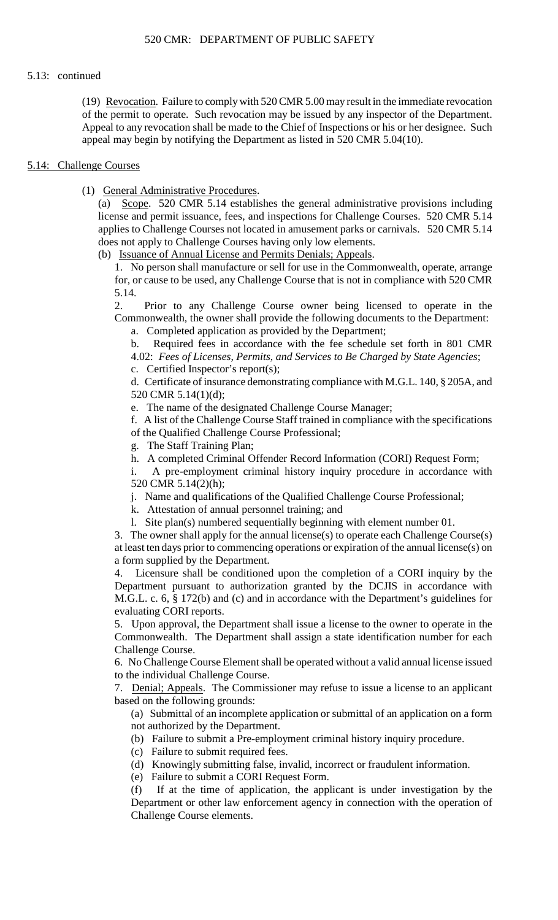# 5.13: continued

(19) Revocation. Failure to comply with 520 CMR 5.00 may result in the immediate revocation of the permit to operate. Such revocation may be issued by any inspector of the Department. Appeal to any revocation shall be made to the Chief of Inspections or his or her designee. Such appeal may begin by notifying the Department as listed in 520 CMR 5.04(10).

# 5.14: Challenge Courses

(1) General Administrative Procedures.

 $(a)$  license and permit issuance, fees, and inspections for Challenge Courses. 520 CMR 5.14 Scope. 520 CMR 5.14 establishes the general administrative provisions including applies to Challenge Courses not located in amusement parks or carnivals. 520 CMR 5.14 does not apply to Challenge Courses having only low elements.

(b) Issuance of Annual License and Permits Denials; Appeals.

 1. No person shall manufacture or sell for use in the Commonwealth, operate, arrange for, or cause to be used, any Challenge Course that is not in compliance with 520 CMR 5.14.

 $\mathcal{D}$ Prior to any Challenge Course owner being licensed to operate in the Commonwealth, the owner shall provide the following documents to the Department:

a. Completed application as provided by the Department;

b. Required fees in accordance with the fee schedule set forth in 801 CMR 4.02: *Fees of Licenses, Permits, and Services to Be Charged by State Agencies*;

c. Certified Inspector's report(s);

d. Certificate of insurance demonstrating compliance with M.G.L. 140, § 205A, and 520 CMR 5.14(1)(d);

e. The name of the designated Challenge Course Manager;

f. A list of the Challenge Course Staff trained in compliance with the specifications of the Qualified Challenge Course Professional;

g. The Staff Training Plan;

h. A completed Criminal Offender Record Information (CORI) Request Form;

i. A pre-employment criminal history inquiry procedure in accordance with 520 CMR 5.14(2)(h);

j. Name and qualifications of the Qualified Challenge Course Professional;

k. Attestation of annual personnel training; and

l. Site plan(s) numbered sequentially beginning with element number 01.

 3. The owner shall apply for the annual license(s) to operate each Challenge Course(s) at least ten days prior to commencing operations or expiration of the annual license(s) on a form supplied by the Department.

 M.G.L. c. 6, § 172(b) and (c) and in accordance with the Department's guidelines for 4. Licensure shall be conditioned upon the completion of a CORI inquiry by the Department pursuant to authorization granted by the DCJIS in accordance with evaluating CORI reports.

 5. Upon approval, the Department shall issue a license to the owner to operate in the Commonwealth. The Department shall assign a state identification number for each Challenge Course.

6. No Challenge Course Element shall be operated without a valid annual license issued to the individual Challenge Course.

7. Denial; Appeals. The Commissioner may refuse to issue a license to an applicant based on the following grounds:

 (a) Submittal of an incomplete application or submittal of an application on a form not authorized by the Department.

(b) Failure to submit a Pre-employment criminal history inquiry procedure.

(c) Failure to submit required fees.

(d) Knowingly submitting false, invalid, incorrect or fraudulent information.

(e) Failure to submit a CORI Request Form.

(f) If at the time of application, the applicant is under investigation by the Department or other law enforcement agency in connection with the operation of Challenge Course elements.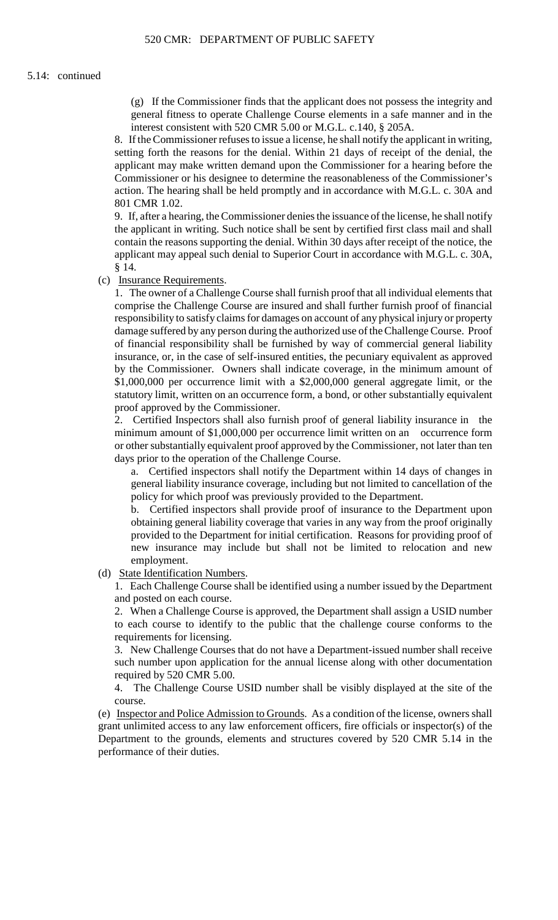(g) If the Commissioner finds that the applicant does not possess the integrity and general fitness to operate Challenge Course elements in a safe manner and in the interest consistent with 520 CMR 5.00 or M.G.L. c.140, § 205A.

 8. If the Commissioner refuses to issue a license, he shall notify the applicant in writing, action. The hearing shall be held promptly and in accordance with M.G.L. c. 30A and setting forth the reasons for the denial. Within 21 days of receipt of the denial, the applicant may make written demand upon the Commissioner for a hearing before the Commissioner or his designee to determine the reasonableness of the Commissioner's 801 CMR 1.02.

9. If, after a hearing, the Commissioner denies the issuance of the license, he shall notify the applicant in writing. Such notice shall be sent by certified first class mail and shall contain the reasons supporting the denial. Within 30 days after receipt of the notice, the applicant may appeal such denial to Superior Court in accordance with M.G.L. c. 30A, § 14.

(c) Insurance Requirements.

 1. The owner of a Challenge Course shall furnish proof that all individual elements that of financial responsibility shall be furnished by way of commercial general liability comprise the Challenge Course are insured and shall further furnish proof of financial responsibility to satisfy claims for damages on account of any physical injury or property damage suffered by any person during the authorized use of the Challenge Course. Proof insurance, or, in the case of self-insured entities, the pecuniary equivalent as approved by the Commissioner. Owners shall indicate coverage, in the minimum amount of \$1,000,000 per occurrence limit with a \$2,000,000 general aggregate limit, or the statutory limit, written on an occurrence form, a bond, or other substantially equivalent proof approved by the Commissioner.

 minimum amount of \$1,000,000 per occurrence limit written on an occurrence form 2. Certified Inspectors shall also furnish proof of general liability insurance in the or other substantially equivalent proof approved by the Commissioner, not later than ten days prior to the operation of the Challenge Course.

a. Certified inspectors shall notify the Department within 14 days of changes in general liability insurance coverage, including but not limited to cancellation of the policy for which proof was previously provided to the Department.

b. Certified inspectors shall provide proof of insurance to the Department upon obtaining general liability coverage that varies in any way from the proof originally provided to the Department for initial certification. Reasons for providing proof of new insurance may include but shall not be limited to relocation and new employment.

(d) State Identification Numbers.

 1. Each Challenge Course shall be identified using a number issued by the Department and posted on each course.

2. When a Challenge Course is approved, the Department shall assign a USID number to each course to identify to the public that the challenge course conforms to the requirements for licensing.

 3. New Challenge Courses that do not have a Department-issued number shall receive such number upon application for the annual license along with other documentation required by 520 CMR 5.00.

4. The Challenge Course USID number shall be visibly displayed at the site of the course.

 (e) Inspector and Police Admission to Grounds. As a condition of the license, owners shall grant unlimited access to any law enforcement officers, fire officials or inspector(s) of the Department to the grounds, elements and structures covered by 520 CMR 5.14 in the performance of their duties.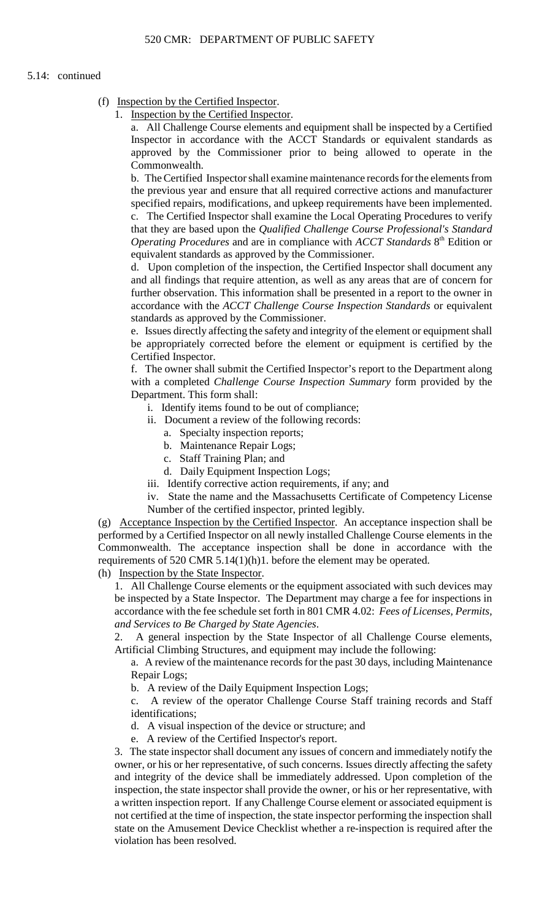### 5.14: continued

- (f) Inspection by the Certified Inspector.
	- 1. Inspection by the Certified Inspector.

a. All Challenge Course elements and equipment shall be inspected by a Certified Inspector in accordance with the ACCT Standards or equivalent standards as approved by the Commissioner prior to being allowed to operate in the Commonwealth.

 b. The Certified Inspector shall examine maintenance records for the elements from the previous year and ensure that all required corrective actions and manufacturer specified repairs, modifications, and upkeep requirements have been implemented. c. The Certified Inspector shall examine the Local Operating Procedures to verify

that they are based upon the *Qualified Challenge Course Professional's Standard Operating Procedures* and are in compliance with *ACCT Standards* 8<sup>th</sup> Edition or equivalent standards as approved by the Commissioner.

d. Upon completion of the inspection, the Certified Inspector shall document any and all findings that require attention, as well as any areas that are of concern for further observation. This information shall be presented in a report to the owner in accordance with the *ACCT Challenge Course Inspection Standards* or equivalent standards as approved by the Commissioner.

 be appropriately corrected before the element or equipment is certified by the e. Issues directly affecting the safety and integrity of the element or equipment shall Certified Inspector.

 with a completed *Challenge Course Inspection Summary* form provided by the f. The owner shall submit the Certified Inspector's report to the Department along Department. This form shall:

- i. Identify items found to be out of compliance;
- ii. Document a review of the following records:
	- a. Specialty inspection reports;
	- b. Maintenance Repair Logs;
	- c. Staff Training Plan; and
	- d. Daily Equipment Inspection Logs;
- iii. Identify corrective action requirements, if any; and

iv. State the name and the Massachusetts Certificate of Competency License Number of the certified inspector, printed legibly.

(g) Acceptance Inspection by the Certified Inspector. An acceptance inspection shall be performed by a Certified Inspector on all newly installed Challenge Course elements in the Commonwealth. The acceptance inspection shall be done in accordance with the requirements of 520 CMR 5.14(1)(h)1. before the element may be operated.

(h) Inspection by the State Inspector.

1. All Challenge Course elements or the equipment associated with such devices may be inspected by a State Inspector. The Department may charge a fee for inspections in accordance with the fee schedule set forth in 801 CMR 4.02: *Fees of Licenses, Permits, and Services to Be Charged by State Agencies*.

2. A general inspection by the State Inspector of all Challenge Course elements, Artificial Climbing Structures, and equipment may include the following:

a. A review of the maintenance records for the past 30 days, including Maintenance Repair Logs;

b. A review of the Daily Equipment Inspection Logs;

c. A review of the operator Challenge Course Staff training records and Staff identifications;

d. A visual inspection of the device or structure; and

e. A review of the Certified Inspector's report.

 owner, or his or her representative, of such concerns. Issues directly affecting the safety inspection, the state inspector shall provide the owner, or his or her representative, with 3. The state inspector shall document any issues of concern and immediately notify the and integrity of the device shall be immediately addressed. Upon completion of the a written inspection report. If any Challenge Course element or associated equipment is not certified at the time of inspection, the state inspector performing the inspection shall state on the Amusement Device Checklist whether a re-inspection is required after the violation has been resolved.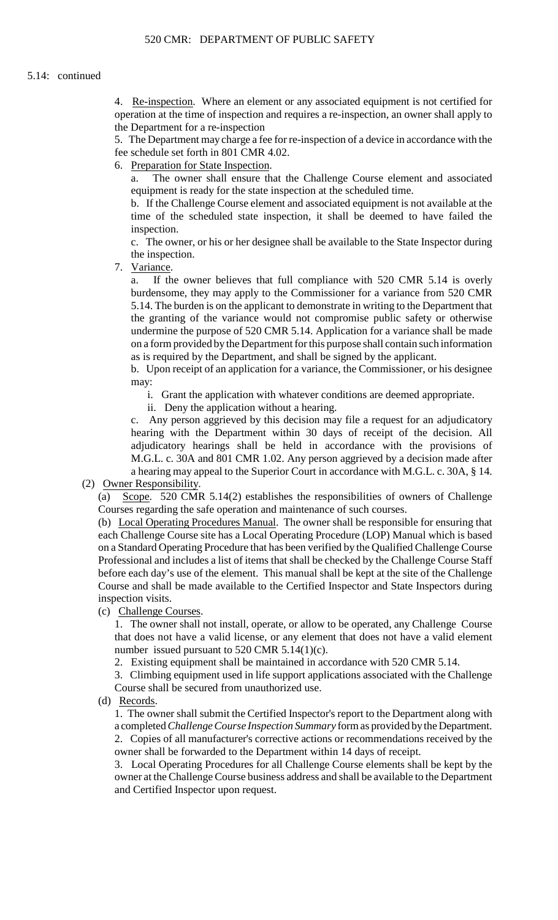4. Re-inspection. Where an element or any associated equipment is not certified for operation at the time of inspection and requires a re-inspection, an owner shall apply to the Department for a re-inspection

5. The Department may charge a fee for re-inspection of a device in accordance with the fee schedule set forth in 801 CMR 4.02.

6. Preparation for State Inspection.

a. The owner shall ensure that the Challenge Course element and associated equipment is ready for the state inspection at the scheduled time.

b. If the Challenge Course element and associated equipment is not available at the time of the scheduled state inspection, it shall be deemed to have failed the inspection.

c. The owner, or his or her designee shall be available to the State Inspector during the inspection.

7. Variance.

a. If the owner believes that full compliance with 520 CMR 5.14 is overly burdensome, they may apply to the Commissioner for a variance from 520 CMR 5.14. The burden is on the applicant to demonstrate in writing to the Department that the granting of the variance would not compromise public safety or otherwise undermine the purpose of 520 CMR 5.14. Application for a variance shall be made on a form provided by the Department for this purpose shall contain such information as is required by the Department, and shall be signed by the applicant.

b. Upon receipt of an application for a variance, the Commissioner, or his designee may:

i. Grant the application with whatever conditions are deemed appropriate.

ii. Deny the application without a hearing.

 c. Any person aggrieved by this decision may file a request for an adjudicatory hearing with the Department within 30 days of receipt of the decision. All adjudicatory hearings shall be held in accordance with the provisions of M.G.L. c. 30A and 801 CMR 1.02. Any person aggrieved by a decision made after a hearing may appeal to the Superior Court in accordance with M.G.L. c. 30A, § 14.

# (2) Owner Responsibility.

(a) Scope. 520 CMR 5.14(2) establishes the responsibilities of owners of Challenge Courses regarding the safe operation and maintenance of such courses.

 on a Standard Operating Procedure that has been verified by the Qualified Challenge Course before each day's use of the element. This manual shall be kept at the site of the Challenge (b) Local Operating Procedures Manual. The owner shall be responsible for ensuring that each Challenge Course site has a Local Operating Procedure (LOP) Manual which is based Professional and includes a list of items that shall be checked by the Challenge Course Staff Course and shall be made available to the Certified Inspector and State Inspectors during inspection visits.

(c) Challenge Courses.

1. The owner shall not install, operate, or allow to be operated, any Challenge Course that does not have a valid license, or any element that does not have a valid element number issued pursuant to  $520$  CMR  $5.14(1)(c)$ .

2. Existing equipment shall be maintained in accordance with 520 CMR 5.14.

3. Climbing equipment used in life support applications associated with the Challenge Course shall be secured from unauthorized use.

(d) Records.

 1. The owner shall submit the Certified Inspector's report to the Department along with a completed *Challenge Course Inspection Summary* form as provided by the Department. 2. Copies of all manufacturer's corrective actions or recommendations received by the owner shall be forwarded to the Department within 14 days of receipt.

3. Local Operating Procedures for all Challenge Course elements shall be kept by the owner at the Challenge Course business address and shall be available to the Department and Certified Inspector upon request.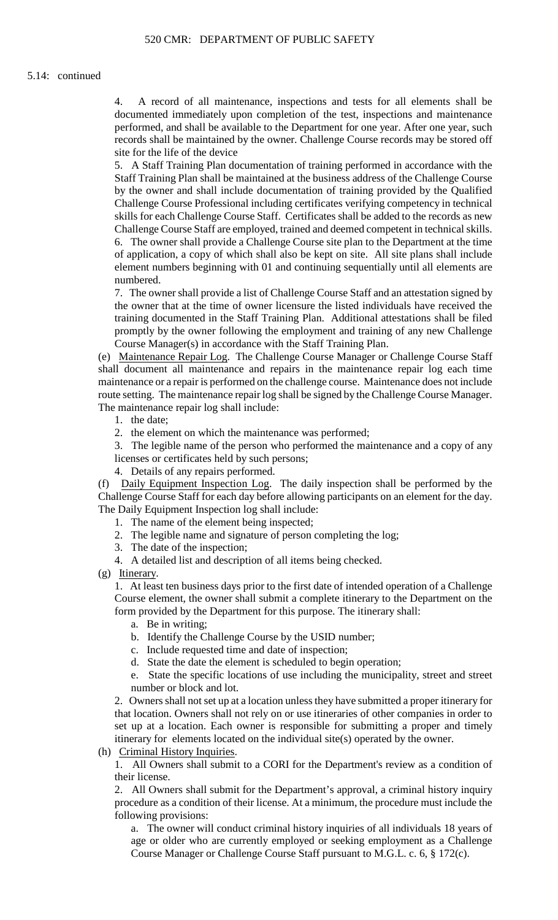4. A record of all maintenance, inspections and tests for all elements shall be documented immediately upon completion of the test, inspections and maintenance performed, and shall be available to the Department for one year. After one year, such records shall be maintained by the owner. Challenge Course records may be stored off site for the life of the device

5. A Staff Training Plan documentation of training performed in accordance with the Staff Training Plan shall be maintained at the business address of the Challenge Course by the owner and shall include documentation of training provided by the Qualified Challenge Course Professional including certificates verifying competency in technical skills for each Challenge Course Staff. Certificates shall be added to the records as new

 6. The owner shall provide a Challenge Course site plan to the Department at the time Challenge Course Staff are employed, trained and deemed competent in technical skills. of application, a copy of which shall also be kept on site. All site plans shall include element numbers beginning with 01 and continuing sequentially until all elements are numbered.

 the owner that at the time of owner licensure the listed individuals have received the 7. The owner shall provide a list of Challenge Course Staff and an attestation signed by training documented in the Staff Training Plan. Additional attestations shall be filed promptly by the owner following the employment and training of any new Challenge Course Manager(s) in accordance with the Staff Training Plan.

(e) Maintenance Repair Log. The Challenge Course Manager or Challenge Course Staff shall document all maintenance and repairs in the maintenance repair log each time maintenance or a repair is performed on the challenge course. Maintenance does not include route setting. The maintenance repair log shall be signed by the Challenge Course Manager. The maintenance repair log shall include:

1. the date;

2. the element on which the maintenance was performed;

3. The legible name of the person who performed the maintenance and a copy of any licenses or certificates held by such persons;

4. Details of any repairs performed.

 Challenge Course Staff for each day before allowing participants on an element for the day. (f) Daily Equipment Inspection Log. The daily inspection shall be performed by the The Daily Equipment Inspection log shall include:

- 1. The name of the element being inspected;
- 2. The legible name and signature of person completing the log;
- 3. The date of the inspection;
- 4. A detailed list and description of all items being checked.
- (g) Itinerary.

 Course element, the owner shall submit a complete itinerary to the Department on the 1. At least ten business days prior to the first date of intended operation of a Challenge form provided by the Department for this purpose. The itinerary shall:

a. Be in writing;

b. Identify the Challenge Course by the USID number;

c. Include requested time and date of inspection;

d. State the date the element is scheduled to begin operation;

e. State the specific locations of use including the municipality, street and street number or block and lot.

 2. Owners shall not set up at a location unless they have submitted a proper itinerary for that location. Owners shall not rely on or use itineraries of other companies in order to set up at a location. Each owner is responsible for submitting a proper and timely itinerary for elements located on the individual site(s) operated by the owner.

(h) Criminal History Inquiries.

1. All Owners shall submit to a CORI for the Department's review as a condition of their license.

2. All Owners shall submit for the Department's approval, a criminal history inquiry procedure as a condition of their license. At a minimum, the procedure must include the following provisions:

a. The owner will conduct criminal history inquiries of all individuals 18 years of age or older who are currently employed or seeking employment as a Challenge Course Manager or Challenge Course Staff pursuant to M.G.L. c. 6, § 172(c).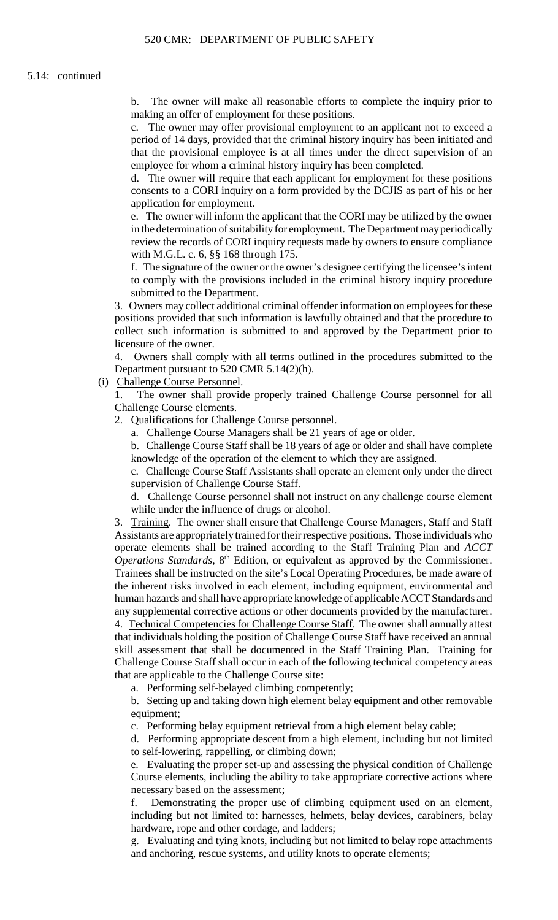$h$ b. The owner will make all reasonable efforts to complete the inquiry prior to making an offer of employment for these positions.

 c. The owner may offer provisional employment to an applicant not to exceed a period of 14 days, provided that the criminal history inquiry has been initiated and that the provisional employee is at all times under the direct supervision of an employee for whom a criminal history inquiry has been completed.

 d. The owner will require that each applicant for employment for these positions consents to a CORI inquiry on a form provided by the DCJIS as part of his or her application for employment.

e. The owner will inform the applicant that the CORI may be utilized by the owner in the determination of suitability for employment. The Department may periodically review the records of CORI inquiry requests made by owners to ensure compliance with M.G.L. c. 6, §§ 168 through 175.

f. The signature of the owner or the owner's designee certifying the licensee's intent to comply with the provisions included in the criminal history inquiry procedure submitted to the Department.

 3. Owners may collect additional criminal offender information on employees for these collect such information is submitted to and approved by the Department prior to positions provided that such information is lawfully obtained and that the procedure to licensure of the owner.

 4. Owners shall comply with all terms outlined in the procedures submitted to the Department pursuant to 520 CMR 5.14(2)(h).

(i) Challenge Course Personnel.

1. The owner shall provide properly trained Challenge Course personnel for all Challenge Course elements.

2. Qualifications for Challenge Course personnel.

a. Challenge Course Managers shall be 21 years of age or older.

 b. Challenge Course Staff shall be 18 years of age or older and shall have complete knowledge of the operation of the element to which they are assigned.

c. Challenge Course Staff Assistants shall operate an element only under the direct supervision of Challenge Course Staff.

d. Challenge Course personnel shall not instruct on any challenge course element while under the influence of drugs or alcohol.

3. Training. The owner shall ensure that Challenge Course Managers, Staff and Staff Assistants are appropriately trained for their respective positions. Those individuals who operate elements shall be trained according to the Staff Training Plan and *ACCT Operations Standards*,  $8<sup>th</sup>$  Edition, or equivalent as approved by the Commissioner. Trainees shall be instructed on the site's Local Operating Procedures, be made aware of the inherent risks involved in each element, including equipment, environmental and human hazards and shall have appropriate knowledge of applicable ACCT Standards and any supplemental corrective actions or other documents provided by the manufacturer.

4. Technical Competencies for Challenge Course Staff. The owner shall annually attest skill assessment that shall be documented in the Staff Training Plan. Training for that individuals holding the position of Challenge Course Staff have received an annual Challenge Course Staff shall occur in each of the following technical competency areas that are applicable to the Challenge Course site:

a. Performing self-belayed climbing competently;

 b. Setting up and taking down high element belay equipment and other removable equipment;

c. Performing belay equipment retrieval from a high element belay cable;

d. Performing appropriate descent from a high element, including but not limited to self-lowering, rappelling, or climbing down;

e. Evaluating the proper set-up and assessing the physical condition of Challenge Course elements, including the ability to take appropriate corrective actions where necessary based on the assessment;

Demonstrating the proper use of climbing equipment used on an element, including but not limited to: harnesses, helmets, belay devices, carabiners, belay hardware, rope and other cordage, and ladders;

g. Evaluating and tying knots, including but not limited to belay rope attachments and anchoring, rescue systems, and utility knots to operate elements;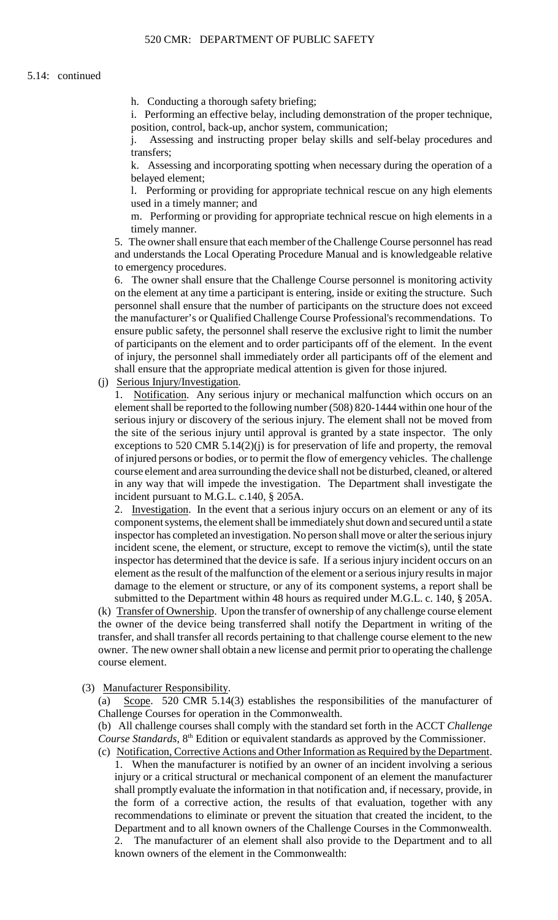h. Conducting a thorough safety briefing;

i. Performing an effective belay, including demonstration of the proper technique, position, control, back-up, anchor system, communication;

j. Assessing and instructing proper belay skills and self-belay procedures and transfers;

k. Assessing and incorporating spotting when necessary during the operation of a belayed element;

l. Performing or providing for appropriate technical rescue on any high elements used in a timely manner; and

m. Performing or providing for appropriate technical rescue on high elements in a timely manner.

5. The owner shall ensure that each member of the Challenge Course personnel has read and understands the Local Operating Procedure Manual and is knowledgeable relative to emergency procedures.

6. The owner shall ensure that the Challenge Course personnel is monitoring activity on the element at any time a participant is entering, inside or exiting the structure. Such personnel shall ensure that the number of participants on the structure does not exceed the manufacturer's or Qualified Challenge Course Professional's recommendations. To ensure public safety, the personnel shall reserve the exclusive right to limit the number of participants on the element and to order participants off of the element. In the event of injury, the personnel shall immediately order all participants off of the element and shall ensure that the appropriate medical attention is given for those injured.

(j) Serious Injury/Investigation.

 of injured persons or bodies, or to permit the flow of emergency vehicles. The challenge 1. Notification. Any serious injury or mechanical malfunction which occurs on an element shall be reported to the following number (508) 820-1444 within one hour of the serious injury or discovery of the serious injury. The element shall not be moved from the site of the serious injury until approval is granted by a state inspector. The only exceptions to 520 CMR 5.14(2)(j) is for preservation of life and property, the removal course element and area surrounding the device shall not be disturbed, cleaned, or altered in any way that will impede the investigation. The Department shall investigate the incident pursuant to M.G.L. c.140, § 205A.

2. Investigation. In the event that a serious injury occurs on an element or any of its component systems, the element shall be immediately shut down and secured until a state incident scene, the element, or structure, except to remove the victim(s), until the state inspector has determined that the device is safe. If a serious injury incident occurs on an inspector has completed an investigation. No person shall move or alter the serious injury element as the result of the malfunction of the element or a serious injury results in major damage to the element or structure, or any of its component systems, a report shall be

 owner. The new owner shall obtain a new license and permit prior to operating the challenge submitted to the Department within 48 hours as required under M.G.L. c. 140, § 205A. (k) Transfer of Ownership. Upon the transfer of ownership of any challenge course element the owner of the device being transferred shall notify the Department in writing of the transfer, and shall transfer all records pertaining to that challenge course element to the new course element.

(3) Manufacturer Responsibility.

(a) Scope. 520 CMR 5.14(3) establishes the responsibilities of the manufacturer of Challenge Courses for operation in the Commonwealth.

 (b) All challenge courses shall comply with the standard set forth in the ACCT *Challenge Course Standards*, 8<sup>th</sup> Edition or equivalent standards as approved by the Commissioner.

 1. When the manufacturer is notified by an owner of an incident involving a serious shall promptly evaluate the information in that notification and, if necessary, provide, in  $2^{+}$ (c) Notification, Corrective Actions and Other Information as Required by the Department. injury or a critical structural or mechanical component of an element the manufacturer the form of a corrective action, the results of that evaluation, together with any recommendations to eliminate or prevent the situation that created the incident, to the Department and to all known owners of the Challenge Courses in the Commonwealth. The manufacturer of an element shall also provide to the Department and to all known owners of the element in the Commonwealth: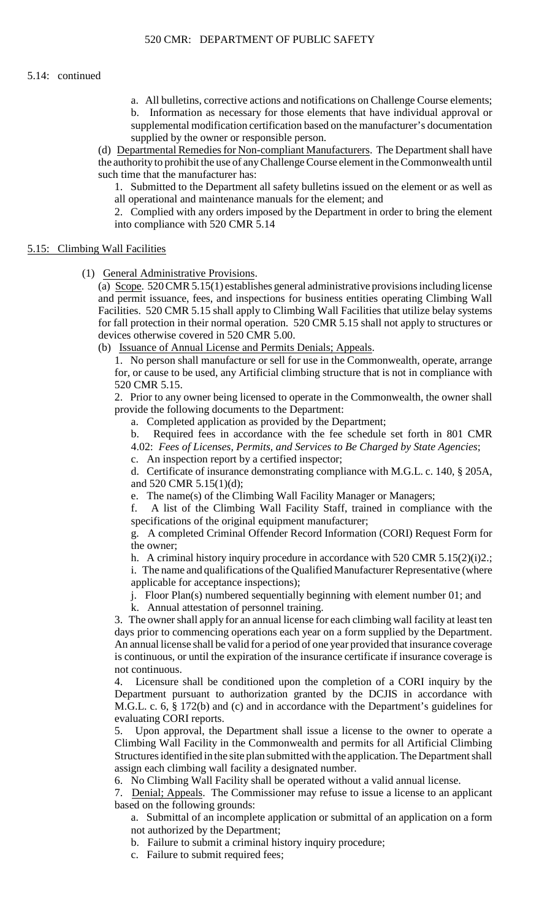b. Information as necessary for those elements that have individual approval or a. All bulletins, corrective actions and notifications on Challenge Course elements; supplemental modification certification based on the manufacturer's documentation supplied by the owner or responsible person.

 the authority to prohibit the use of any Challenge Course element in the Commonwealth until (d) Departmental Remedies for Non-compliant Manufacturers. The Department shall have such time that the manufacturer has:

1. Submitted to the Department all safety bulletins issued on the element or as well as all operational and maintenance manuals for the element; and

2. Complied with any orders imposed by the Department in order to bring the element into compliance with 520 CMR 5.14

# 5.15: Climbing Wall Facilities

(1) General Administrative Provisions.

(a) Scope. 520 CMR 5.15(1) establishes general administrative provisions including license and permit issuance, fees, and inspections for business entities operating Climbing Wall Facilities. 520 CMR 5.15 shall apply to Climbing Wall Facilities that utilize belay systems for fall protection in their normal operation. 520 CMR 5.15 shall not apply to structures or devices otherwise covered in 520 CMR 5.00.

(b) Issuance of Annual License and Permits Denials; Appeals.

 1. No person shall manufacture or sell for use in the Commonwealth, operate, arrange for, or cause to be used, any Artificial climbing structure that is not in compliance with 520 CMR 5.15.

 2. Prior to any owner being licensed to operate in the Commonwealth, the owner shall provide the following documents to the Department:

a. Completed application as provided by the Department;

b. Required fees in accordance with the fee schedule set forth in 801 CMR 4.02: *Fees of Licenses, Permits, and Services to Be Charged by State Agencies*;

c. An inspection report by a certified inspector;

d. Certificate of insurance demonstrating compliance with M.G.L. c. 140, § 205A, and 520 CMR 5.15(1)(d);

e. The name(s) of the Climbing Wall Facility Manager or Managers;

f. A list of the Climbing Wall Facility Staff, trained in compliance with the specifications of the original equipment manufacturer;

 g. A completed Criminal Offender Record Information (CORI) Request Form for the owner;

h. A criminal history inquiry procedure in accordance with 520 CMR 5.15(2)(i)2.; i. The name and qualifications of the Qualified Manufacturer Representative (where applicable for acceptance inspections);

j. Floor Plan(s) numbered sequentially beginning with element number 01; and

k. Annual attestation of personnel training.

 days prior to commencing operations each year on a form supplied by the Department. An annual license shall be valid for a period of one year provided that insurance coverage 3. The owner shall apply for an annual license for each climbing wall facility at least ten is continuous, or until the expiration of the insurance certificate if insurance coverage is not continuous.

4. Licensure shall be conditioned upon the completion of a CORI inquiry by the Department pursuant to authorization granted by the DCJIS in accordance with M.G.L. c. 6, § 172(b) and (c) and in accordance with the Department's guidelines for evaluating CORI reports.

5. Upon approval, the Department shall issue a license to the owner to operate a Climbing Wall Facility in the Commonwealth and permits for all Artificial Climbing Structures identified in the site plan submitted with the application. The Department shall assign each climbing wall facility a designated number.

6. No Climbing Wall Facility shall be operated without a valid annual license.

7. Denial; Appeals. The Commissioner may refuse to issue a license to an applicant based on the following grounds:

a. Submittal of an incomplete application or submittal of an application on a form not authorized by the Department;

b. Failure to submit a criminal history inquiry procedure;

c. Failure to submit required fees;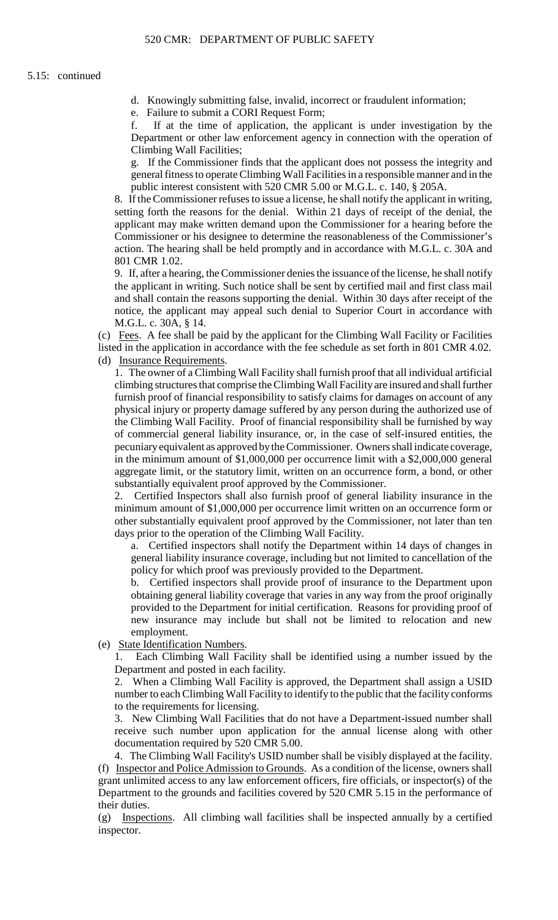d. Knowingly submitting false, invalid, incorrect or fraudulent information;

e. Failure to submit a CORI Request Form;

f. If at the time of application, the applicant is under investigation by the Department or other law enforcement agency in connection with the operation of Climbing Wall Facilities;

 g. If the Commissioner finds that the applicant does not possess the integrity and general fitness to operate Climbing Wall Facilities in a responsible manner and in the public interest consistent with 520 CMR 5.00 or M.G.L. c. 140, § 205A.

 8. If the Commissioner refuses to issue a license, he shall notify the applicant in writing, setting forth the reasons for the denial. Within 21 days of receipt of the denial, the applicant may make written demand upon the Commissioner for a hearing before the Commissioner or his designee to determine the reasonableness of the Commissioner's action. The hearing shall be held promptly and in accordance with M.G.L. c. 30A and 801 CMR 1.02.

9. If, after a hearing, the Commissioner denies the issuance of the license, he shall notify the applicant in writing. Such notice shall be sent by certified mail and first class mail and shall contain the reasons supporting the denial. Within 30 days after receipt of the notice, the applicant may appeal such denial to Superior Court in accordance with M.G.L. c. 30A, § 14.

(c) Fees. A fee shall be paid by the applicant for the Climbing Wall Facility or Facilities listed in the application in accordance with the fee schedule as set forth in 801 CMR 4.02. (d) Insurance Requirements.

 physical injury or property damage suffered by any person during the authorized use of 1. The owner of a Climbing Wall Facility shall furnish proof that all individual artificial climbing structures that comprise the Climbing Wall Facility are insured and shall further furnish proof of financial responsibility to satisfy claims for damages on account of any the Climbing Wall Facility. Proof of financial responsibility shall be furnished by way of commercial general liability insurance, or, in the case of self-insured entities, the pecuniary equivalent as approved by the Commissioner. Owners shall indicate coverage, in the minimum amount of \$1,000,000 per occurrence limit with a \$2,000,000 general aggregate limit, or the statutory limit, written on an occurrence form, a bond, or other substantially equivalent proof approved by the Commissioner.

2. Certified Inspectors shall also furnish proof of general liability insurance in the minimum amount of \$1,000,000 per occurrence limit written on an occurrence form or other substantially equivalent proof approved by the Commissioner, not later than ten days prior to the operation of the Climbing Wall Facility.

a. Certified inspectors shall notify the Department within 14 days of changes in general liability insurance coverage, including but not limited to cancellation of the policy for which proof was previously provided to the Department.

 obtaining general liability coverage that varies in any way from the proof originally new insurance may include but shall not be limited to relocation and new b. Certified inspectors shall provide proof of insurance to the Department upon provided to the Department for initial certification. Reasons for providing proof of employment.

(e) State Identification Numbers.

1. Each Climbing Wall Facility shall be identified using a number issued by the Department and posted in each facility.

 number to each Climbing Wall Facility to identify to the public that the facility conforms 2. When a Climbing Wall Facility is approved, the Department shall assign a USID to the requirements for licensing.

3. New Climbing Wall Facilities that do not have a Department-issued number shall receive such number upon application for the annual license along with other documentation required by 520 CMR 5.00.

 4. The Climbing Wall Facility's USID number shall be visibly displayed at the facility. (f) Inspector and Police Admission to Grounds. As a condition of the license, owners shall grant unlimited access to any law enforcement officers, fire officials, or inspector(s) of the Department to the grounds and facilities covered by 520 CMR 5.15 in the performance of their duties.

 (g) Inspections. All climbing wall facilities shall be inspected annually by a certified inspector.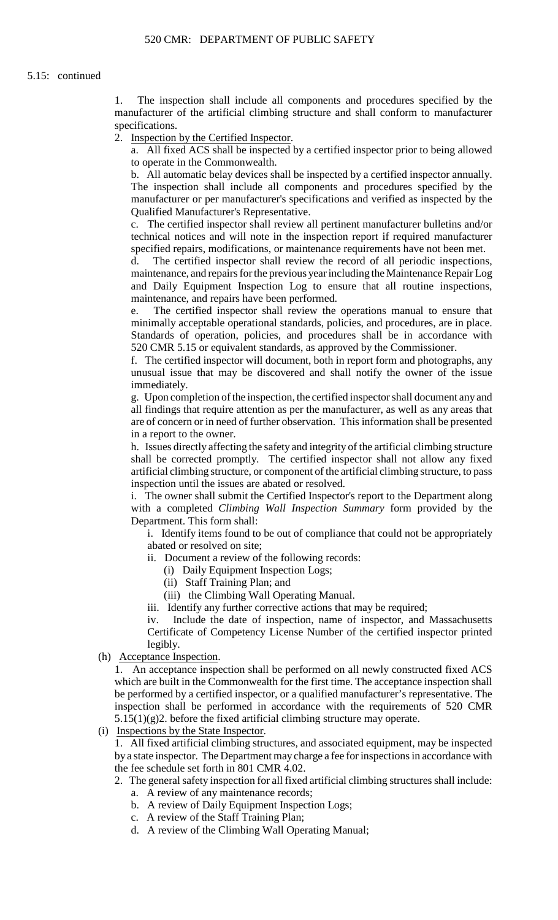1. The inspection shall include all components and procedures specified by the manufacturer of the artificial climbing structure and shall conform to manufacturer specifications.

2. Inspection by the Certified Inspector.

a. All fixed ACS shall be inspected by a certified inspector prior to being allowed to operate in the Commonwealth.

 b. All automatic belay devices shall be inspected by a certified inspector annually. The inspection shall include all components and procedures specified by the manufacturer or per manufacturer's specifications and verified as inspected by the Qualified Manufacturer's Representative.

c. The certified inspector shall review all pertinent manufacturer bulletins and/or technical notices and will note in the inspection report if required manufacturer specified repairs, modifications, or maintenance requirements have not been met.

d. The certified inspector shall review the record of all periodic inspections, maintenance, and repairs for the previous year including the Maintenance Repair Log and Daily Equipment Inspection Log to ensure that all routine inspections, maintenance, and repairs have been performed.

e. The certified inspector shall review the operations manual to ensure that minimally acceptable operational standards, policies, and procedures, are in place. Standards of operation, policies, and procedures shall be in accordance with 520 CMR 5.15 or equivalent standards, as approved by the Commissioner.

f. The certified inspector will document, both in report form and photographs, any unusual issue that may be discovered and shall notify the owner of the issue immediately.

 all findings that require attention as per the manufacturer, as well as any areas that g. Upon completion of the inspection, the certified inspector shall document any and are of concern or in need of further observation. This information shall be presented in a report to the owner.

 h. Issues directly affecting the safety and integrity of the artificial climbing structure shall be corrected promptly. The certified inspector shall not allow any fixed artificial climbing structure, or component of the artificial climbing structure, to pass inspection until the issues are abated or resolved.

i. The owner shall submit the Certified Inspector's report to the Department along with a completed *Climbing Wall Inspection Summary* form provided by the Department. This form shall:

i. Identify items found to be out of compliance that could not be appropriately abated or resolved on site;

- ii. Document a review of the following records:
	- (i) Daily Equipment Inspection Logs;
	- (ii) Staff Training Plan; and
	- (iii) the Climbing Wall Operating Manual.
- iii. Identify any further corrective actions that may be required;

iv. Include the date of inspection, name of inspector, and Massachusetts Certificate of Competency License Number of the certified inspector printed legibly.

(h) Acceptance Inspection.

1. An acceptance inspection shall be performed on all newly constructed fixed ACS which are built in the Commonwealth for the first time. The acceptance inspection shall be performed by a certified inspector, or a qualified manufacturer's representative. The inspection shall be performed in accordance with the requirements of 520 CMR  $5.15(1)(g)$ 2. before the fixed artificial climbing structure may operate.

(i) Inspections by the State Inspector.

 1. All fixed artificial climbing structures, and associated equipment, may be inspected by a state inspector. The Department may charge a fee for inspections in accordance with the fee schedule set forth in 801 CMR 4.02.

- 2. The general safety inspection for all fixed artificial climbing structures shall include:
	- a. A review of any maintenance records;
	- b. A review of Daily Equipment Inspection Logs;
	- c. A review of the Staff Training Plan;
	- d. A review of the Climbing Wall Operating Manual;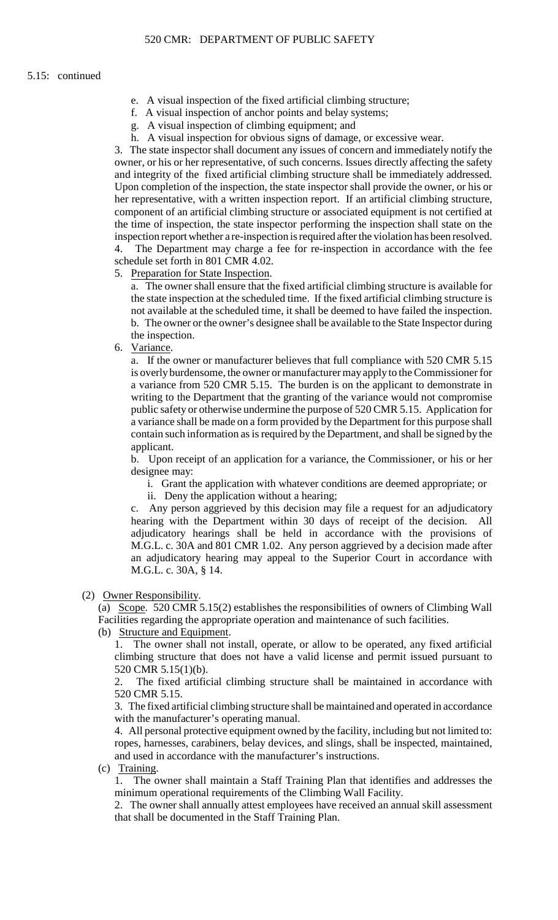- e. A visual inspection of the fixed artificial climbing structure;
- f. A visual inspection of anchor points and belay systems;
- g. A visual inspection of climbing equipment; and
- h. A visual inspection for obvious signs of damage, or excessive wear.

3. The state inspector shall document any issues of concern and immediately notify the owner, or his or her representative, of such concerns. Issues directly affecting the safety and integrity of the fixed artificial climbing structure shall be immediately addressed. Upon completion of the inspection, the state inspector shall provide the owner, or his or her representative, with a written inspection report. If an artificial climbing structure, component of an artificial climbing structure or associated equipment is not certified at the time of inspection, the state inspector performing the inspection shall state on the inspection report whether a re-inspection is required after the violation has been resolved. The Department may charge a fee for re-inspection in accordance with the fee schedule set forth in 801 CMR 4.02.

5. Preparation for State Inspection.

a. The owner shall ensure that the fixed artificial climbing structure is available for the state inspection at the scheduled time. If the fixed artificial climbing structure is not available at the scheduled time, it shall be deemed to have failed the inspection. b. The owner or the owner's designee shall be available to the State Inspector during the inspection.

6. Variance.

 a variance shall be made on a form provided by the Department for this purpose shall a. If the owner or manufacturer believes that full compliance with 520 CMR 5.15 is overly burdensome, the owner or manufacturer may apply to the Commissioner for a variance from 520 CMR 5.15. The burden is on the applicant to demonstrate in writing to the Department that the granting of the variance would not compromise public safety or otherwise undermine the purpose of 520 CMR 5.15. Application for contain such information as is required by the Department, and shall be signed by the applicant.

b. Upon receipt of an application for a variance, the Commissioner, or his or her designee may:

- i. Grant the application with whatever conditions are deemed appropriate; or
- ii. Deny the application without a hearing;

 c. Any person aggrieved by this decision may file a request for an adjudicatory hearing with the Department within 30 days of receipt of the decision. All adjudicatory hearings shall be held in accordance with the provisions of M.G.L. c. 30A and 801 CMR 1.02. Any person aggrieved by a decision made after an adjudicatory hearing may appeal to the Superior Court in accordance with M.G.L. c. 30A, § 14.

# (2) Owner Responsibility.

(a) Scope. 520 CMR 5.15(2) establishes the responsibilities of owners of Climbing Wall Facilities regarding the appropriate operation and maintenance of such facilities.

(b) Structure and Equipment.

1. The owner shall not install, operate, or allow to be operated, any fixed artificial climbing structure that does not have a valid license and permit issued pursuant to 520 CMR 5.15(1)(b).

2. The fixed artificial climbing structure shall be maintained in accordance with 520 CMR 5.15.

3. The fixed artificial climbing structure shall be maintained and operated in accordance with the manufacturer's operating manual.

4. All personal protective equipment owned by the facility, including but not limited to: ropes, harnesses, carabiners, belay devices, and slings, shall be inspected, maintained, and used in accordance with the manufacturer's instructions.

(c) Training.

1. The owner shall maintain a Staff Training Plan that identifies and addresses the minimum operational requirements of the Climbing Wall Facility.

2. The owner shall annually attest employees have received an annual skill assessment that shall be documented in the Staff Training Plan.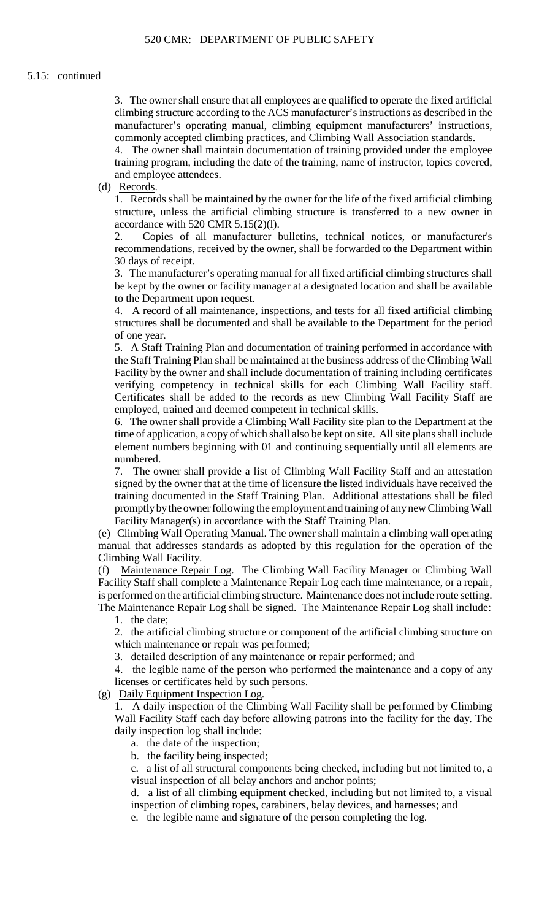3. The owner shall ensure that all employees are qualified to operate the fixed artificial climbing structure according to the ACS manufacturer's instructions as described in the manufacturer's operating manual, climbing equipment manufacturers' instructions, commonly accepted climbing practices, and Climbing Wall Association standards.

 4. The owner shall maintain documentation of training provided under the employee training program, including the date of the training, name of instructor, topics covered, and employee attendees.

(d) Records.

 1. Records shall be maintained by the owner for the life of the fixed artificial climbing structure, unless the artificial climbing structure is transferred to a new owner in accordance with 520 CMR 5.15(2)(l).

 recommendations, received by the owner, shall be forwarded to the Department within 2. Copies of all manufacturer bulletins, technical notices, or manufacturer's 30 days of receipt.

3. The manufacturer's operating manual for all fixed artificial climbing structures shall be kept by the owner or facility manager at a designated location and shall be available to the Department upon request.

4. A record of all maintenance, inspections, and tests for all fixed artificial climbing structures shall be documented and shall be available to the Department for the period of one year.

 5. A Staff Training Plan and documentation of training performed in accordance with Facility by the owner and shall include documentation of training including certificates the Staff Training Plan shall be maintained at the business address of the Climbing Wall verifying competency in technical skills for each Climbing Wall Facility staff. Certificates shall be added to the records as new Climbing Wall Facility Staff are employed, trained and deemed competent in technical skills.

 6. The owner shall provide a Climbing Wall Facility site plan to the Department at the time of application, a copy of which shall also be kept on site. All site plans shall include element numbers beginning with 01 and continuing sequentially until all elements are numbered.

 training documented in the Staff Training Plan. Additional attestations shall be filed promptlybythe owner following the employment and training of anynew Climbing Wall 7. The owner shall provide a list of Climbing Wall Facility Staff and an attestation signed by the owner that at the time of licensure the listed individuals have received the Facility Manager(s) in accordance with the Staff Training Plan.

(e) Climbing Wall Operating Manual. The owner shall maintain a climbing wall operating manual that addresses standards as adopted by this regulation for the operation of the Climbing Wall Facility.

 (f) Maintenance Repair Log. The Climbing Wall Facility Manager or Climbing Wall is performed on the artificial climbing structure. Maintenance does not include route setting. Facility Staff shall complete a Maintenance Repair Log each time maintenance, or a repair, The Maintenance Repair Log shall be signed. The Maintenance Repair Log shall include:

1. the date;

2. the artificial climbing structure or component of the artificial climbing structure on which maintenance or repair was performed;

3. detailed description of any maintenance or repair performed; and

 4. the legible name of the person who performed the maintenance and a copy of any licenses or certificates held by such persons.

(g) Daily Equipment Inspection Log.

1. A daily inspection of the Climbing Wall Facility shall be performed by Climbing Wall Facility Staff each day before allowing patrons into the facility for the day. The daily inspection log shall include:

a. the date of the inspection;

b. the facility being inspected;

c. a list of all structural components being checked, including but not limited to, a visual inspection of all belay anchors and anchor points;

d. a list of all climbing equipment checked, including but not limited to, a visual inspection of climbing ropes, carabiners, belay devices, and harnesses; and

e. the legible name and signature of the person completing the log.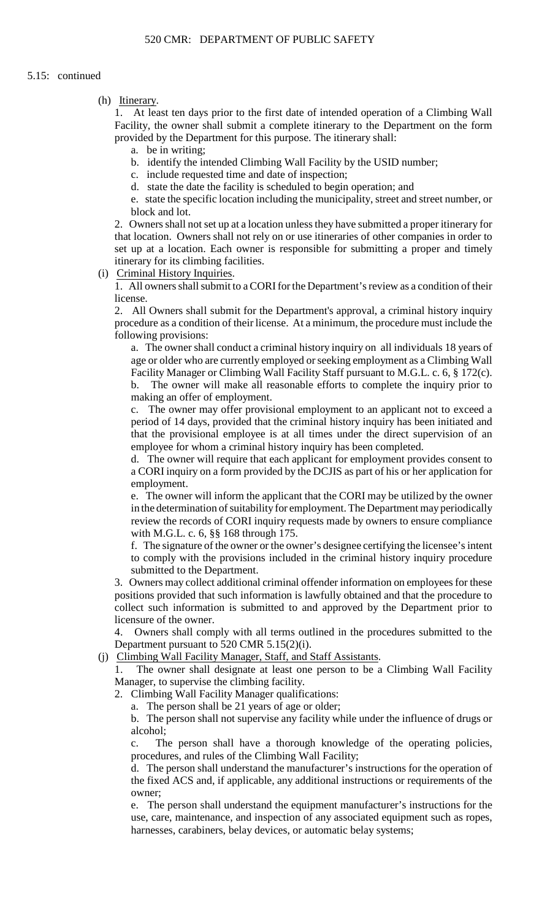(h) Itinerary.

 1. At least ten days prior to the first date of intended operation of a Climbing Wall Facility, the owner shall submit a complete itinerary to the Department on the form provided by the Department for this purpose. The itinerary shall:

- a. be in writing;
- b. identify the intended Climbing Wall Facility by the USID number;
- c. include requested time and date of inspection;
- d. state the date the facility is scheduled to begin operation; and

e. state the specific location including the municipality, street and street number, or block and lot.

 that location. Owners shall not rely on or use itineraries of other companies in order to 2. Owners shall not set up at a location unless they have submitted a proper itinerary for set up at a location. Each owner is responsible for submitting a proper and timely itinerary for its climbing facilities.

(i) Criminal History Inquiries.

 1. All owners shall submit to a CORI for the Department's review as a condition of their license.

2. All Owners shall submit for the Department's approval, a criminal history inquiry procedure as a condition of their license. At a minimum, the procedure must include the following provisions:

 age or older who are currently employed or seeking employment as a Climbing Wall a. The owner shall conduct a criminal history inquiry on all individuals 18 years of Facility Manager or Climbing Wall Facility Staff pursuant to M.G.L. c. 6, § 172(c). b. The owner will make all reasonable efforts to complete the inquiry prior to making an offer of employment.

c. The owner may offer provisional employment to an applicant not to exceed a period of 14 days, provided that the criminal history inquiry has been initiated and that the provisional employee is at all times under the direct supervision of an employee for whom a criminal history inquiry has been completed.

d. The owner will require that each applicant for employment provides consent to a CORI inquiry on a form provided by the DCJIS as part of his or her application for employment.

 e. The owner will inform the applicant that the CORI may be utilized by the owner in the determination of suitability for employment. The Department may periodically review the records of CORI inquiry requests made by owners to ensure compliance with M.G.L. c. 6, §§ 168 through 175.

f. The signature of the owner or the owner's designee certifying the licensee's intent to comply with the provisions included in the criminal history inquiry procedure submitted to the Department.

3. Owners may collect additional criminal offender information on employees for these positions provided that such information is lawfully obtained and that the procedure to collect such information is submitted to and approved by the Department prior to licensure of the owner.

 4. Owners shall comply with all terms outlined in the procedures submitted to the Department pursuant to 520 CMR 5.15(2)(i).

(j) Climbing Wall Facility Manager, Staff, and Staff Assistants.

 $1<sub>1</sub>$ The owner shall designate at least one person to be a Climbing Wall Facility Manager, to supervise the climbing facility.

2. Climbing Wall Facility Manager qualifications:

a. The person shall be 21 years of age or older;

 b. The person shall not supervise any facility while under the influence of drugs or alcohol;

c. The person shall have a thorough knowledge of the operating policies, procedures, and rules of the Climbing Wall Facility;

d. The person shall understand the manufacturer's instructions for the operation of the fixed ACS and, if applicable, any additional instructions or requirements of the owner;

 e. The person shall understand the equipment manufacturer's instructions for the use, care, maintenance, and inspection of any associated equipment such as ropes, harnesses, carabiners, belay devices, or automatic belay systems;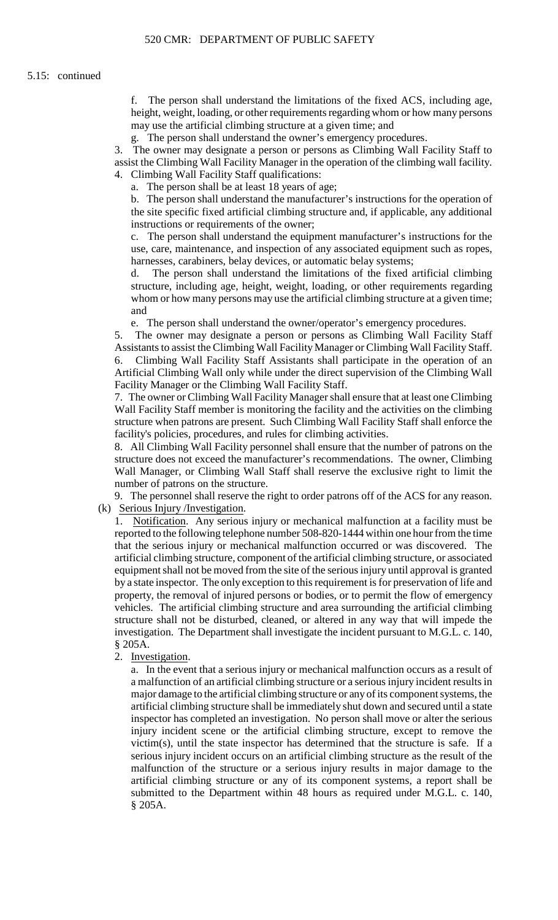f. The person shall understand the limitations of the fixed ACS, including age, height, weight, loading, or other requirements regarding whom or how many persons may use the artificial climbing structure at a given time; and

g. The person shall understand the owner's emergency procedures.

 assist the Climbing Wall Facility Manager in the operation of the climbing wall facility. 3. The owner may designate a person or persons as Climbing Wall Facility Staff to 4. Climbing Wall Facility Staff qualifications:

a. The person shall be at least 18 years of age;

b. The person shall understand the manufacturer's instructions for the operation of the site specific fixed artificial climbing structure and, if applicable, any additional instructions or requirements of the owner;

c. The person shall understand the equipment manufacturer's instructions for the use, care, maintenance, and inspection of any associated equipment such as ropes, harnesses, carabiners, belay devices, or automatic belay systems;

d. The person shall understand the limitations of the fixed artificial climbing structure, including age, height, weight, loading, or other requirements regarding whom or how many persons may use the artificial climbing structure at a given time; and

e. The person shall understand the owner/operator's emergency procedures.

 6. Climbing Wall Facility Staff Assistants shall participate in the operation of an 5. The owner may designate a person or persons as Climbing Wall Facility Staff Assistants to assist the Climbing Wall Facility Manager or Climbing Wall Facility Staff. Artificial Climbing Wall only while under the direct supervision of the Climbing Wall Facility Manager or the Climbing Wall Facility Staff.

7. The owner or Climbing Wall Facility Manager shall ensure that at least one Climbing Wall Facility Staff member is monitoring the facility and the activities on the climbing structure when patrons are present. Such Climbing Wall Facility Staff shall enforce the facility's policies, procedures, and rules for climbing activities.

 structure does not exceed the manufacturer's recommendations. The owner, Climbing Wall Manager, or Climbing Wall Staff shall reserve the exclusive right to limit the 8. All Climbing Wall Facility personnel shall ensure that the number of patrons on the number of patrons on the structure.

9. The personnel shall reserve the right to order patrons off of the ACS for any reason. (k) Serious Injury /Investigation.

 reported to the following telephone number 508-820-1444 within one hour from the time that the serious injury or mechanical malfunction occurred or was discovered. The 1. Notification. Any serious injury or mechanical malfunction at a facility must be artificial climbing structure, component of the artificial climbing structure, or associated equipment shall not be moved from the site of the serious injury until approval is granted by a state inspector. The only exception to this requirement is for preservation of life and property, the removal of injured persons or bodies, or to permit the flow of emergency vehicles. The artificial climbing structure and area surrounding the artificial climbing structure shall not be disturbed, cleaned, or altered in any way that will impede the investigation. The Department shall investigate the incident pursuant to M.G.L. c. 140, § 205A.

2. Investigation.

 injury incident scene or the artificial climbing structure, except to remove the submitted to the Department within 48 hours as required under M.G.L. c. 140, a. In the event that a serious injury or mechanical malfunction occurs as a result of a malfunction of an artificial climbing structure or a serious injury incident results in major damage to the artificial climbing structure or any of its component systems, the artificial climbing structure shall be immediately shut down and secured until a state inspector has completed an investigation. No person shall move or alter the serious victim(s), until the state inspector has determined that the structure is safe. If a serious injury incident occurs on an artificial climbing structure as the result of the malfunction of the structure or a serious injury results in major damage to the artificial climbing structure or any of its component systems, a report shall be § 205A.